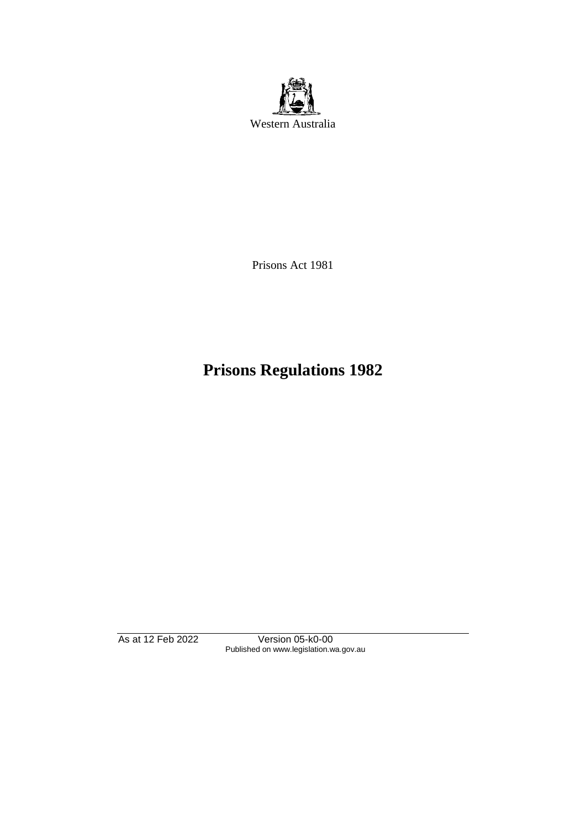

Prisons Act 1981

# **Prisons Regulations 1982**

As at 12 Feb 2022 Version 05-k0-00 Published on www.legislation.wa.gov.au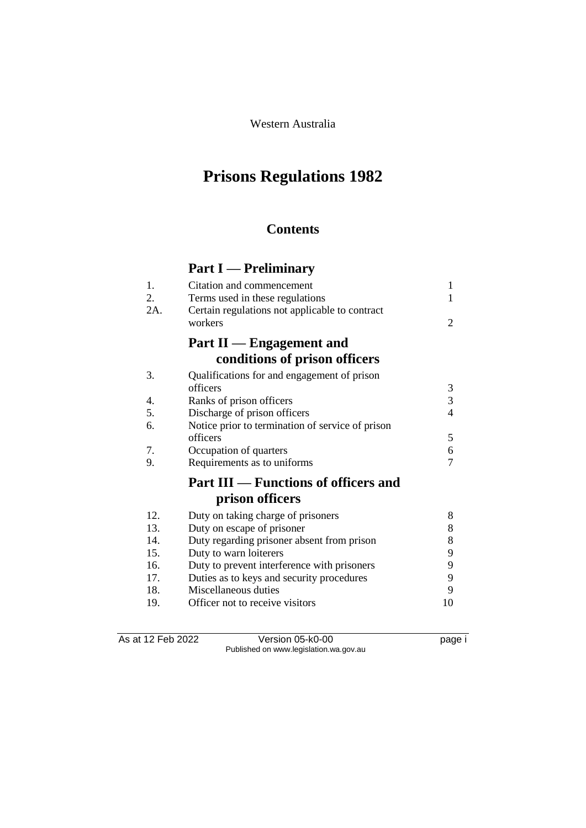Western Australia

# **Prisons Regulations 1982**

### **Contents**

# **Part I — Preliminary**

| 1.<br>2.<br>2A. | Citation and commencement<br>Terms used in these regulations | 1<br>1         |
|-----------------|--------------------------------------------------------------|----------------|
|                 | Certain regulations not applicable to contract<br>workers    | 2              |
|                 | Part II — Engagement and                                     |                |
|                 | conditions of prison officers                                |                |
| 3.              | Qualifications for and engagement of prison                  |                |
|                 | officers                                                     |                |
| 4.              | Ranks of prison officers                                     | $\frac{3}{3}$  |
| 5.              | Discharge of prison officers                                 | $\overline{4}$ |
| 6.              | Notice prior to termination of service of prison             |                |
|                 | officers                                                     | 5              |
| 7.              | Occupation of quarters                                       | 6              |
| 9.              | Requirements as to uniforms                                  | 7              |
|                 | <b>Part III — Functions of officers and</b>                  |                |
|                 | prison officers                                              |                |
| 12.             | Duty on taking charge of prisoners                           | 8              |
| 13.             | Duty on escape of prisoner                                   | 8              |
| 14.             | Duty regarding prisoner absent from prison                   | 8              |
| 15.             | Duty to warn loiterers                                       | 9              |
| 16.             | Duty to prevent interference with prisoners                  | 9              |
| 17.             | Duties as to keys and security procedures                    | 9              |
| 18.             | Miscellaneous duties                                         | 9              |
| 19.             | Officer not to receive visitors                              | 10             |

As at 12 Feb 2022 Version 05-k0-00 page i Published on www.legislation.wa.gov.au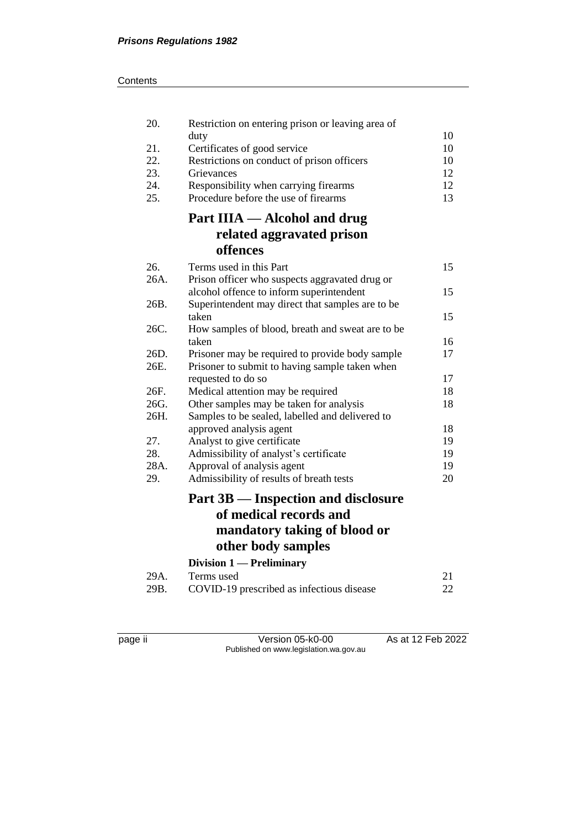#### **Contents**

| 20.  | Restriction on entering prison or leaving area of | 10 |
|------|---------------------------------------------------|----|
| 21.  | duty<br>Certificates of good service              | 10 |
| 22.  | Restrictions on conduct of prison officers        | 10 |
| 23.  | Grievances                                        | 12 |
| 24.  | Responsibility when carrying firearms             | 12 |
| 25.  | Procedure before the use of firearms              | 13 |
|      | Part IIIA — Alcohol and drug                      |    |
|      | related aggravated prison                         |    |
|      | offences                                          |    |
| 26.  | Terms used in this Part                           | 15 |
| 26A. | Prison officer who suspects aggravated drug or    |    |
|      | alcohol offence to inform superintendent          | 15 |
| 26B. | Superintendent may direct that samples are to be  |    |
|      | taken                                             | 15 |
| 26C. | How samples of blood, breath and sweat are to be  |    |
|      | taken                                             | 16 |
| 26D. | Prisoner may be required to provide body sample   | 17 |
| 26E. | Prisoner to submit to having sample taken when    |    |
|      | requested to do so                                | 17 |
| 26F. | Medical attention may be required                 | 18 |
| 26G. | Other samples may be taken for analysis           | 18 |
| 26H. | Samples to be sealed, labelled and delivered to   |    |
|      | approved analysis agent                           | 18 |
| 27.  | Analyst to give certificate                       | 19 |
| 28.  | Admissibility of analyst's certificate            | 19 |
| 28A. | Approval of analysis agent                        | 19 |
| 29.  | Admissibility of results of breath tests          | 20 |
|      | Part 3B — Inspection and disclosure               |    |
|      | of medical records and                            |    |
|      | mandatory taking of blood or                      |    |
|      | other body samples                                |    |
|      | Division 1 - Preliminary                          |    |
| 29A. | Terms used                                        | 21 |
| 29B. | COVID-19 prescribed as infectious disease         | 22 |
|      |                                                   |    |

page ii Version 05-k0-00 As at 12 Feb 2022 Published on www.legislation.wa.gov.au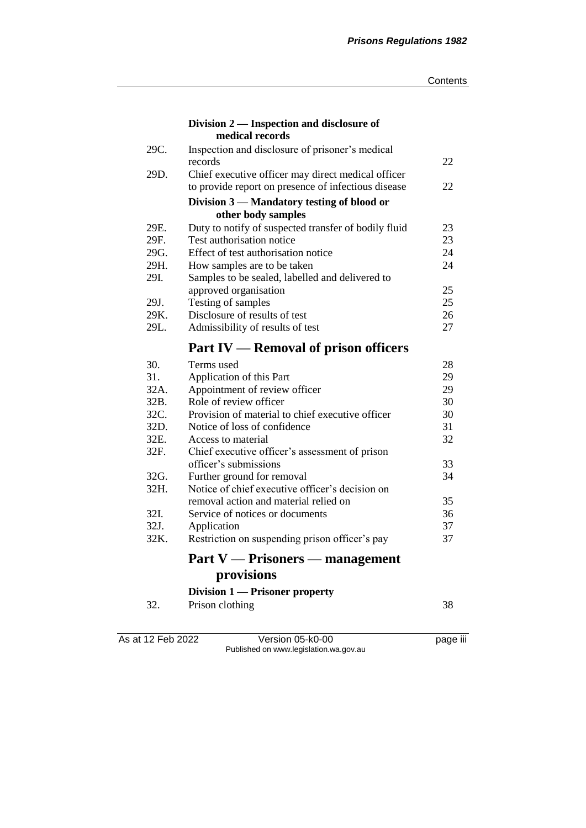|      | Division 2 — Inspection and disclosure of            |    |
|------|------------------------------------------------------|----|
|      | medical records                                      |    |
| 29C. | Inspection and disclosure of prisoner's medical      |    |
|      | records                                              | 22 |
| 29D. | Chief executive officer may direct medical officer   |    |
|      | to provide report on presence of infectious disease  | 22 |
|      | Division 3 - Mandatory testing of blood or           |    |
|      | other body samples                                   |    |
| 29E. | Duty to notify of suspected transfer of bodily fluid | 23 |
| 29F. | Test authorisation notice                            | 23 |
| 29G. | Effect of test authorisation notice                  | 24 |
| 29H. | How samples are to be taken                          | 24 |
| 29I. | Samples to be sealed, labelled and delivered to      |    |
|      | approved organisation                                | 25 |
| 29J. | Testing of samples                                   | 25 |
| 29K. | Disclosure of results of test                        | 26 |
| 29L. | Admissibility of results of test                     | 27 |
|      | <b>Part IV — Removal of prison officers</b>          |    |
| 30.  | Terms used                                           | 28 |
| 31.  | Application of this Part                             | 29 |
| 32A. | Appointment of review officer                        | 29 |
| 32B. | Role of review officer                               | 30 |
| 32C. | Provision of material to chief executive officer     | 30 |
| 32D. | Notice of loss of confidence                         | 31 |
| 32E. | Access to material                                   | 32 |
| 32F. | Chief executive officer's assessment of prison       |    |
|      | officer's submissions                                | 33 |
| 32G. | Further ground for removal                           | 34 |
| 32H. | Notice of chief executive officer's decision on      |    |
|      | removal action and material relied on                | 35 |
| 32I. | Service of notices or documents                      | 36 |
| 32J. | Application                                          | 37 |
| 32K. | Restriction on suspending prison officer's pay       | 37 |
|      | $Part V \rightarrow Prisons$ management              |    |
|      | provisions                                           |    |
|      | Division 1 — Prisoner property                       |    |
| 32.  | Prison clothing                                      | 38 |
|      |                                                      |    |

As at 12 Feb 2022 Version 05-k0-00 page iii Published on www.legislation.wa.gov.au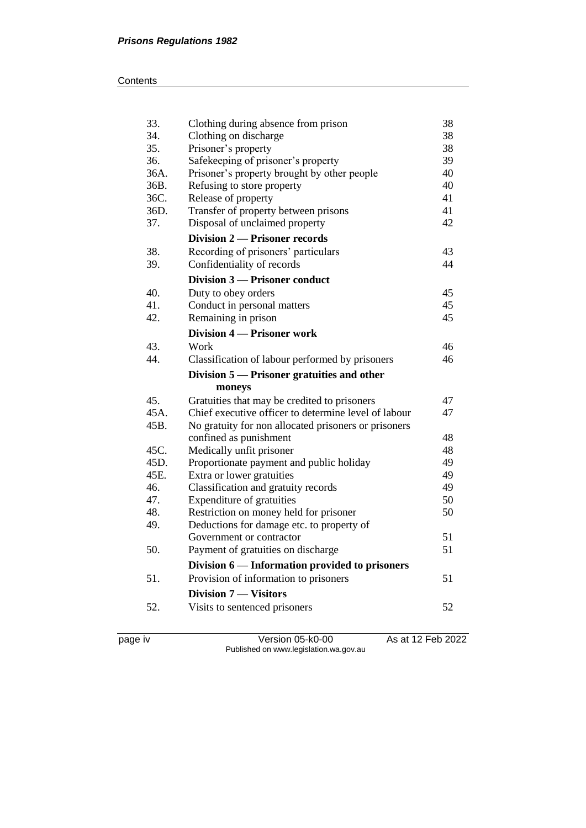#### **Contents**

| 33.  | Clothing during absence from prison                  | 38 |
|------|------------------------------------------------------|----|
| 34.  | Clothing on discharge                                | 38 |
| 35.  | Prisoner's property                                  | 38 |
| 36.  | Safekeeping of prisoner's property                   | 39 |
| 36A. | Prisoner's property brought by other people          | 40 |
| 36B. | Refusing to store property                           | 40 |
| 36C. | Release of property                                  | 41 |
| 36D. | Transfer of property between prisons                 | 41 |
| 37.  | Disposal of unclaimed property                       | 42 |
|      | <b>Division 2 – Prisoner records</b>                 |    |
| 38.  | Recording of prisoners' particulars                  | 43 |
| 39.  | Confidentiality of records                           | 44 |
|      | Division 3 - Prisoner conduct                        |    |
| 40.  | Duty to obey orders                                  | 45 |
| 41.  | Conduct in personal matters                          | 45 |
| 42.  | Remaining in prison                                  | 45 |
|      | <b>Division 4 – Prisoner work</b>                    |    |
| 43.  | Work                                                 | 46 |
| 44.  | Classification of labour performed by prisoners      | 46 |
|      |                                                      |    |
|      | Division 5 — Prisoner gratuities and other           |    |
|      | moneys                                               |    |
| 45.  | Gratuities that may be credited to prisoners         | 47 |
| 45A. | Chief executive officer to determine level of labour | 47 |
| 45B. | No gratuity for non allocated prisoners or prisoners |    |
|      | confined as punishment                               | 48 |
| 45C. | Medically unfit prisoner                             | 48 |
| 45D. | Proportionate payment and public holiday             | 49 |
| 45E. | Extra or lower gratuities                            | 49 |
| 46.  | Classification and gratuity records                  | 49 |
| 47.  | Expenditure of gratuities                            | 50 |
| 48.  | Restriction on money held for prisoner               | 50 |
| 49.  | Deductions for damage etc. to property of            |    |
|      | Government or contractor                             | 51 |
| 50.  | Payment of gratuities on discharge                   | 51 |
|      | Division 6 — Information provided to prisoners       |    |
| 51.  | Provision of information to prisoners                | 51 |
|      | <b>Division 7 – Visitors</b>                         |    |
| 52.  | Visits to sentenced prisoners                        | 52 |

page iv Version 05-k0-00 As at 12 Feb 2022 Published on www.legislation.wa.gov.au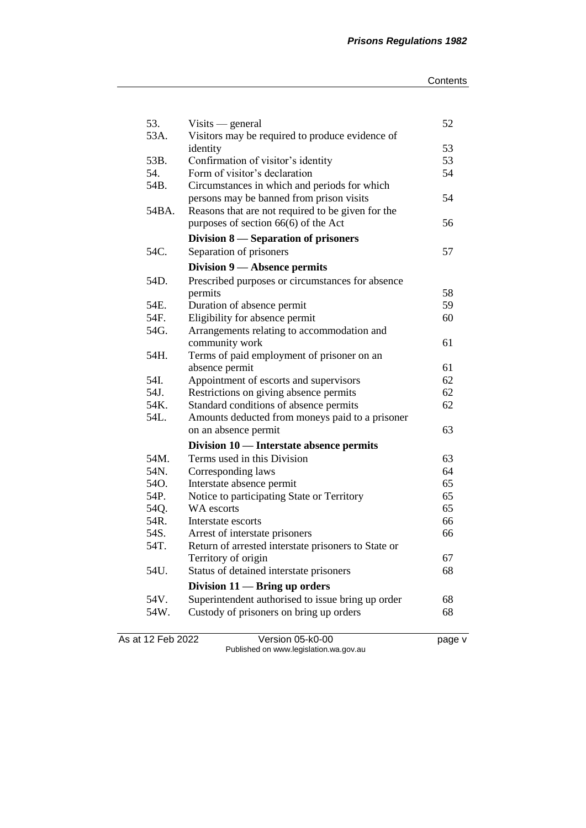| 53.          | $Visits$ - general                                           | 52       |
|--------------|--------------------------------------------------------------|----------|
| 53A.         | Visitors may be required to produce evidence of              |          |
| 53B.         | identity<br>Confirmation of visitor's identity               | 53<br>53 |
| 54.          | Form of visitor's declaration                                | 54       |
| 54B.         | Circumstances in which and periods for which                 |          |
|              | persons may be banned from prison visits                     | 54       |
| 54BA.        | Reasons that are not required to be given for the            |          |
|              | purposes of section $66(6)$ of the Act                       | 56       |
|              | Division 8 – Separation of prisoners                         |          |
| 54C.         | Separation of prisoners                                      | 57       |
|              |                                                              |          |
|              | Division 9 — Absence permits                                 |          |
| 54D.         | Prescribed purposes or circumstances for absence             |          |
|              | permits                                                      | 58       |
| 54E.<br>54F. | Duration of absence permit                                   | 59       |
|              | Eligibility for absence permit                               | 60       |
| 54G.         | Arrangements relating to accommodation and<br>community work |          |
| 54H.         | Terms of paid employment of prisoner on an                   | 61       |
|              | absence permit                                               | 61       |
| 54I.         | Appointment of escorts and supervisors                       | 62       |
| 54J.         | Restrictions on giving absence permits                       | 62       |
| 54K.         | Standard conditions of absence permits                       | 62       |
| 54L.         | Amounts deducted from moneys paid to a prisoner              |          |
|              | on an absence permit                                         | 63       |
|              | Division 10 — Interstate absence permits                     |          |
| 54M.         | Terms used in this Division                                  | 63       |
| 54N.         |                                                              | 64       |
| 54O.         | Corresponding laws<br>Interstate absence permit              | 65       |
| 54P.         | Notice to participating State or Territory                   | 65       |
| 54Q.         | WA escorts                                                   | 65       |
| 54R.         | Interstate escorts                                           | 66       |
| 54S.         | Arrest of interstate prisoners                               | 66       |
| 54T.         | Return of arrested interstate prisoners to State or          |          |
|              | Territory of origin                                          | 67       |
| 54U.         | Status of detained interstate prisoners                      | 68       |
|              | Division $11$ - Bring up orders                              |          |
| 54V.         | Superintendent authorised to issue bring up order            |          |
| 54W.         | Custody of prisoners on bring up orders                      | 68<br>68 |
|              |                                                              |          |

As at 12 Feb 2022 Version 05-k0-00 page v Published on www.legislation.wa.gov.au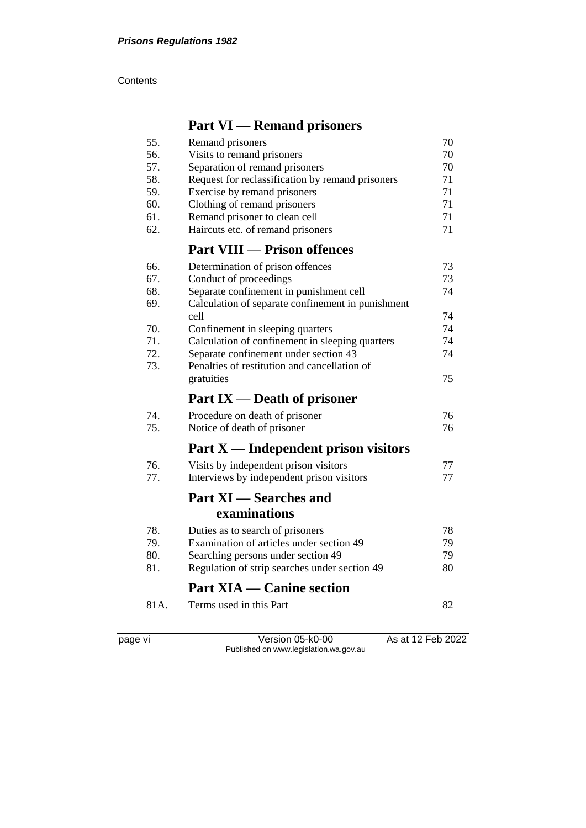#### **Contents**

# **Part VI — Remand prisoners**

| 55.  | Remand prisoners                                  | 70 |
|------|---------------------------------------------------|----|
| 56.  | Visits to remand prisoners                        | 70 |
| 57.  | Separation of remand prisoners                    | 70 |
| 58.  | Request for reclassification by remand prisoners  | 71 |
| 59.  | Exercise by remand prisoners                      | 71 |
| 60.  | Clothing of remand prisoners                      | 71 |
| 61.  | Remand prisoner to clean cell                     | 71 |
| 62.  | Haircuts etc. of remand prisoners                 | 71 |
|      | <b>Part VIII — Prison offences</b>                |    |
| 66.  | Determination of prison offences                  | 73 |
| 67.  | Conduct of proceedings                            | 73 |
| 68.  | Separate confinement in punishment cell           | 74 |
| 69.  | Calculation of separate confinement in punishment |    |
|      | cell                                              | 74 |
| 70.  | Confinement in sleeping quarters                  | 74 |
| 71.  | Calculation of confinement in sleeping quarters   | 74 |
| 72.  | Separate confinement under section 43             | 74 |
| 73.  | Penalties of restitution and cancellation of      |    |
|      | gratuities                                        | 75 |
|      | Part $IX$ — Death of prisoner                     |    |
| 74.  | Procedure on death of prisoner                    | 76 |
| 75.  | Notice of death of prisoner                       | 76 |
|      | Part $X$ — Independent prison visitors            |    |
| 76.  | Visits by independent prison visitors             | 77 |
| 77.  | Interviews by independent prison visitors         | 77 |
|      | <b>Part XI</b> — Searches and                     |    |
|      | examinations                                      |    |
| 78.  | Duties as to search of prisoners                  | 78 |
| 79.  | Examination of articles under section 49          | 79 |
| 80.  | Searching persons under section 49                | 79 |
| 81.  | Regulation of strip searches under section 49     | 80 |
|      | <b>Part XIA — Canine section</b>                  |    |
| 81A. | Terms used in this Part                           | 82 |
|      |                                                   |    |

page vi Version 05-k0-00 As at 12 Feb 2022 Published on www.legislation.wa.gov.au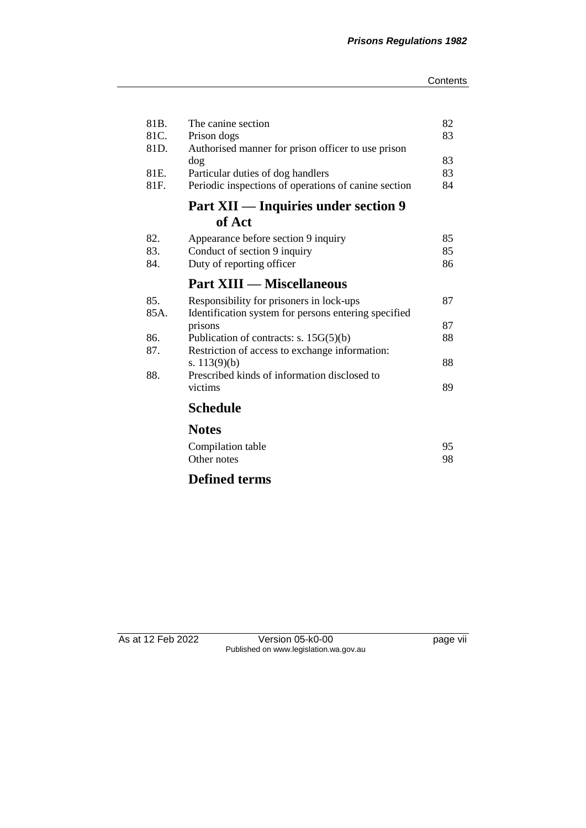| 81B. | The canine section                                   | 82 |
|------|------------------------------------------------------|----|
| 81C. | Prison dogs                                          | 83 |
| 81D. | Authorised manner for prison officer to use prison   |    |
|      | dog                                                  | 83 |
| 81E. | Particular duties of dog handlers                    | 83 |
| 81F. | Periodic inspections of operations of canine section | 84 |
|      | Part XII — Inquiries under section 9                 |    |
|      | of Act                                               |    |
| 82.  | Appearance before section 9 inquiry                  | 85 |
| 83.  | Conduct of section 9 inquiry                         | 85 |
| 84.  | Duty of reporting officer                            | 86 |
|      | <b>Part XIII — Miscellaneous</b>                     |    |
| 85.  | Responsibility for prisoners in lock-ups             | 87 |
| 85A. | Identification system for persons entering specified |    |
|      | prisons                                              | 87 |
| 86.  | Publication of contracts: s. $15G(5)(b)$             | 88 |
| 87.  | Restriction of access to exchange information:       |    |
|      | s. $113(9)(b)$                                       | 88 |
| 88.  | Prescribed kinds of information disclosed to         |    |
|      | victims                                              | 89 |
|      |                                                      |    |
|      | <b>Schedule</b>                                      |    |
|      | <b>Notes</b>                                         |    |
|      | Compilation table                                    | 95 |
|      | Other notes                                          | 98 |
|      |                                                      |    |

# **Defined terms**

As at 12 Feb 2022 Version 05-k0-00 page vii Published on www.legislation.wa.gov.au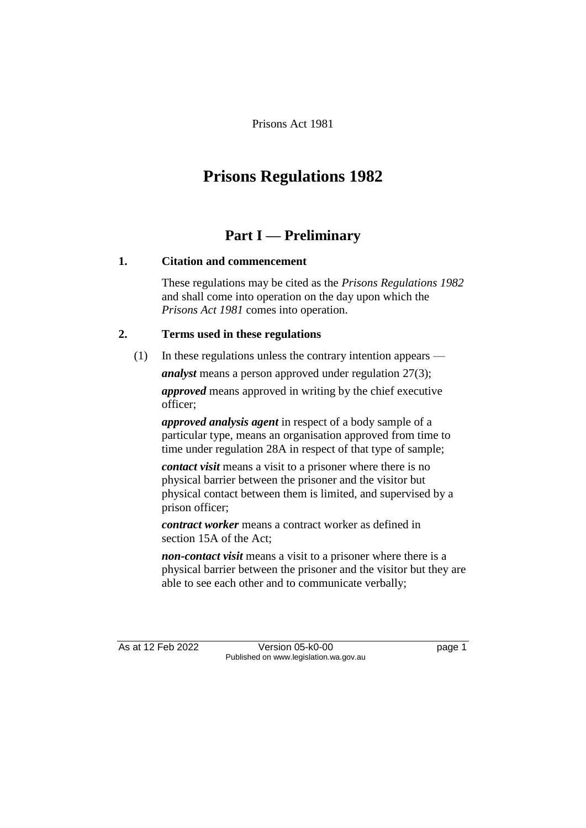Prisons Act 1981

# **Prisons Regulations 1982**

## **Part I — Preliminary**

#### **1. Citation and commencement**

These regulations may be cited as the *Prisons Regulations 1982* and shall come into operation on the day upon which the *Prisons Act 1981* comes into operation.

#### **2. Terms used in these regulations**

(1) In these regulations unless the contrary intention appears —

*analyst* means a person approved under regulation 27(3);

*approved* means approved in writing by the chief executive officer;

*approved analysis agent* in respect of a body sample of a particular type, means an organisation approved from time to time under regulation 28A in respect of that type of sample;

*contact visit* means a visit to a prisoner where there is no physical barrier between the prisoner and the visitor but physical contact between them is limited, and supervised by a prison officer;

*contract worker* means a contract worker as defined in section 15A of the Act;

*non-contact visit* means a visit to a prisoner where there is a physical barrier between the prisoner and the visitor but they are able to see each other and to communicate verbally;

As at 12 Feb 2022 Version 05-k0-00 Page 1 Published on www.legislation.wa.gov.au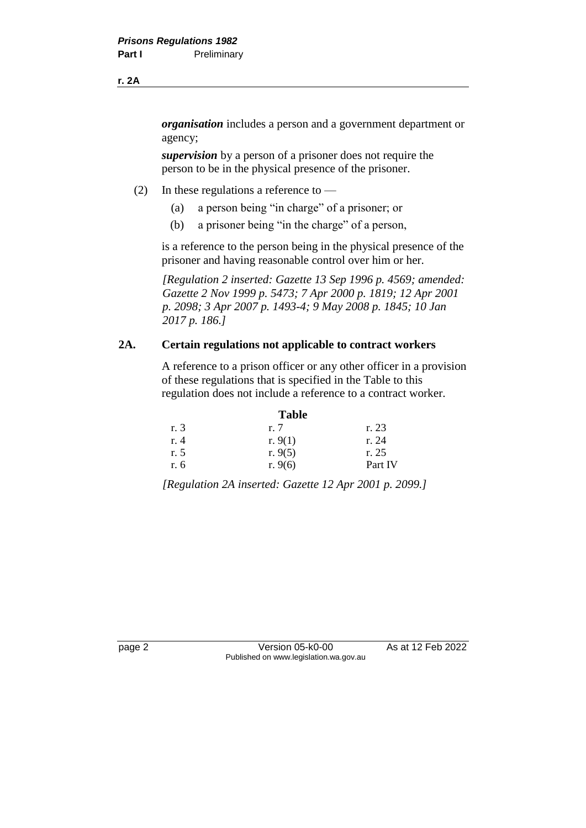*organisation* includes a person and a government department or agency;

*supervision* by a person of a prisoner does not require the person to be in the physical presence of the prisoner.

- (2) In these regulations a reference to
	- (a) a person being "in charge" of a prisoner; or
	- (b) a prisoner being "in the charge" of a person,

is a reference to the person being in the physical presence of the prisoner and having reasonable control over him or her.

*[Regulation 2 inserted: Gazette 13 Sep 1996 p. 4569; amended: Gazette 2 Nov 1999 p. 5473; 7 Apr 2000 p. 1819; 12 Apr 2001 p. 2098; 3 Apr 2007 p. 1493-4; 9 May 2008 p. 1845; 10 Jan 2017 p. 186.]*

#### **2A. Certain regulations not applicable to contract workers**

A reference to a prison officer or any other officer in a provision of these regulations that is specified in the Table to this regulation does not include a reference to a contract worker.

|      | <b>Table</b> |         |
|------|--------------|---------|
| r. 3 | r. 7         | r. 23   |
| r. 4 | r. $9(1)$    | r. 24   |
| r. 5 | r. $9(5)$    | r. 25   |
| r. 6 | r. $9(6)$    | Part IV |

*[Regulation 2A inserted: Gazette 12 Apr 2001 p. 2099.]*

page 2 Version 05-k0-00 As at 12 Feb 2022 Published on www.legislation.wa.gov.au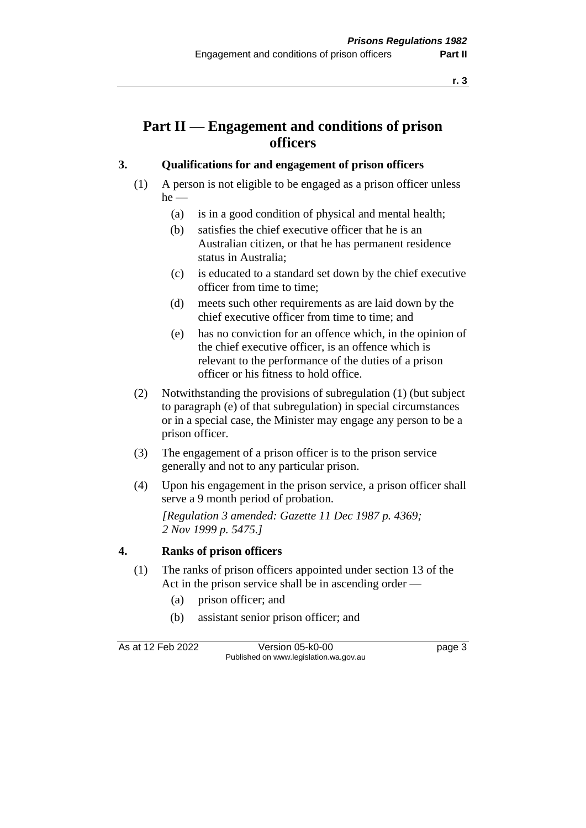### **Part II — Engagement and conditions of prison officers**

#### **3. Qualifications for and engagement of prison officers**

- (1) A person is not eligible to be engaged as a prison officer unless he —
	- (a) is in a good condition of physical and mental health;
	- (b) satisfies the chief executive officer that he is an Australian citizen, or that he has permanent residence status in Australia;
	- (c) is educated to a standard set down by the chief executive officer from time to time;
	- (d) meets such other requirements as are laid down by the chief executive officer from time to time; and
	- (e) has no conviction for an offence which, in the opinion of the chief executive officer, is an offence which is relevant to the performance of the duties of a prison officer or his fitness to hold office.
- (2) Notwithstanding the provisions of subregulation (1) (but subject to paragraph (e) of that subregulation) in special circumstances or in a special case, the Minister may engage any person to be a prison officer.
- (3) The engagement of a prison officer is to the prison service generally and not to any particular prison.
- (4) Upon his engagement in the prison service, a prison officer shall serve a 9 month period of probation.

*[Regulation 3 amended: Gazette 11 Dec 1987 p. 4369; 2 Nov 1999 p. 5475.]* 

#### **4. Ranks of prison officers**

- (1) The ranks of prison officers appointed under section 13 of the Act in the prison service shall be in ascending order —
	- (a) prison officer; and
	- (b) assistant senior prison officer; and

As at 12 Feb 2022 Version 05-k0-00 Page 3 Published on www.legislation.wa.gov.au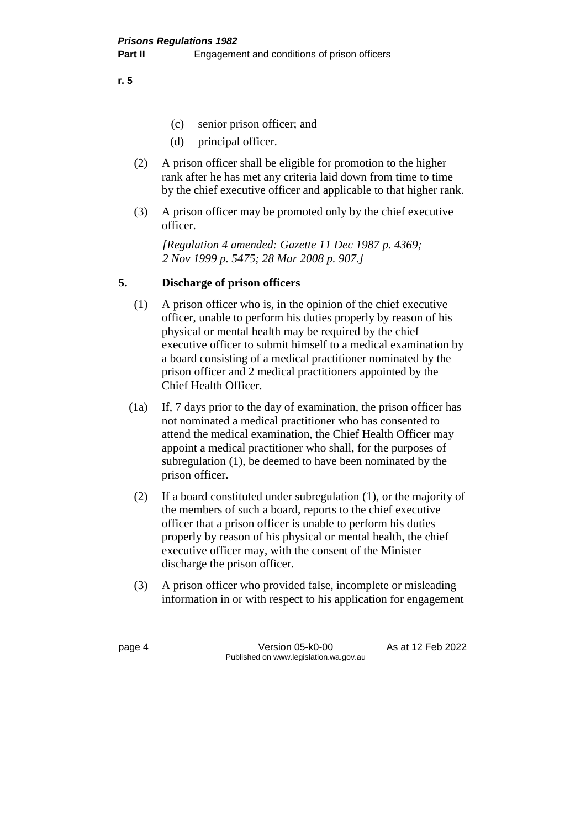**r. 5**

- (c) senior prison officer; and
- (d) principal officer.
- (2) A prison officer shall be eligible for promotion to the higher rank after he has met any criteria laid down from time to time by the chief executive officer and applicable to that higher rank.
- (3) A prison officer may be promoted only by the chief executive officer.

*[Regulation 4 amended: Gazette 11 Dec 1987 p. 4369; 2 Nov 1999 p. 5475; 28 Mar 2008 p. 907.]* 

#### **5. Discharge of prison officers**

- (1) A prison officer who is, in the opinion of the chief executive officer, unable to perform his duties properly by reason of his physical or mental health may be required by the chief executive officer to submit himself to a medical examination by a board consisting of a medical practitioner nominated by the prison officer and 2 medical practitioners appointed by the Chief Health Officer.
- (1a) If, 7 days prior to the day of examination, the prison officer has not nominated a medical practitioner who has consented to attend the medical examination, the Chief Health Officer may appoint a medical practitioner who shall, for the purposes of subregulation (1), be deemed to have been nominated by the prison officer.
- (2) If a board constituted under subregulation (1), or the majority of the members of such a board, reports to the chief executive officer that a prison officer is unable to perform his duties properly by reason of his physical or mental health, the chief executive officer may, with the consent of the Minister discharge the prison officer.
- (3) A prison officer who provided false, incomplete or misleading information in or with respect to his application for engagement

page 4 Version 05-k0-00 As at 12 Feb 2022 Published on www.legislation.wa.gov.au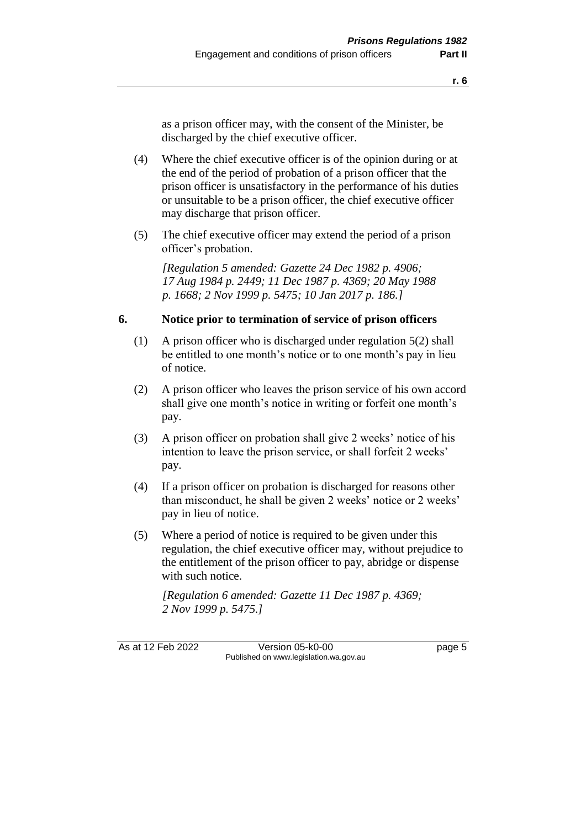as a prison officer may, with the consent of the Minister, be discharged by the chief executive officer.

- (4) Where the chief executive officer is of the opinion during or at the end of the period of probation of a prison officer that the prison officer is unsatisfactory in the performance of his duties or unsuitable to be a prison officer, the chief executive officer may discharge that prison officer.
- (5) The chief executive officer may extend the period of a prison officer's probation.

*[Regulation 5 amended: Gazette 24 Dec 1982 p. 4906; 17 Aug 1984 p. 2449; 11 Dec 1987 p. 4369; 20 May 1988 p. 1668; 2 Nov 1999 p. 5475; 10 Jan 2017 p. 186.]* 

#### **6. Notice prior to termination of service of prison officers**

- (1) A prison officer who is discharged under regulation 5(2) shall be entitled to one month's notice or to one month's pay in lieu of notice.
- (2) A prison officer who leaves the prison service of his own accord shall give one month's notice in writing or forfeit one month's pay.
- (3) A prison officer on probation shall give 2 weeks' notice of his intention to leave the prison service, or shall forfeit 2 weeks' pay.
- (4) If a prison officer on probation is discharged for reasons other than misconduct, he shall be given 2 weeks' notice or 2 weeks' pay in lieu of notice.
- (5) Where a period of notice is required to be given under this regulation, the chief executive officer may, without prejudice to the entitlement of the prison officer to pay, abridge or dispense with such notice.

*[Regulation 6 amended: Gazette 11 Dec 1987 p. 4369; 2 Nov 1999 p. 5475.]* 

As at 12 Feb 2022 Version 05-k0-00 Page 5 Published on www.legislation.wa.gov.au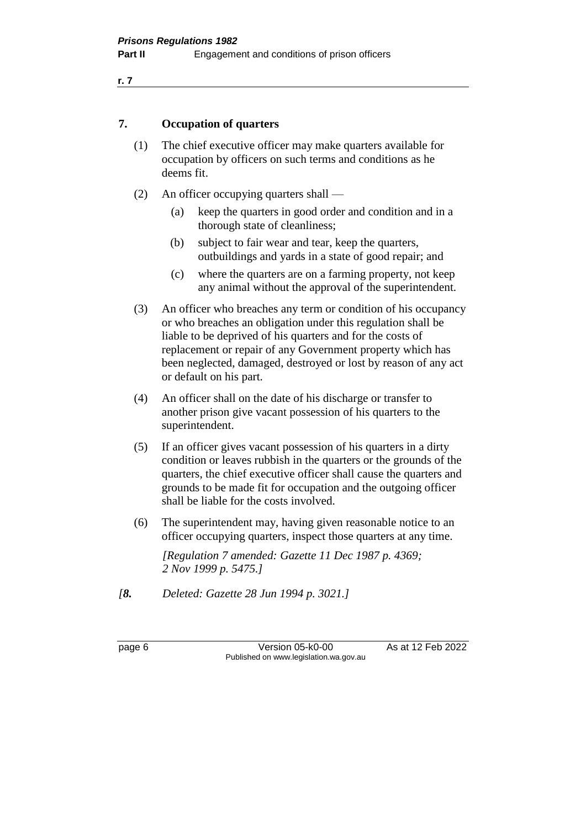#### **7. Occupation of quarters**

- (1) The chief executive officer may make quarters available for occupation by officers on such terms and conditions as he deems fit.
- (2) An officer occupying quarters shall
	- (a) keep the quarters in good order and condition and in a thorough state of cleanliness;
	- (b) subject to fair wear and tear, keep the quarters, outbuildings and yards in a state of good repair; and
	- (c) where the quarters are on a farming property, not keep any animal without the approval of the superintendent.
- (3) An officer who breaches any term or condition of his occupancy or who breaches an obligation under this regulation shall be liable to be deprived of his quarters and for the costs of replacement or repair of any Government property which has been neglected, damaged, destroyed or lost by reason of any act or default on his part.
- (4) An officer shall on the date of his discharge or transfer to another prison give vacant possession of his quarters to the superintendent.
- (5) If an officer gives vacant possession of his quarters in a dirty condition or leaves rubbish in the quarters or the grounds of the quarters, the chief executive officer shall cause the quarters and grounds to be made fit for occupation and the outgoing officer shall be liable for the costs involved.
- (6) The superintendent may, having given reasonable notice to an officer occupying quarters, inspect those quarters at any time.

*[Regulation 7 amended: Gazette 11 Dec 1987 p. 4369; 2 Nov 1999 p. 5475.]* 

*[8. Deleted: Gazette 28 Jun 1994 p. 3021.]* 

page 6 **Version 05-k0-00** As at 12 Feb 2022 Published on www.legislation.wa.gov.au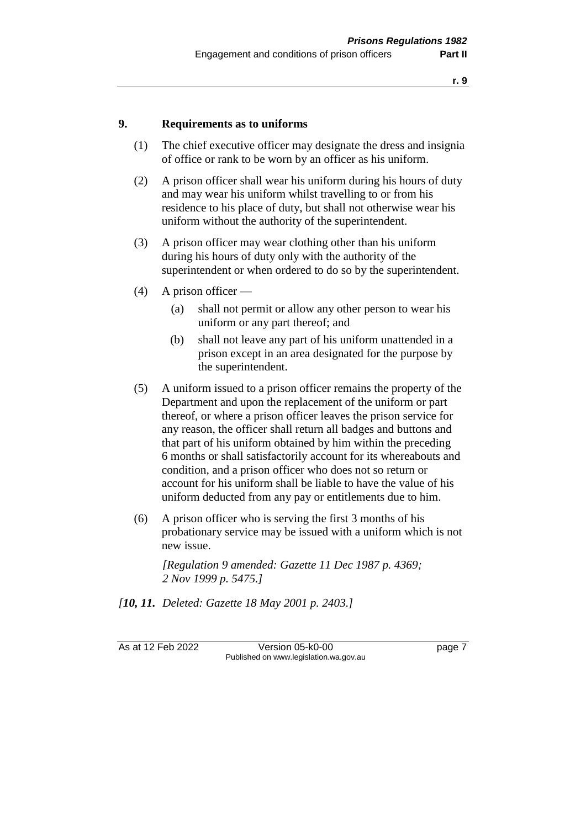#### **9. Requirements as to uniforms**

- (1) The chief executive officer may designate the dress and insignia of office or rank to be worn by an officer as his uniform.
- (2) A prison officer shall wear his uniform during his hours of duty and may wear his uniform whilst travelling to or from his residence to his place of duty, but shall not otherwise wear his uniform without the authority of the superintendent.
- (3) A prison officer may wear clothing other than his uniform during his hours of duty only with the authority of the superintendent or when ordered to do so by the superintendent.
- (4) A prison officer
	- (a) shall not permit or allow any other person to wear his uniform or any part thereof; and
	- (b) shall not leave any part of his uniform unattended in a prison except in an area designated for the purpose by the superintendent.
- (5) A uniform issued to a prison officer remains the property of the Department and upon the replacement of the uniform or part thereof, or where a prison officer leaves the prison service for any reason, the officer shall return all badges and buttons and that part of his uniform obtained by him within the preceding 6 months or shall satisfactorily account for its whereabouts and condition, and a prison officer who does not so return or account for his uniform shall be liable to have the value of his uniform deducted from any pay or entitlements due to him.
- (6) A prison officer who is serving the first 3 months of his probationary service may be issued with a uniform which is not new issue.

*[Regulation 9 amended: Gazette 11 Dec 1987 p. 4369; 2 Nov 1999 p. 5475.]* 

*[10, 11. Deleted: Gazette 18 May 2001 p. 2403.]*

As at 12 Feb 2022 Version 05-k0-00 Page 7 Published on www.legislation.wa.gov.au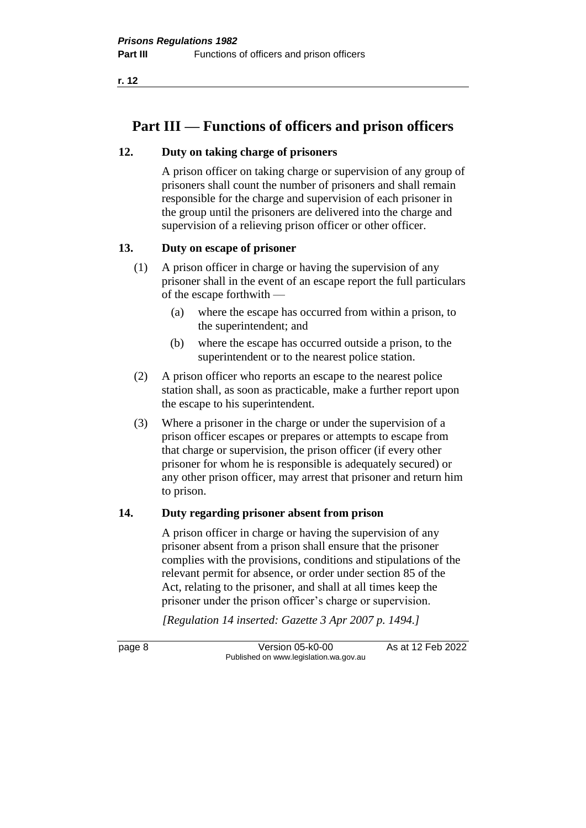**r. 12**

## **Part III — Functions of officers and prison officers**

#### **12. Duty on taking charge of prisoners**

A prison officer on taking charge or supervision of any group of prisoners shall count the number of prisoners and shall remain responsible for the charge and supervision of each prisoner in the group until the prisoners are delivered into the charge and supervision of a relieving prison officer or other officer.

#### **13. Duty on escape of prisoner**

- (1) A prison officer in charge or having the supervision of any prisoner shall in the event of an escape report the full particulars of the escape forthwith —
	- (a) where the escape has occurred from within a prison, to the superintendent; and
	- (b) where the escape has occurred outside a prison, to the superintendent or to the nearest police station.
- (2) A prison officer who reports an escape to the nearest police station shall, as soon as practicable, make a further report upon the escape to his superintendent.
- (3) Where a prisoner in the charge or under the supervision of a prison officer escapes or prepares or attempts to escape from that charge or supervision, the prison officer (if every other prisoner for whom he is responsible is adequately secured) or any other prison officer, may arrest that prisoner and return him to prison.

#### **14. Duty regarding prisoner absent from prison**

A prison officer in charge or having the supervision of any prisoner absent from a prison shall ensure that the prisoner complies with the provisions, conditions and stipulations of the relevant permit for absence, or order under section 85 of the Act, relating to the prisoner, and shall at all times keep the prisoner under the prison officer's charge or supervision.

*[Regulation 14 inserted: Gazette 3 Apr 2007 p. 1494.]*

page 8 Version 05-k0-00 As at 12 Feb 2022 Published on www.legislation.wa.gov.au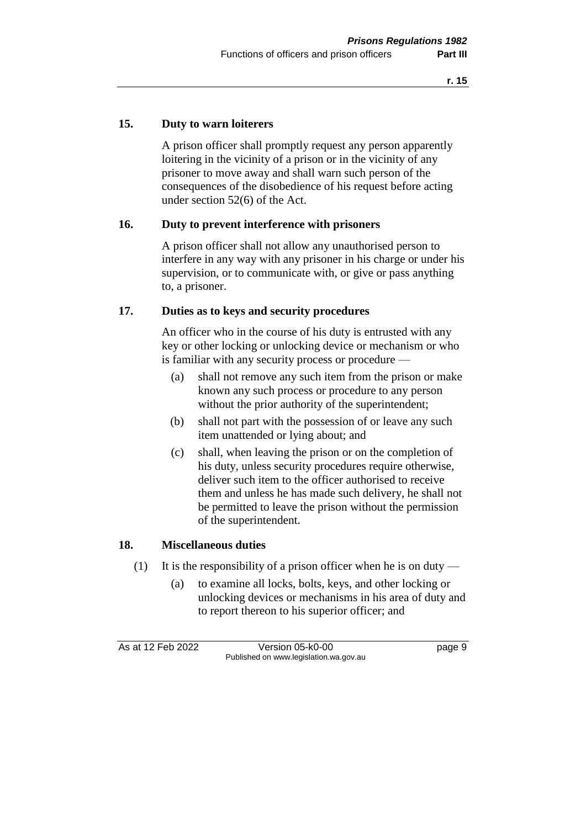#### **15. Duty to warn loiterers**

A prison officer shall promptly request any person apparently loitering in the vicinity of a prison or in the vicinity of any prisoner to move away and shall warn such person of the consequences of the disobedience of his request before acting under section 52(6) of the Act.

#### **16. Duty to prevent interference with prisoners**

A prison officer shall not allow any unauthorised person to interfere in any way with any prisoner in his charge or under his supervision, or to communicate with, or give or pass anything to, a prisoner.

#### **17. Duties as to keys and security procedures**

An officer who in the course of his duty is entrusted with any key or other locking or unlocking device or mechanism or who is familiar with any security process or procedure —

- (a) shall not remove any such item from the prison or make known any such process or procedure to any person without the prior authority of the superintendent;
- (b) shall not part with the possession of or leave any such item unattended or lying about; and
- (c) shall, when leaving the prison or on the completion of his duty, unless security procedures require otherwise, deliver such item to the officer authorised to receive them and unless he has made such delivery, he shall not be permitted to leave the prison without the permission of the superintendent.

#### **18. Miscellaneous duties**

- (1) It is the responsibility of a prison officer when he is on duty
	- (a) to examine all locks, bolts, keys, and other locking or unlocking devices or mechanisms in his area of duty and to report thereon to his superior officer; and

As at 12 Feb 2022 Version 05-k0-00 Page 9 Published on www.legislation.wa.gov.au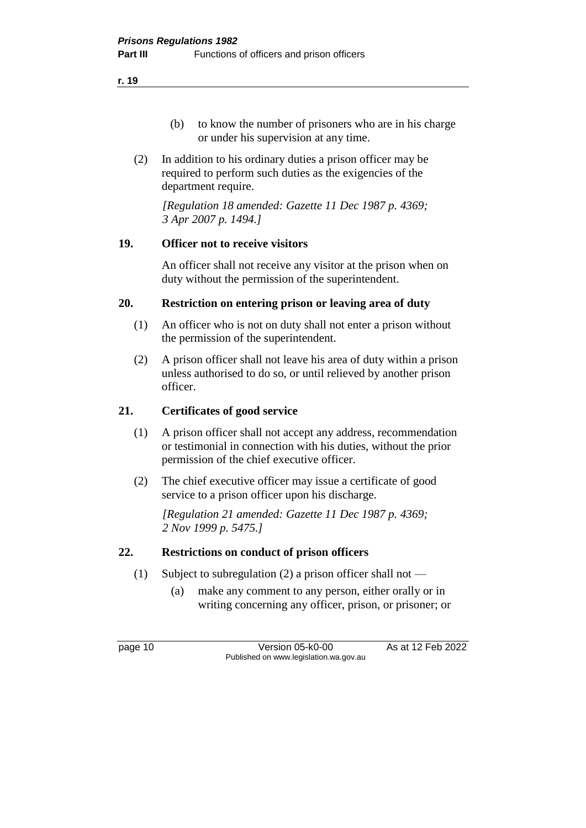- (b) to know the number of prisoners who are in his charge or under his supervision at any time.
- (2) In addition to his ordinary duties a prison officer may be required to perform such duties as the exigencies of the department require.

*[Regulation 18 amended: Gazette 11 Dec 1987 p. 4369; 3 Apr 2007 p. 1494.]* 

#### **19. Officer not to receive visitors**

An officer shall not receive any visitor at the prison when on duty without the permission of the superintendent.

#### **20. Restriction on entering prison or leaving area of duty**

- (1) An officer who is not on duty shall not enter a prison without the permission of the superintendent.
- (2) A prison officer shall not leave his area of duty within a prison unless authorised to do so, or until relieved by another prison officer.

#### **21. Certificates of good service**

- (1) A prison officer shall not accept any address, recommendation or testimonial in connection with his duties, without the prior permission of the chief executive officer.
- (2) The chief executive officer may issue a certificate of good service to a prison officer upon his discharge.

*[Regulation 21 amended: Gazette 11 Dec 1987 p. 4369; 2 Nov 1999 p. 5475.]*

#### **22. Restrictions on conduct of prison officers**

- (1) Subject to subregulation (2) a prison officer shall not
	- (a) make any comment to any person, either orally or in writing concerning any officer, prison, or prisoner; or

page 10 **Version 05-k0-00** As at 12 Feb 2022 Published on www.legislation.wa.gov.au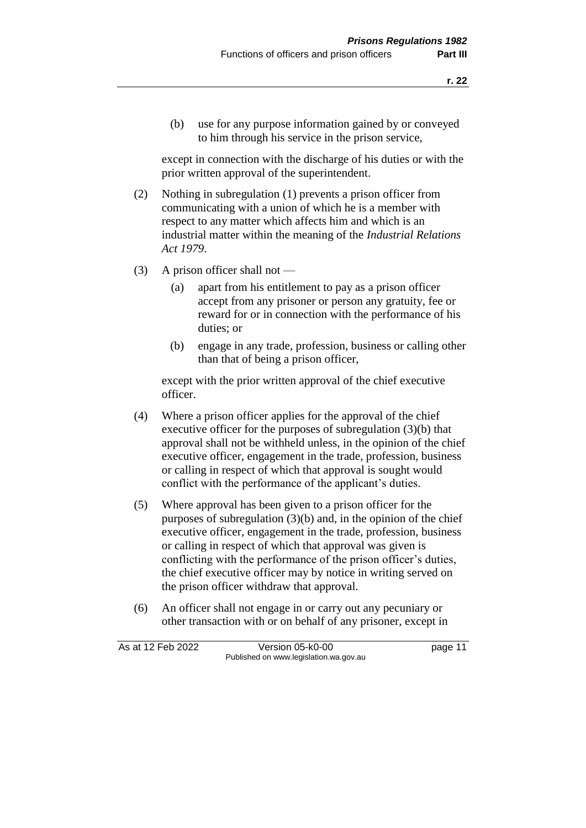(b) use for any purpose information gained by or conveyed to him through his service in the prison service,

except in connection with the discharge of his duties or with the prior written approval of the superintendent.

- (2) Nothing in subregulation (1) prevents a prison officer from communicating with a union of which he is a member with respect to any matter which affects him and which is an industrial matter within the meaning of the *Industrial Relations Act 1979*.
- (3) A prison officer shall not
	- (a) apart from his entitlement to pay as a prison officer accept from any prisoner or person any gratuity, fee or reward for or in connection with the performance of his duties; or
	- (b) engage in any trade, profession, business or calling other than that of being a prison officer,

except with the prior written approval of the chief executive officer.

- (4) Where a prison officer applies for the approval of the chief executive officer for the purposes of subregulation (3)(b) that approval shall not be withheld unless, in the opinion of the chief executive officer, engagement in the trade, profession, business or calling in respect of which that approval is sought would conflict with the performance of the applicant's duties.
- (5) Where approval has been given to a prison officer for the purposes of subregulation (3)(b) and, in the opinion of the chief executive officer, engagement in the trade, profession, business or calling in respect of which that approval was given is conflicting with the performance of the prison officer's duties, the chief executive officer may by notice in writing served on the prison officer withdraw that approval.
- (6) An officer shall not engage in or carry out any pecuniary or other transaction with or on behalf of any prisoner, except in

| As at 12 Feb 2022 | Version 05-k0-00                       | page 11 |
|-------------------|----------------------------------------|---------|
|                   | Published on www.legislation.wa.gov.au |         |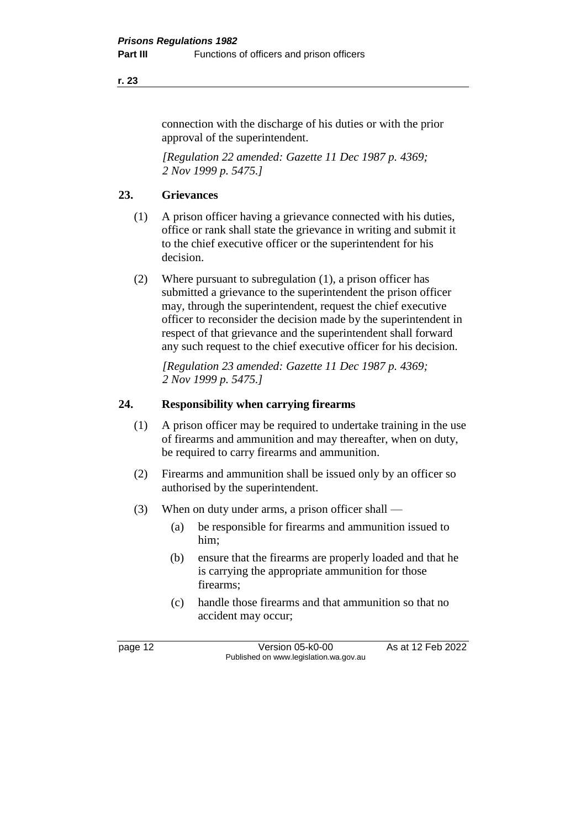#### **r. 23**

connection with the discharge of his duties or with the prior approval of the superintendent.

*[Regulation 22 amended: Gazette 11 Dec 1987 p. 4369; 2 Nov 1999 p. 5475.]* 

#### **23. Grievances**

- (1) A prison officer having a grievance connected with his duties, office or rank shall state the grievance in writing and submit it to the chief executive officer or the superintendent for his decision.
- (2) Where pursuant to subregulation (1), a prison officer has submitted a grievance to the superintendent the prison officer may, through the superintendent, request the chief executive officer to reconsider the decision made by the superintendent in respect of that grievance and the superintendent shall forward any such request to the chief executive officer for his decision.

*[Regulation 23 amended: Gazette 11 Dec 1987 p. 4369; 2 Nov 1999 p. 5475.]* 

#### **24. Responsibility when carrying firearms**

- (1) A prison officer may be required to undertake training in the use of firearms and ammunition and may thereafter, when on duty, be required to carry firearms and ammunition.
- (2) Firearms and ammunition shall be issued only by an officer so authorised by the superintendent.
- (3) When on duty under arms, a prison officer shall
	- (a) be responsible for firearms and ammunition issued to him;
	- (b) ensure that the firearms are properly loaded and that he is carrying the appropriate ammunition for those firearms;
	- (c) handle those firearms and that ammunition so that no accident may occur;

page 12 Version 05-k0-00 As at 12 Feb 2022 Published on www.legislation.wa.gov.au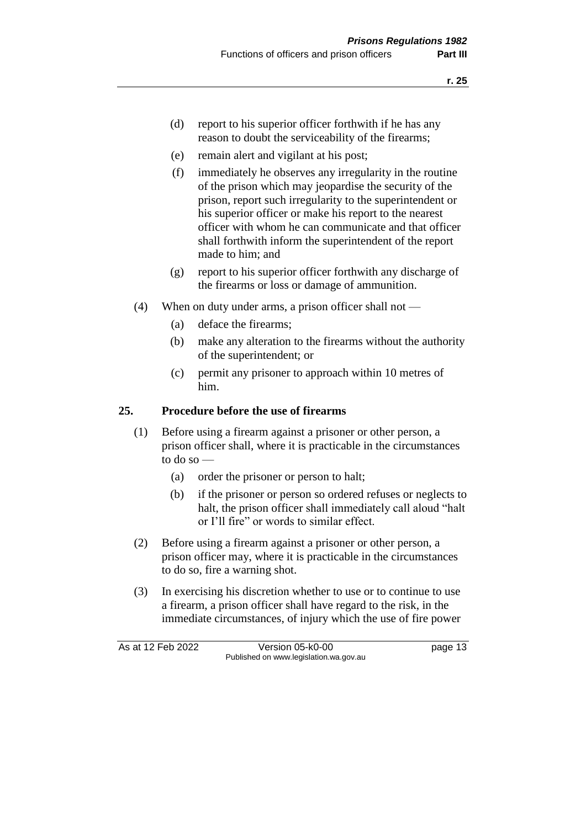- (d) report to his superior officer forthwith if he has any reason to doubt the serviceability of the firearms;
- (e) remain alert and vigilant at his post;
- (f) immediately he observes any irregularity in the routine of the prison which may jeopardise the security of the prison, report such irregularity to the superintendent or his superior officer or make his report to the nearest officer with whom he can communicate and that officer shall forthwith inform the superintendent of the report made to him; and
- (g) report to his superior officer forthwith any discharge of the firearms or loss or damage of ammunition.
- (4) When on duty under arms, a prison officer shall not
	- (a) deface the firearms;
	- (b) make any alteration to the firearms without the authority of the superintendent; or
	- (c) permit any prisoner to approach within 10 metres of him.

#### **25. Procedure before the use of firearms**

- (1) Before using a firearm against a prisoner or other person, a prison officer shall, where it is practicable in the circumstances to do so —
	- (a) order the prisoner or person to halt;
	- (b) if the prisoner or person so ordered refuses or neglects to halt, the prison officer shall immediately call aloud "halt or I'll fire" or words to similar effect.
- (2) Before using a firearm against a prisoner or other person, a prison officer may, where it is practicable in the circumstances to do so, fire a warning shot.
- (3) In exercising his discretion whether to use or to continue to use a firearm, a prison officer shall have regard to the risk, in the immediate circumstances, of injury which the use of fire power

As at 12 Feb 2022 Version 05-k0-00 Page 13 Published on www.legislation.wa.gov.au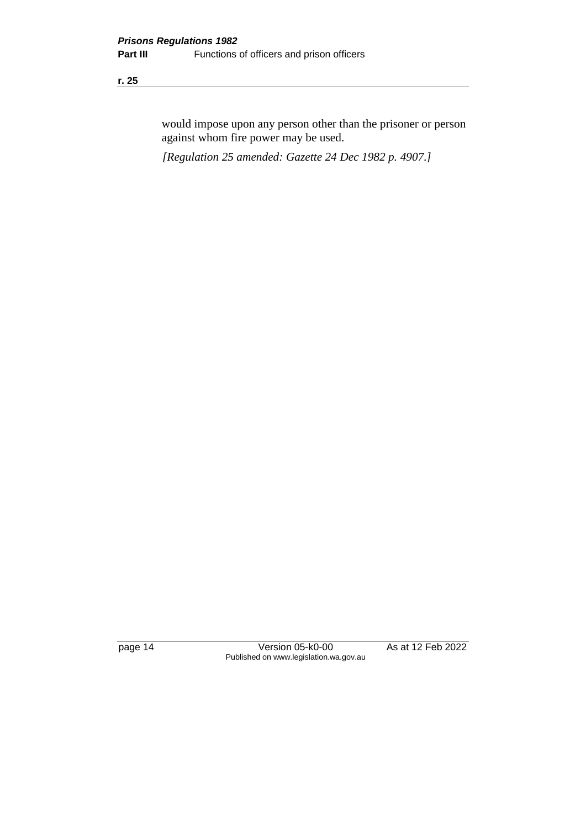#### **r. 25**

would impose upon any person other than the prisoner or person against whom fire power may be used.

*[Regulation 25 amended: Gazette 24 Dec 1982 p. 4907.]*

page 14 Version 05-k0-00 As at 12 Feb 2022 Published on www.legislation.wa.gov.au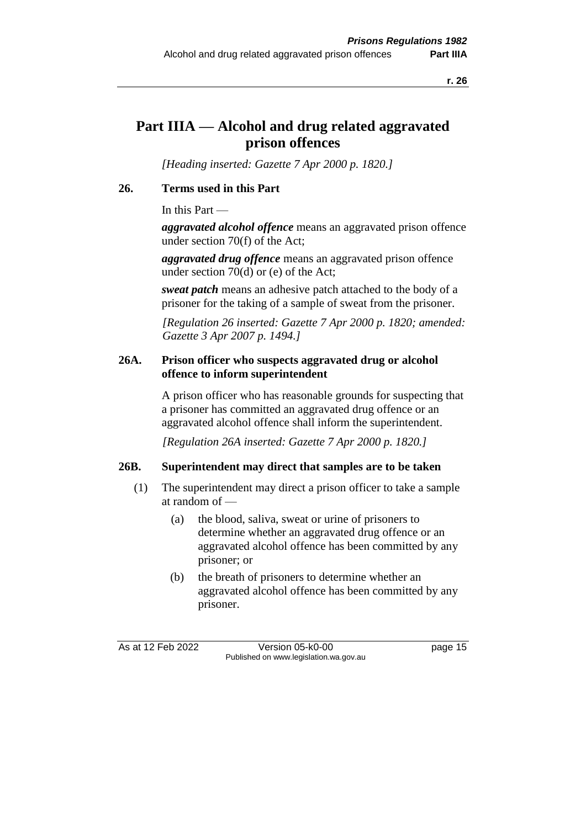### **Part IIIA — Alcohol and drug related aggravated prison offences**

*[Heading inserted: Gazette 7 Apr 2000 p. 1820.]*

#### **26. Terms used in this Part**

In this Part —

*aggravated alcohol offence* means an aggravated prison offence under section 70(f) of the Act;

*aggravated drug offence* means an aggravated prison offence under section 70(d) or (e) of the Act;

*sweat patch* means an adhesive patch attached to the body of a prisoner for the taking of a sample of sweat from the prisoner.

*[Regulation 26 inserted: Gazette 7 Apr 2000 p. 1820; amended: Gazette 3 Apr 2007 p. 1494.]*

#### **26A. Prison officer who suspects aggravated drug or alcohol offence to inform superintendent**

A prison officer who has reasonable grounds for suspecting that a prisoner has committed an aggravated drug offence or an aggravated alcohol offence shall inform the superintendent.

*[Regulation 26A inserted: Gazette 7 Apr 2000 p. 1820.]*

#### **26B. Superintendent may direct that samples are to be taken**

- (1) The superintendent may direct a prison officer to take a sample at random of —
	- (a) the blood, saliva, sweat or urine of prisoners to determine whether an aggravated drug offence or an aggravated alcohol offence has been committed by any prisoner; or
	- (b) the breath of prisoners to determine whether an aggravated alcohol offence has been committed by any prisoner.

As at 12 Feb 2022 Version 05-k0-00 Page 15 Published on www.legislation.wa.gov.au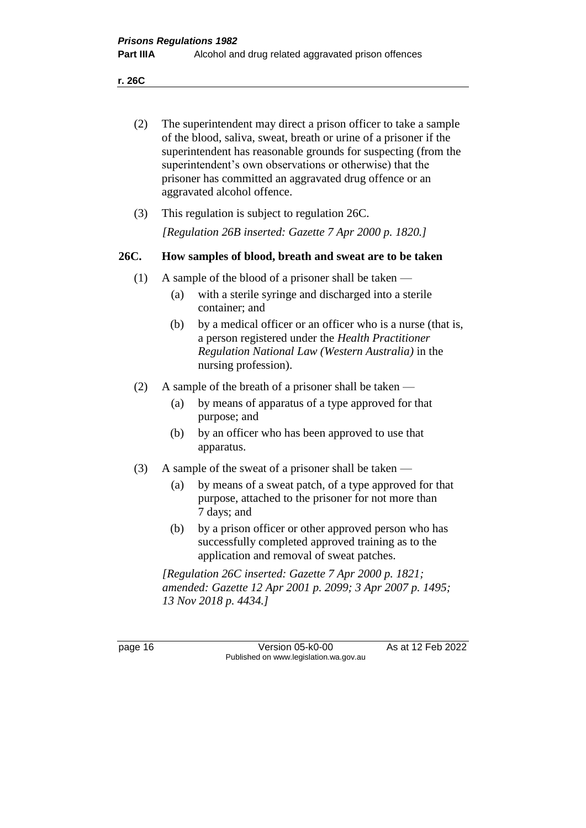**r. 26C**

| (2) | The superintendent may direct a prison officer to take a sample<br>of the blood, saliva, sweat, breath or urine of a prisoner if the<br>superintendent has reasonable grounds for suspecting (from the<br>superintendent's own observations or otherwise) that the<br>prisoner has committed an aggravated drug offence or an<br>aggravated alcohol offence. |
|-----|--------------------------------------------------------------------------------------------------------------------------------------------------------------------------------------------------------------------------------------------------------------------------------------------------------------------------------------------------------------|
|     |                                                                                                                                                                                                                                                                                                                                                              |
|     |                                                                                                                                                                                                                                                                                                                                                              |

(3) This regulation is subject to regulation 26C. *[Regulation 26B inserted: Gazette 7 Apr 2000 p. 1820.]*

#### **26C. How samples of blood, breath and sweat are to be taken**

- (1) A sample of the blood of a prisoner shall be taken
	- (a) with a sterile syringe and discharged into a sterile container; and
	- (b) by a medical officer or an officer who is a nurse (that is, a person registered under the *Health Practitioner Regulation National Law (Western Australia)* in the nursing profession).
- (2) A sample of the breath of a prisoner shall be taken
	- (a) by means of apparatus of a type approved for that purpose; and
	- (b) by an officer who has been approved to use that apparatus.
- (3) A sample of the sweat of a prisoner shall be taken
	- (a) by means of a sweat patch, of a type approved for that purpose, attached to the prisoner for not more than 7 days; and
	- (b) by a prison officer or other approved person who has successfully completed approved training as to the application and removal of sweat patches.

*[Regulation 26C inserted: Gazette 7 Apr 2000 p. 1821; amended: Gazette 12 Apr 2001 p. 2099; 3 Apr 2007 p. 1495; 13 Nov 2018 p. 4434.]*

page 16 Version 05-k0-00 As at 12 Feb 2022 Published on www.legislation.wa.gov.au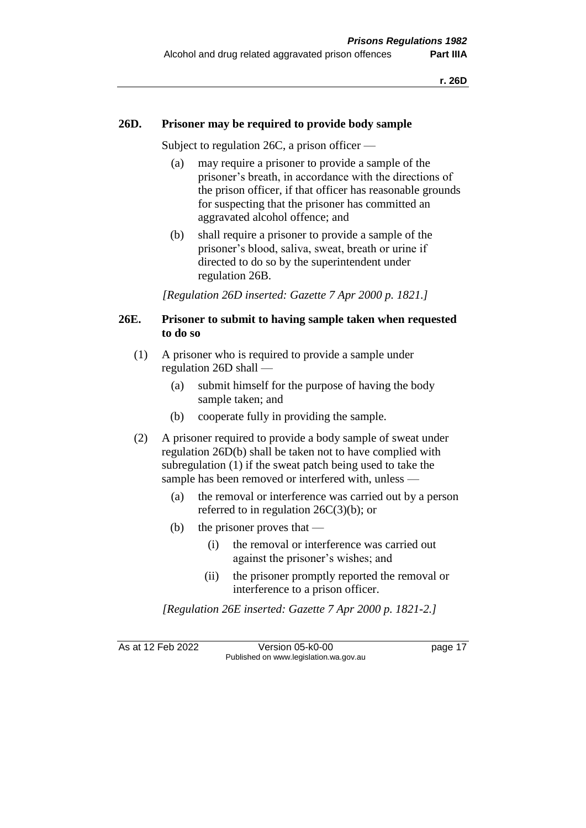#### **26D. Prisoner may be required to provide body sample**

Subject to regulation 26C, a prison officer —

- (a) may require a prisoner to provide a sample of the prisoner's breath, in accordance with the directions of the prison officer, if that officer has reasonable grounds for suspecting that the prisoner has committed an aggravated alcohol offence; and
- (b) shall require a prisoner to provide a sample of the prisoner's blood, saliva, sweat, breath or urine if directed to do so by the superintendent under regulation 26B.

*[Regulation 26D inserted: Gazette 7 Apr 2000 p. 1821.]*

#### **26E. Prisoner to submit to having sample taken when requested to do so**

- (1) A prisoner who is required to provide a sample under regulation 26D shall —
	- (a) submit himself for the purpose of having the body sample taken; and
	- (b) cooperate fully in providing the sample.
- (2) A prisoner required to provide a body sample of sweat under regulation 26D(b) shall be taken not to have complied with subregulation (1) if the sweat patch being used to take the sample has been removed or interfered with, unless —
	- (a) the removal or interference was carried out by a person referred to in regulation  $26C(3)(b)$ ; or
	- (b) the prisoner proves that
		- (i) the removal or interference was carried out against the prisoner's wishes; and
		- (ii) the prisoner promptly reported the removal or interference to a prison officer.

*[Regulation 26E inserted: Gazette 7 Apr 2000 p. 1821-2.]*

As at 12 Feb 2022 Version 05-k0-00 page 17 Published on www.legislation.wa.gov.au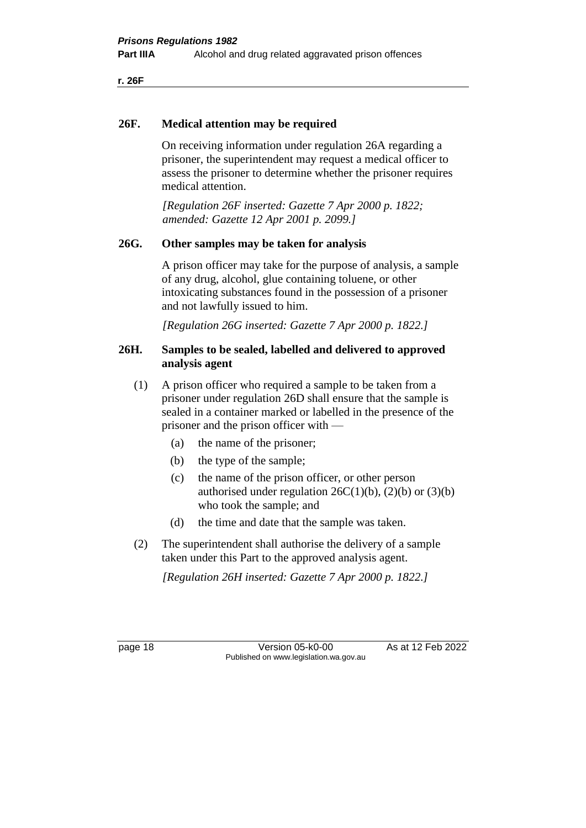**r. 26F**

#### **26F. Medical attention may be required**

On receiving information under regulation 26A regarding a prisoner, the superintendent may request a medical officer to assess the prisoner to determine whether the prisoner requires medical attention.

*[Regulation 26F inserted: Gazette 7 Apr 2000 p. 1822; amended: Gazette 12 Apr 2001 p. 2099.]*

#### **26G. Other samples may be taken for analysis**

A prison officer may take for the purpose of analysis, a sample of any drug, alcohol, glue containing toluene, or other intoxicating substances found in the possession of a prisoner and not lawfully issued to him.

*[Regulation 26G inserted: Gazette 7 Apr 2000 p. 1822.]*

#### **26H. Samples to be sealed, labelled and delivered to approved analysis agent**

- (1) A prison officer who required a sample to be taken from a prisoner under regulation 26D shall ensure that the sample is sealed in a container marked or labelled in the presence of the prisoner and the prison officer with —
	- (a) the name of the prisoner;
	- (b) the type of the sample;
	- (c) the name of the prison officer, or other person authorised under regulation  $26C(1)(b)$ ,  $(2)(b)$  or  $(3)(b)$ who took the sample; and
	- (d) the time and date that the sample was taken.
- (2) The superintendent shall authorise the delivery of a sample taken under this Part to the approved analysis agent.

*[Regulation 26H inserted: Gazette 7 Apr 2000 p. 1822.]*

page 18 **Version 05-k0-00** As at 12 Feb 2022 Published on www.legislation.wa.gov.au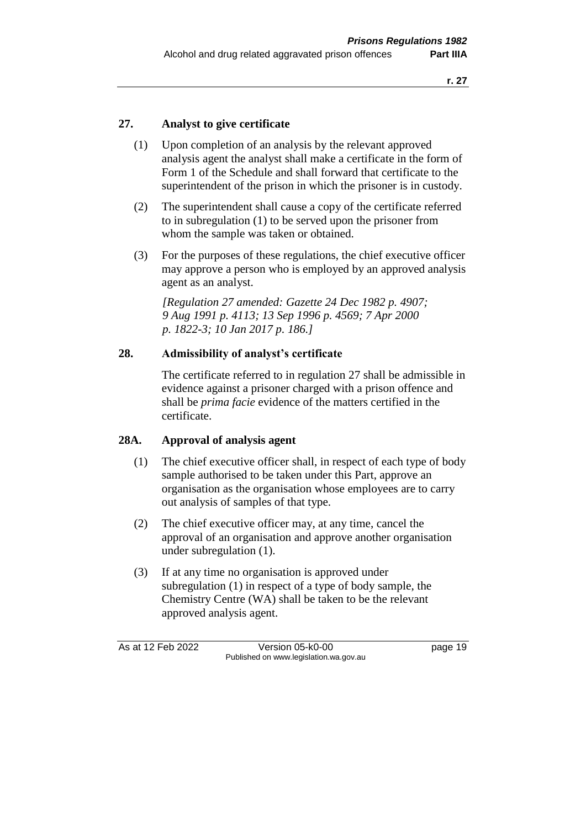#### **27. Analyst to give certificate**

- (1) Upon completion of an analysis by the relevant approved analysis agent the analyst shall make a certificate in the form of Form 1 of the Schedule and shall forward that certificate to the superintendent of the prison in which the prisoner is in custody.
- (2) The superintendent shall cause a copy of the certificate referred to in subregulation (1) to be served upon the prisoner from whom the sample was taken or obtained.
- (3) For the purposes of these regulations, the chief executive officer may approve a person who is employed by an approved analysis agent as an analyst.

*[Regulation 27 amended: Gazette 24 Dec 1982 p. 4907; 9 Aug 1991 p. 4113; 13 Sep 1996 p. 4569; 7 Apr 2000 p. 1822-3; 10 Jan 2017 p. 186.]* 

#### **28. Admissibility of analyst's certificate**

The certificate referred to in regulation 27 shall be admissible in evidence against a prisoner charged with a prison offence and shall be *prima facie* evidence of the matters certified in the certificate.

#### **28A. Approval of analysis agent**

- (1) The chief executive officer shall, in respect of each type of body sample authorised to be taken under this Part, approve an organisation as the organisation whose employees are to carry out analysis of samples of that type.
- (2) The chief executive officer may, at any time, cancel the approval of an organisation and approve another organisation under subregulation (1).
- (3) If at any time no organisation is approved under subregulation (1) in respect of a type of body sample, the Chemistry Centre (WA) shall be taken to be the relevant approved analysis agent.

As at 12 Feb 2022 Version 05-k0-00 page 19 Published on www.legislation.wa.gov.au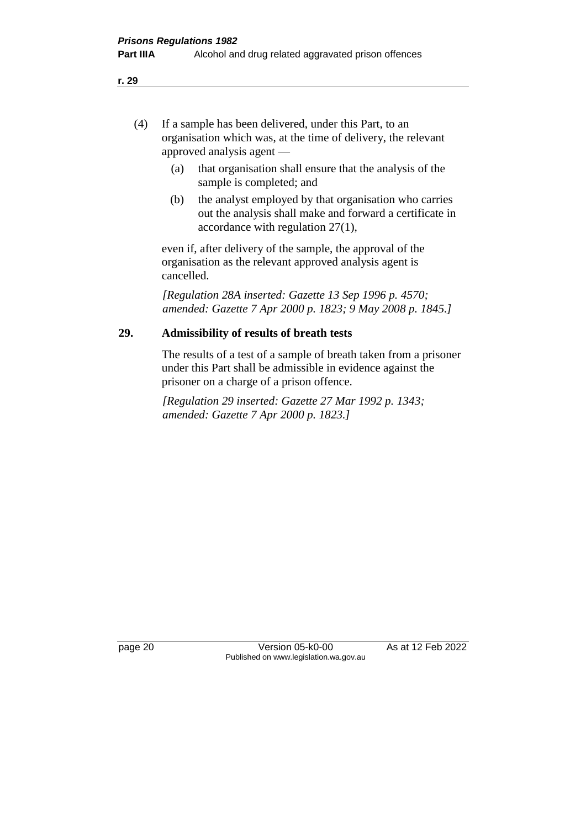- (4) If a sample has been delivered, under this Part, to an organisation which was, at the time of delivery, the relevant approved analysis agent —
	- (a) that organisation shall ensure that the analysis of the sample is completed; and
	- (b) the analyst employed by that organisation who carries out the analysis shall make and forward a certificate in accordance with regulation 27(1),

even if, after delivery of the sample, the approval of the organisation as the relevant approved analysis agent is cancelled.

*[Regulation 28A inserted: Gazette 13 Sep 1996 p. 4570; amended: Gazette 7 Apr 2000 p. 1823; 9 May 2008 p. 1845.]* 

#### **29. Admissibility of results of breath tests**

The results of a test of a sample of breath taken from a prisoner under this Part shall be admissible in evidence against the prisoner on a charge of a prison offence.

*[Regulation 29 inserted: Gazette 27 Mar 1992 p. 1343; amended: Gazette 7 Apr 2000 p. 1823.]* 

page 20 **Version 05-k0-00** As at 12 Feb 2022 Published on www.legislation.wa.gov.au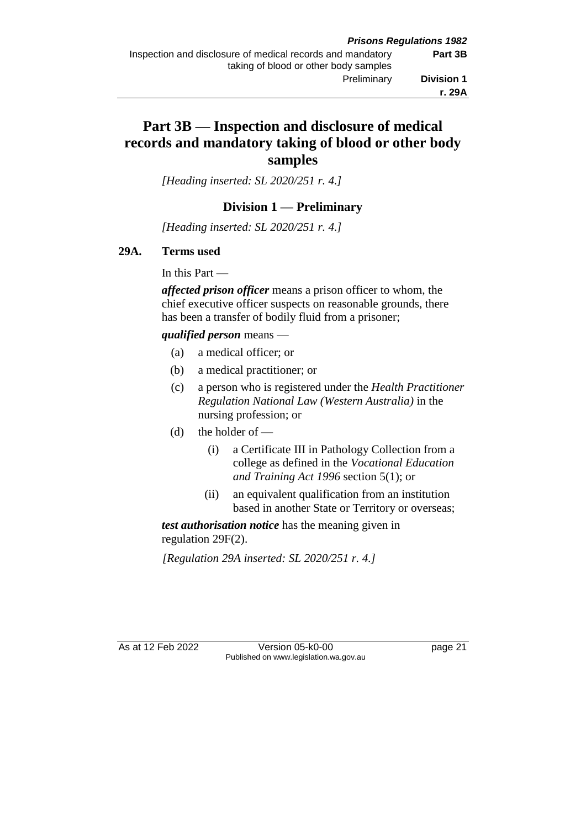## **Part 3B — Inspection and disclosure of medical records and mandatory taking of blood or other body samples**

*[Heading inserted: SL 2020/251 r. 4.]*

#### **Division 1 — Preliminary**

*[Heading inserted: SL 2020/251 r. 4.]*

#### **29A. Terms used**

In this Part —

*affected prison officer* means a prison officer to whom, the chief executive officer suspects on reasonable grounds, there has been a transfer of bodily fluid from a prisoner;

#### *qualified person* means —

- (a) a medical officer; or
- (b) a medical practitioner; or
- (c) a person who is registered under the *Health Practitioner Regulation National Law (Western Australia)* in the nursing profession; or
- (d) the holder of  $-$ 
	- (i) a Certificate III in Pathology Collection from a college as defined in the *Vocational Education and Training Act 1996* section 5(1); or
	- (ii) an equivalent qualification from an institution based in another State or Territory or overseas;

*test authorisation notice* has the meaning given in regulation 29F(2).

*[Regulation 29A inserted: SL 2020/251 r. 4.]*

As at 12 Feb 2022 Version 05-k0-00 page 21 Published on www.legislation.wa.gov.au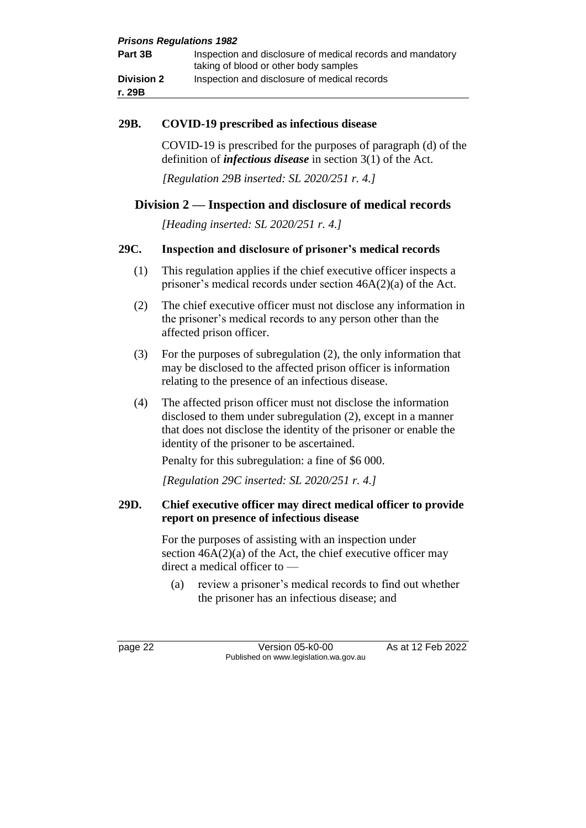| <b>Prisons Regulations 1982</b> |                                                                                                     |  |
|---------------------------------|-----------------------------------------------------------------------------------------------------|--|
| Part 3B                         | Inspection and disclosure of medical records and mandatory<br>taking of blood or other body samples |  |
| <b>Division 2</b>               | Inspection and disclosure of medical records                                                        |  |
| r. 29B                          |                                                                                                     |  |

#### **29B. COVID-19 prescribed as infectious disease**

COVID-19 is prescribed for the purposes of paragraph (d) of the definition of *infectious disease* in section 3(1) of the Act.

*[Regulation 29B inserted: SL 2020/251 r. 4.]*

#### **Division 2 — Inspection and disclosure of medical records**

*[Heading inserted: SL 2020/251 r. 4.]*

#### **29C. Inspection and disclosure of prisoner's medical records**

- (1) This regulation applies if the chief executive officer inspects a prisoner's medical records under section 46A(2)(a) of the Act.
- (2) The chief executive officer must not disclose any information in the prisoner's medical records to any person other than the affected prison officer.
- (3) For the purposes of subregulation (2), the only information that may be disclosed to the affected prison officer is information relating to the presence of an infectious disease.
- (4) The affected prison officer must not disclose the information disclosed to them under subregulation (2), except in a manner that does not disclose the identity of the prisoner or enable the identity of the prisoner to be ascertained.

Penalty for this subregulation: a fine of \$6 000.

*[Regulation 29C inserted: SL 2020/251 r. 4.]*

#### **29D. Chief executive officer may direct medical officer to provide report on presence of infectious disease**

For the purposes of assisting with an inspection under section  $46A(2)(a)$  of the Act, the chief executive officer may direct a medical officer to —

(a) review a prisoner's medical records to find out whether the prisoner has an infectious disease; and

page 22 Version 05-k0-00 As at 12 Feb 2022 Published on www.legislation.wa.gov.au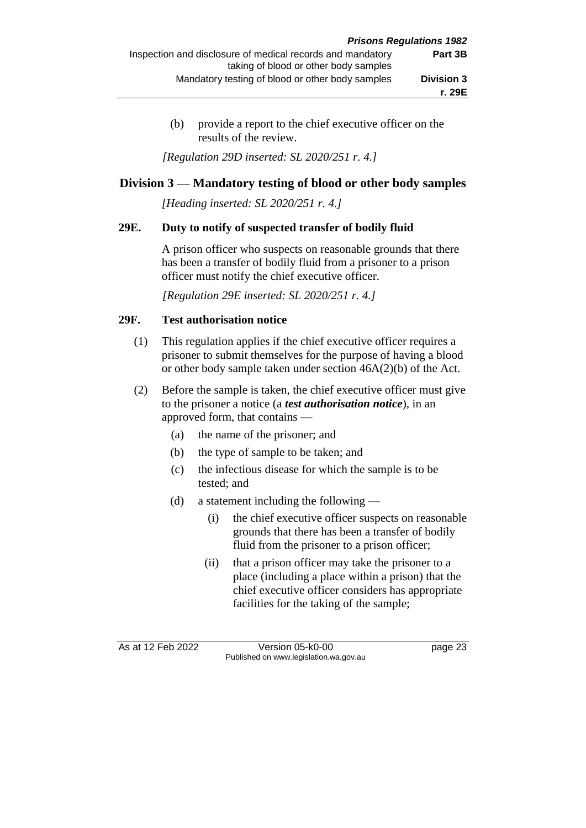(b) provide a report to the chief executive officer on the results of the review.

*[Regulation 29D inserted: SL 2020/251 r. 4.]*

#### **Division 3 — Mandatory testing of blood or other body samples**

*[Heading inserted: SL 2020/251 r. 4.]*

#### **29E. Duty to notify of suspected transfer of bodily fluid**

A prison officer who suspects on reasonable grounds that there has been a transfer of bodily fluid from a prisoner to a prison officer must notify the chief executive officer.

*[Regulation 29E inserted: SL 2020/251 r. 4.]*

#### **29F. Test authorisation notice**

- (1) This regulation applies if the chief executive officer requires a prisoner to submit themselves for the purpose of having a blood or other body sample taken under section 46A(2)(b) of the Act.
- (2) Before the sample is taken, the chief executive officer must give to the prisoner a notice (a *test authorisation notice*), in an approved form, that contains —
	- (a) the name of the prisoner; and
	- (b) the type of sample to be taken; and
	- (c) the infectious disease for which the sample is to be tested; and
	- (d) a statement including the following
		- (i) the chief executive officer suspects on reasonable grounds that there has been a transfer of bodily fluid from the prisoner to a prison officer;
		- (ii) that a prison officer may take the prisoner to a place (including a place within a prison) that the chief executive officer considers has appropriate facilities for the taking of the sample;

As at 12 Feb 2022 Version 05-k0-00 page 23 Published on www.legislation.wa.gov.au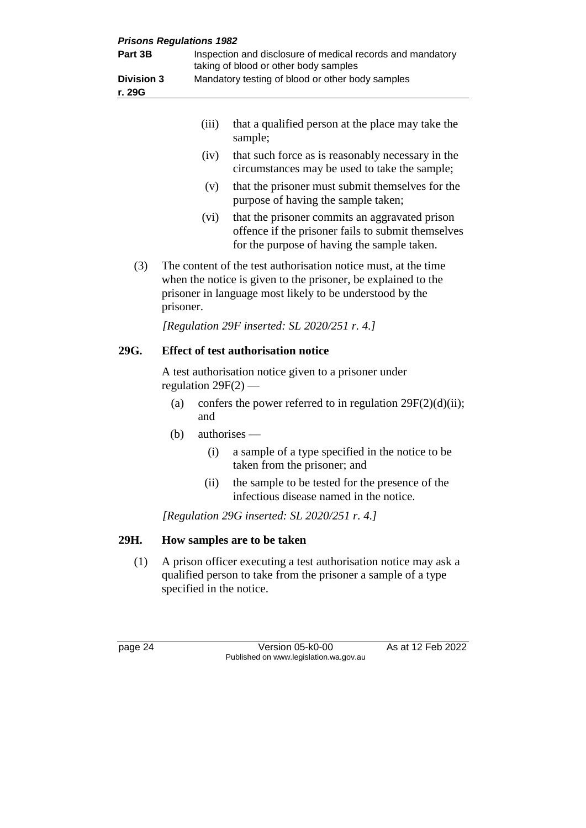| <b>Prisons Regulations 1982</b><br>Part 3B |                                                                                                                                                                                                          |       | Inspection and disclosure of medical records and mandatory<br>taking of blood or other body samples                                                 |
|--------------------------------------------|----------------------------------------------------------------------------------------------------------------------------------------------------------------------------------------------------------|-------|-----------------------------------------------------------------------------------------------------------------------------------------------------|
| <b>Division 3</b><br>r. 29G                |                                                                                                                                                                                                          |       | Mandatory testing of blood or other body samples                                                                                                    |
|                                            |                                                                                                                                                                                                          | (iii) | that a qualified person at the place may take the<br>sample;                                                                                        |
|                                            |                                                                                                                                                                                                          | (iv)  | that such force as is reasonably necessary in the<br>circumstances may be used to take the sample;                                                  |
|                                            |                                                                                                                                                                                                          | (v)   | that the prisoner must submit themselves for the<br>purpose of having the sample taken;                                                             |
|                                            |                                                                                                                                                                                                          | (vi)  | that the prisoner commits an aggravated prison<br>offence if the prisoner fails to submit themselves<br>for the purpose of having the sample taken. |
| (3)                                        | The content of the test authorisation notice must, at the time<br>when the notice is given to the prisoner, be explained to the<br>prisoner in language most likely to be understood by the<br>prisoner. |       |                                                                                                                                                     |
|                                            |                                                                                                                                                                                                          |       | [Regulation 29F inserted: SL 2020/251 r. 4.]                                                                                                        |
| 29G.                                       | <b>Effect of test authorisation notice</b>                                                                                                                                                               |       |                                                                                                                                                     |
|                                            | A test authorisation notice given to a prisoner under<br>regulation $29F(2)$ -                                                                                                                           |       |                                                                                                                                                     |
|                                            | (a)                                                                                                                                                                                                      | and   | confers the power referred to in regulation $29F(2)(d)(ii)$ ;                                                                                       |
|                                            | (b)<br>$authors -$                                                                                                                                                                                       |       |                                                                                                                                                     |
|                                            |                                                                                                                                                                                                          | (i)   | a sample of a type specified in the notice to be<br>taken from the prisoner; and                                                                    |
|                                            |                                                                                                                                                                                                          | (ii)  | the sample to be tested for the presence of the<br>infectious disease named in the notice.                                                          |
|                                            |                                                                                                                                                                                                          |       | [Regulation 29G inserted: $SL$ 2020/251 r. 4.]                                                                                                      |
| 29H.                                       | How samples are to be taken                                                                                                                                                                              |       |                                                                                                                                                     |
| (1)                                        | A prison officer executing a test authorisation notice may ask a<br>qualified person to take from the prisoner a sample of a type<br>specified in the notice.                                            |       |                                                                                                                                                     |
|                                            |                                                                                                                                                                                                          |       |                                                                                                                                                     |
| page 24                                    |                                                                                                                                                                                                          |       | As at 12 Feb 2022<br>Version 05-k0-00<br>Published on www.legislation.wa.gov.au                                                                     |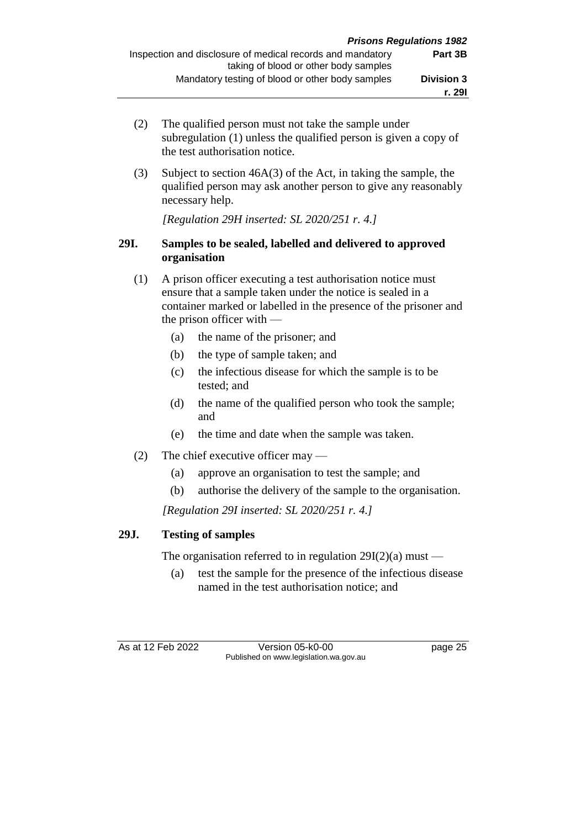- (2) The qualified person must not take the sample under subregulation (1) unless the qualified person is given a copy of the test authorisation notice.
- (3) Subject to section 46A(3) of the Act, in taking the sample, the qualified person may ask another person to give any reasonably necessary help.

*[Regulation 29H inserted: SL 2020/251 r. 4.]*

#### **29I. Samples to be sealed, labelled and delivered to approved organisation**

- (1) A prison officer executing a test authorisation notice must ensure that a sample taken under the notice is sealed in a container marked or labelled in the presence of the prisoner and the prison officer with —
	- (a) the name of the prisoner; and
	- (b) the type of sample taken; and
	- (c) the infectious disease for which the sample is to be tested; and
	- (d) the name of the qualified person who took the sample; and
	- (e) the time and date when the sample was taken.
- (2) The chief executive officer may
	- (a) approve an organisation to test the sample; and
	- (b) authorise the delivery of the sample to the organisation.

*[Regulation 29I inserted: SL 2020/251 r. 4.]*

#### **29J. Testing of samples**

The organisation referred to in regulation  $29I(2)(a)$  must —

(a) test the sample for the presence of the infectious disease named in the test authorisation notice; and

As at 12 Feb 2022 Version 05-k0-00 page 25 Published on www.legislation.wa.gov.au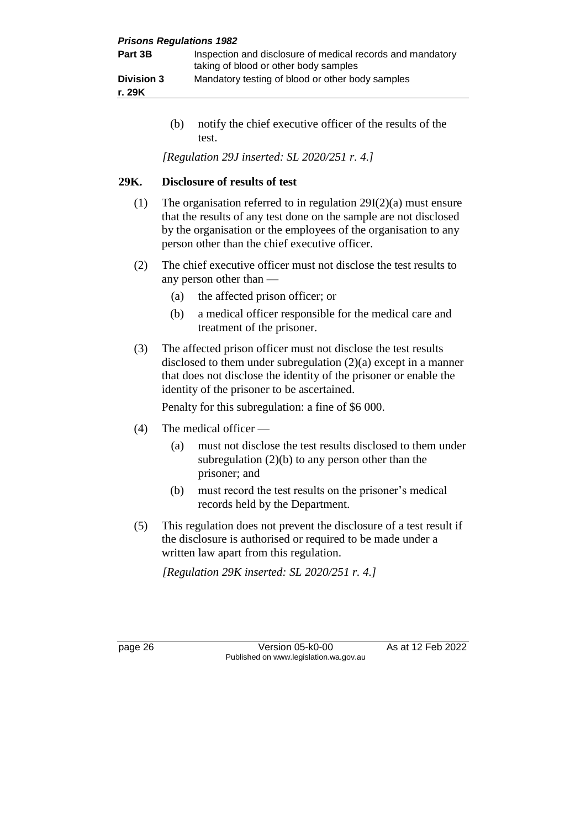| <b>Prisons Regulations 1982</b> |                                                                                                     |
|---------------------------------|-----------------------------------------------------------------------------------------------------|
| Part 3B                         | Inspection and disclosure of medical records and mandatory<br>taking of blood or other body samples |
| <b>Division 3</b>               | Mandatory testing of blood or other body samples                                                    |
| r. 29K                          |                                                                                                     |

(b) notify the chief executive officer of the results of the test.

*[Regulation 29J inserted: SL 2020/251 r. 4.]*

#### **29K. Disclosure of results of test**

- (1) The organisation referred to in regulation 29I(2)(a) must ensure that the results of any test done on the sample are not disclosed by the organisation or the employees of the organisation to any person other than the chief executive officer.
- (2) The chief executive officer must not disclose the test results to any person other than —
	- (a) the affected prison officer; or
	- (b) a medical officer responsible for the medical care and treatment of the prisoner.
- (3) The affected prison officer must not disclose the test results disclosed to them under subregulation (2)(a) except in a manner that does not disclose the identity of the prisoner or enable the identity of the prisoner to be ascertained.

Penalty for this subregulation: a fine of \$6 000.

- (4) The medical officer
	- (a) must not disclose the test results disclosed to them under subregulation  $(2)(b)$  to any person other than the prisoner; and
	- (b) must record the test results on the prisoner's medical records held by the Department.
- (5) This regulation does not prevent the disclosure of a test result if the disclosure is authorised or required to be made under a written law apart from this regulation.

*[Regulation 29K inserted: SL 2020/251 r. 4.]*

page 26 **Version 05-k0-00** As at 12 Feb 2022 Published on www.legislation.wa.gov.au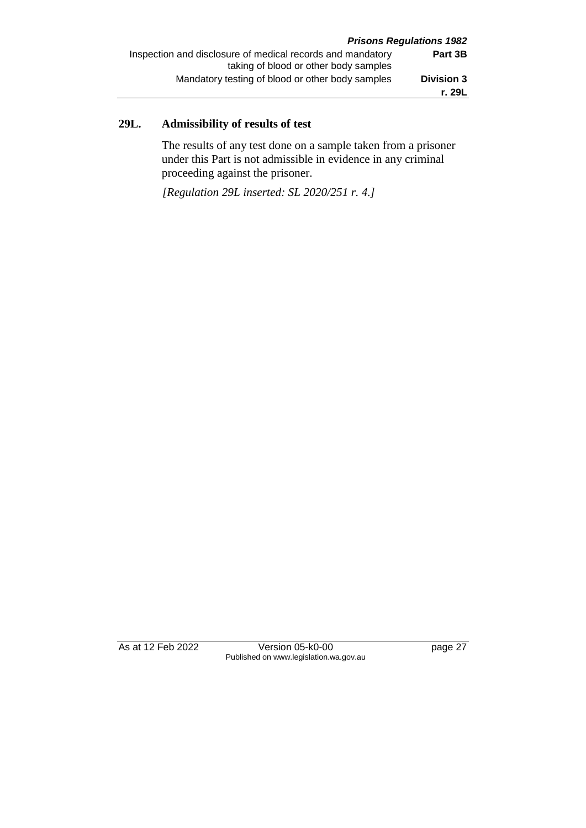## **29L. Admissibility of results of test**

The results of any test done on a sample taken from a prisoner under this Part is not admissible in evidence in any criminal proceeding against the prisoner.

*[Regulation 29L inserted: SL 2020/251 r. 4.]*

As at 12 Feb 2022 Version 05-k0-00 page 27 Published on www.legislation.wa.gov.au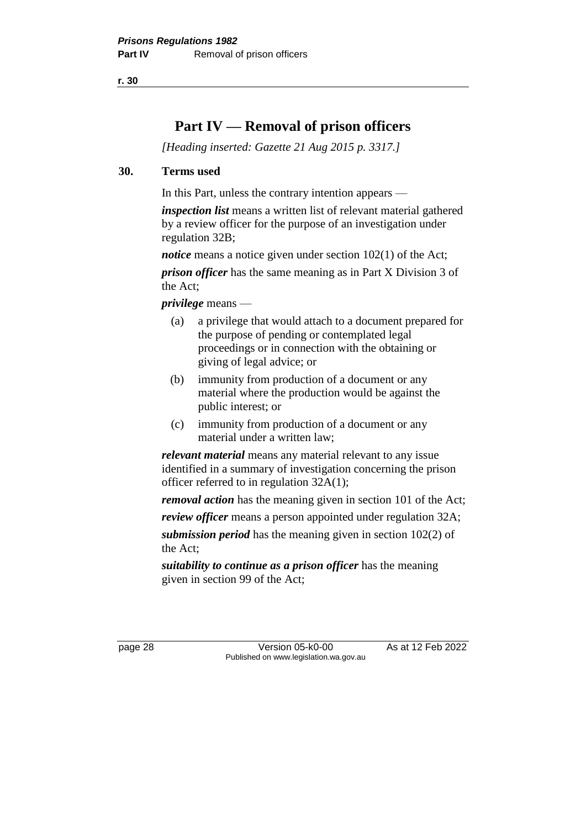**r. 30**

# **Part IV — Removal of prison officers**

*[Heading inserted: Gazette 21 Aug 2015 p. 3317.]* 

#### **30. Terms used**

In this Part, unless the contrary intention appears —

*inspection list* means a written list of relevant material gathered by a review officer for the purpose of an investigation under regulation 32B;

*notice* means a notice given under section 102(1) of the Act;

*prison officer* has the same meaning as in Part X Division 3 of the Act;

*privilege* means —

- (a) a privilege that would attach to a document prepared for the purpose of pending or contemplated legal proceedings or in connection with the obtaining or giving of legal advice; or
- (b) immunity from production of a document or any material where the production would be against the public interest; or
- (c) immunity from production of a document or any material under a written law;

*relevant material* means any material relevant to any issue identified in a summary of investigation concerning the prison officer referred to in regulation 32A(1);

*removal action* has the meaning given in section 101 of the Act;

*review officer* means a person appointed under regulation 32A; *submission period* has the meaning given in section 102(2) of the Act;

*suitability to continue as a prison officer* has the meaning given in section 99 of the Act;

page 28 Version 05-k0-00 As at 12 Feb 2022 Published on www.legislation.wa.gov.au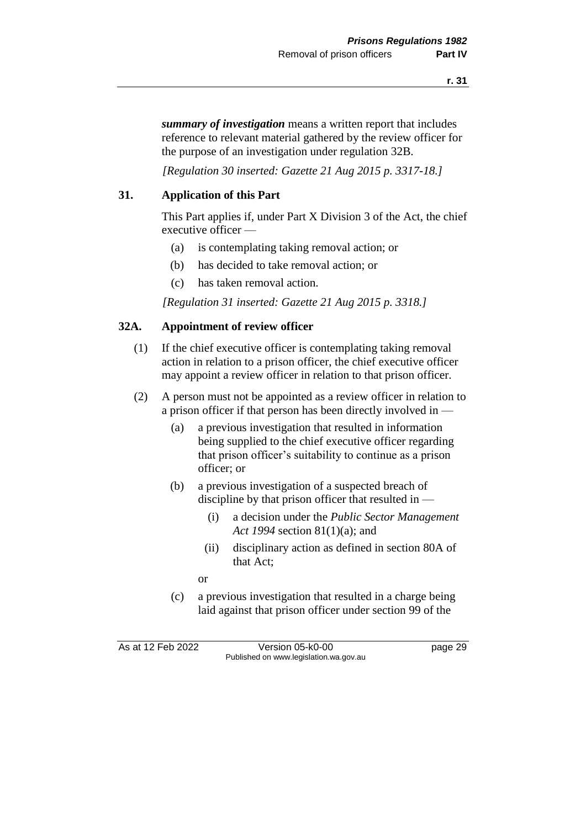*summary of investigation* means a written report that includes reference to relevant material gathered by the review officer for the purpose of an investigation under regulation 32B.

*[Regulation 30 inserted: Gazette 21 Aug 2015 p. 3317-18.]* 

### **31. Application of this Part**

This Part applies if, under Part X Division 3 of the Act, the chief executive officer —

- (a) is contemplating taking removal action; or
- (b) has decided to take removal action; or
- (c) has taken removal action.

*[Regulation 31 inserted: Gazette 21 Aug 2015 p. 3318.]* 

### **32A. Appointment of review officer**

- (1) If the chief executive officer is contemplating taking removal action in relation to a prison officer, the chief executive officer may appoint a review officer in relation to that prison officer.
- (2) A person must not be appointed as a review officer in relation to a prison officer if that person has been directly involved in —
	- (a) a previous investigation that resulted in information being supplied to the chief executive officer regarding that prison officer's suitability to continue as a prison officer; or
	- (b) a previous investigation of a suspected breach of discipline by that prison officer that resulted in —
		- (i) a decision under the *Public Sector Management Act 1994* section 81(1)(a); and
		- (ii) disciplinary action as defined in section 80A of that Act;
		- or
	- (c) a previous investigation that resulted in a charge being laid against that prison officer under section 99 of the

As at 12 Feb 2022 Version 05-k0-00 page 29 Published on www.legislation.wa.gov.au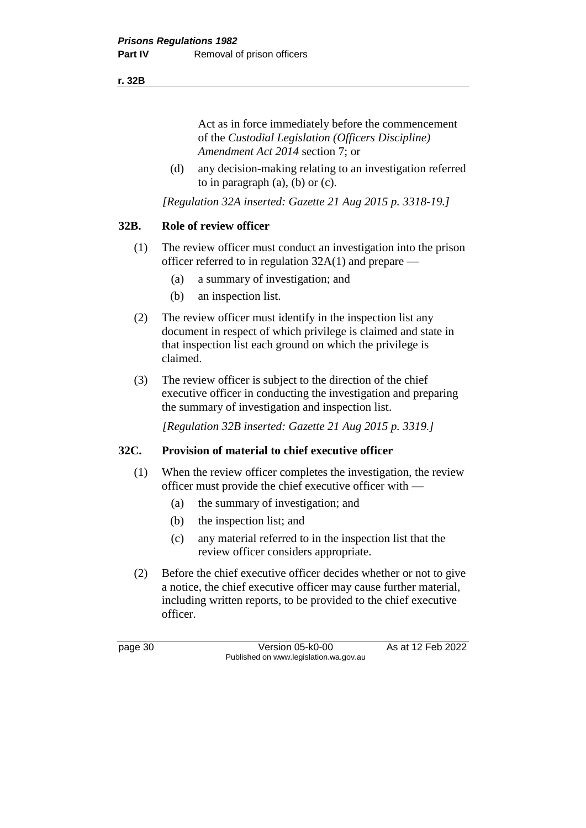#### **r. 32B**

Act as in force immediately before the commencement of the *Custodial Legislation (Officers Discipline) Amendment Act 2014* section 7; or

(d) any decision-making relating to an investigation referred to in paragraph (a), (b) or (c).

*[Regulation 32A inserted: Gazette 21 Aug 2015 p. 3318-19.]* 

### **32B. Role of review officer**

- (1) The review officer must conduct an investigation into the prison officer referred to in regulation 32A(1) and prepare —
	- (a) a summary of investigation; and
	- (b) an inspection list.
- (2) The review officer must identify in the inspection list any document in respect of which privilege is claimed and state in that inspection list each ground on which the privilege is claimed.
- (3) The review officer is subject to the direction of the chief executive officer in conducting the investigation and preparing the summary of investigation and inspection list.

*[Regulation 32B inserted: Gazette 21 Aug 2015 p. 3319.]* 

### **32C. Provision of material to chief executive officer**

- (1) When the review officer completes the investigation, the review officer must provide the chief executive officer with —
	- (a) the summary of investigation; and
	- (b) the inspection list; and
	- (c) any material referred to in the inspection list that the review officer considers appropriate.
- (2) Before the chief executive officer decides whether or not to give a notice, the chief executive officer may cause further material, including written reports, to be provided to the chief executive officer.

page 30 Version 05-k0-00 As at 12 Feb 2022 Published on www.legislation.wa.gov.au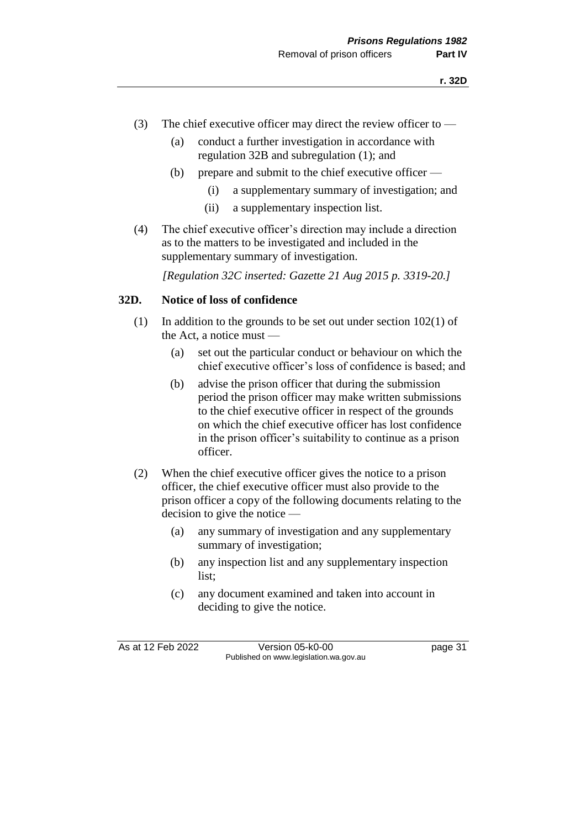- (3) The chief executive officer may direct the review officer to  $-$ 
	- (a) conduct a further investigation in accordance with regulation 32B and subregulation (1); and
	- (b) prepare and submit to the chief executive officer
		- (i) a supplementary summary of investigation; and
		- (ii) a supplementary inspection list.
- (4) The chief executive officer's direction may include a direction as to the matters to be investigated and included in the supplementary summary of investigation.

*[Regulation 32C inserted: Gazette 21 Aug 2015 p. 3319-20.]* 

#### **32D. Notice of loss of confidence**

- (1) In addition to the grounds to be set out under section 102(1) of the Act, a notice must —
	- (a) set out the particular conduct or behaviour on which the chief executive officer's loss of confidence is based; and
	- (b) advise the prison officer that during the submission period the prison officer may make written submissions to the chief executive officer in respect of the grounds on which the chief executive officer has lost confidence in the prison officer's suitability to continue as a prison officer.
- (2) When the chief executive officer gives the notice to a prison officer, the chief executive officer must also provide to the prison officer a copy of the following documents relating to the decision to give the notice —
	- (a) any summary of investigation and any supplementary summary of investigation;
	- (b) any inspection list and any supplementary inspection list;
	- (c) any document examined and taken into account in deciding to give the notice.

As at 12 Feb 2022 Version 05-k0-00 Page 31 Published on www.legislation.wa.gov.au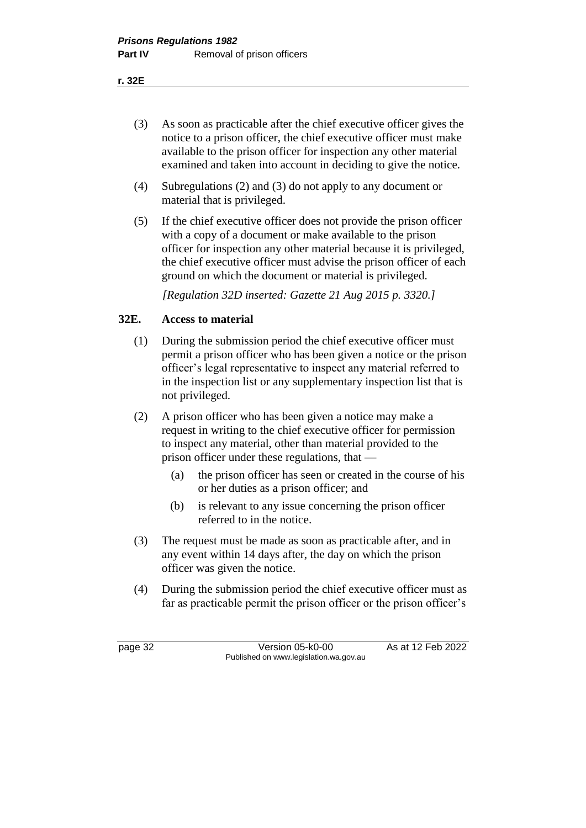**r. 32E**

- (3) As soon as practicable after the chief executive officer gives the notice to a prison officer, the chief executive officer must make available to the prison officer for inspection any other material examined and taken into account in deciding to give the notice.
- (4) Subregulations (2) and (3) do not apply to any document or material that is privileged.
- (5) If the chief executive officer does not provide the prison officer with a copy of a document or make available to the prison officer for inspection any other material because it is privileged, the chief executive officer must advise the prison officer of each ground on which the document or material is privileged.

*[Regulation 32D inserted: Gazette 21 Aug 2015 p. 3320.]* 

#### **32E. Access to material**

- (1) During the submission period the chief executive officer must permit a prison officer who has been given a notice or the prison officer's legal representative to inspect any material referred to in the inspection list or any supplementary inspection list that is not privileged.
- (2) A prison officer who has been given a notice may make a request in writing to the chief executive officer for permission to inspect any material, other than material provided to the prison officer under these regulations, that —
	- (a) the prison officer has seen or created in the course of his or her duties as a prison officer; and
	- (b) is relevant to any issue concerning the prison officer referred to in the notice.
- (3) The request must be made as soon as practicable after, and in any event within 14 days after, the day on which the prison officer was given the notice.
- (4) During the submission period the chief executive officer must as far as practicable permit the prison officer or the prison officer's

page 32 Version 05-k0-00 As at 12 Feb 2022 Published on www.legislation.wa.gov.au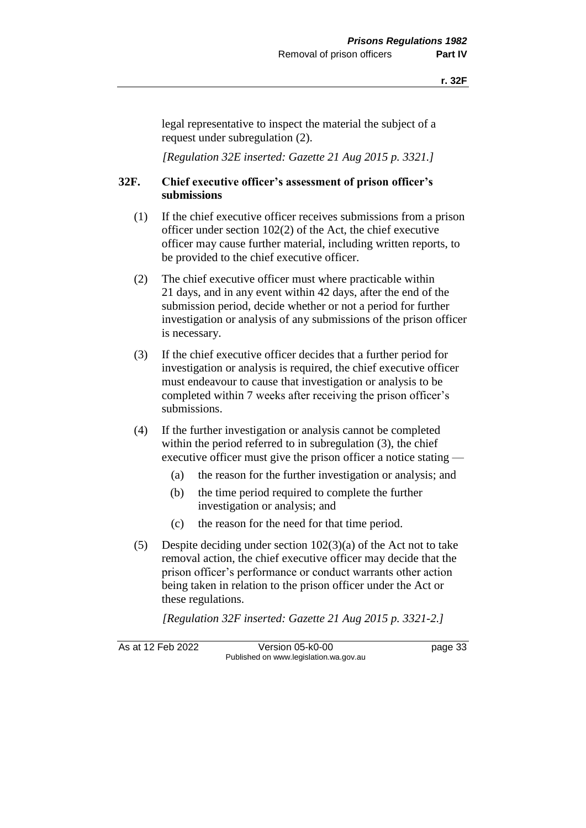legal representative to inspect the material the subject of a request under subregulation (2).

*[Regulation 32E inserted: Gazette 21 Aug 2015 p. 3321.]* 

#### **32F. Chief executive officer's assessment of prison officer's submissions**

- (1) If the chief executive officer receives submissions from a prison officer under section 102(2) of the Act, the chief executive officer may cause further material, including written reports, to be provided to the chief executive officer.
- (2) The chief executive officer must where practicable within 21 days, and in any event within 42 days, after the end of the submission period, decide whether or not a period for further investigation or analysis of any submissions of the prison officer is necessary.
- (3) If the chief executive officer decides that a further period for investigation or analysis is required, the chief executive officer must endeavour to cause that investigation or analysis to be completed within 7 weeks after receiving the prison officer's submissions.
- (4) If the further investigation or analysis cannot be completed within the period referred to in subregulation (3), the chief executive officer must give the prison officer a notice stating —
	- (a) the reason for the further investigation or analysis; and
	- (b) the time period required to complete the further investigation or analysis; and
	- (c) the reason for the need for that time period.
- (5) Despite deciding under section 102(3)(a) of the Act not to take removal action, the chief executive officer may decide that the prison officer's performance or conduct warrants other action being taken in relation to the prison officer under the Act or these regulations.

*[Regulation 32F inserted: Gazette 21 Aug 2015 p. 3321-2.]* 

As at 12 Feb 2022 Version 05-k0-00 page 33 Published on www.legislation.wa.gov.au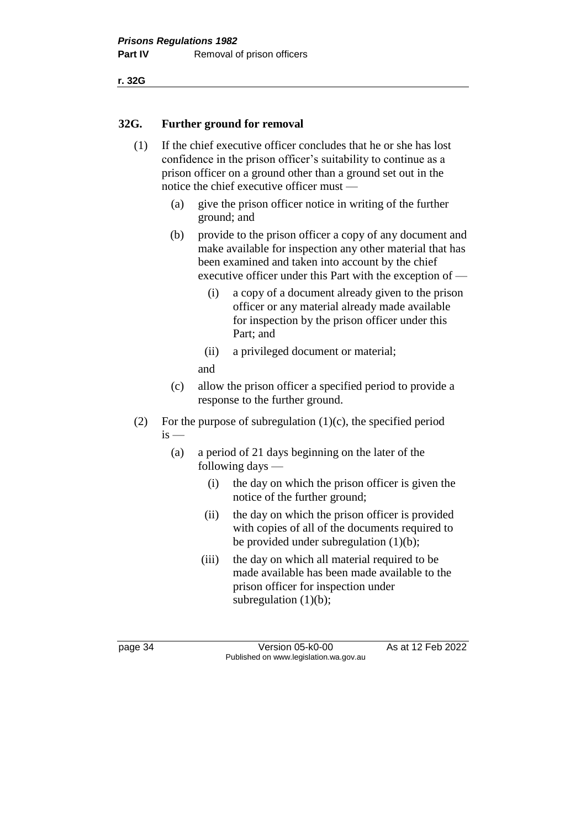#### **32G. Further ground for removal**

- (1) If the chief executive officer concludes that he or she has lost confidence in the prison officer's suitability to continue as a prison officer on a ground other than a ground set out in the notice the chief executive officer must —
	- (a) give the prison officer notice in writing of the further ground; and
	- (b) provide to the prison officer a copy of any document and make available for inspection any other material that has been examined and taken into account by the chief executive officer under this Part with the exception of —
		- (i) a copy of a document already given to the prison officer or any material already made available for inspection by the prison officer under this Part; and
		- (ii) a privileged document or material;
		- and
	- (c) allow the prison officer a specified period to provide a response to the further ground.
- (2) For the purpose of subregulation  $(1)(c)$ , the specified period  $is$  —
	- (a) a period of 21 days beginning on the later of the following days —
		- (i) the day on which the prison officer is given the notice of the further ground;
		- (ii) the day on which the prison officer is provided with copies of all of the documents required to be provided under subregulation (1)(b);
		- (iii) the day on which all material required to be made available has been made available to the prison officer for inspection under subregulation  $(1)(b)$ ;

page 34 Version 05-k0-00 As at 12 Feb 2022 Published on www.legislation.wa.gov.au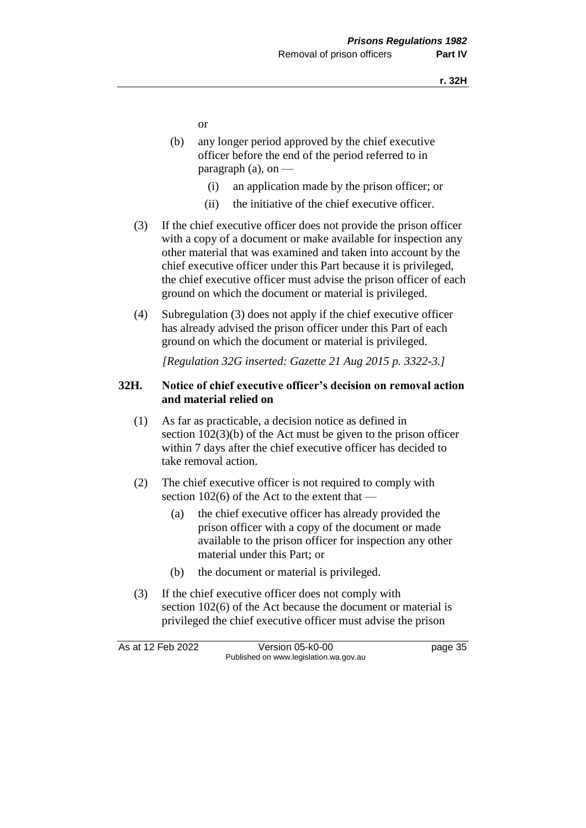or

- (b) any longer period approved by the chief executive officer before the end of the period referred to in paragraph  $(a)$ , on  $-$ 
	- (i) an application made by the prison officer; or
	- (ii) the initiative of the chief executive officer.
- (3) If the chief executive officer does not provide the prison officer with a copy of a document or make available for inspection any other material that was examined and taken into account by the chief executive officer under this Part because it is privileged, the chief executive officer must advise the prison officer of each ground on which the document or material is privileged.
- (4) Subregulation (3) does not apply if the chief executive officer has already advised the prison officer under this Part of each ground on which the document or material is privileged.

*[Regulation 32G inserted: Gazette 21 Aug 2015 p. 3322-3.]* 

### **32H. Notice of chief executive officer's decision on removal action and material relied on**

- (1) As far as practicable, a decision notice as defined in section 102(3)(b) of the Act must be given to the prison officer within 7 days after the chief executive officer has decided to take removal action.
- (2) The chief executive officer is not required to comply with section  $102(6)$  of the Act to the extent that –
	- (a) the chief executive officer has already provided the prison officer with a copy of the document or made available to the prison officer for inspection any other material under this Part; or
	- (b) the document or material is privileged.
- (3) If the chief executive officer does not comply with section 102(6) of the Act because the document or material is privileged the chief executive officer must advise the prison

As at 12 Feb 2022 Version 05-k0-00 page 35 Published on www.legislation.wa.gov.au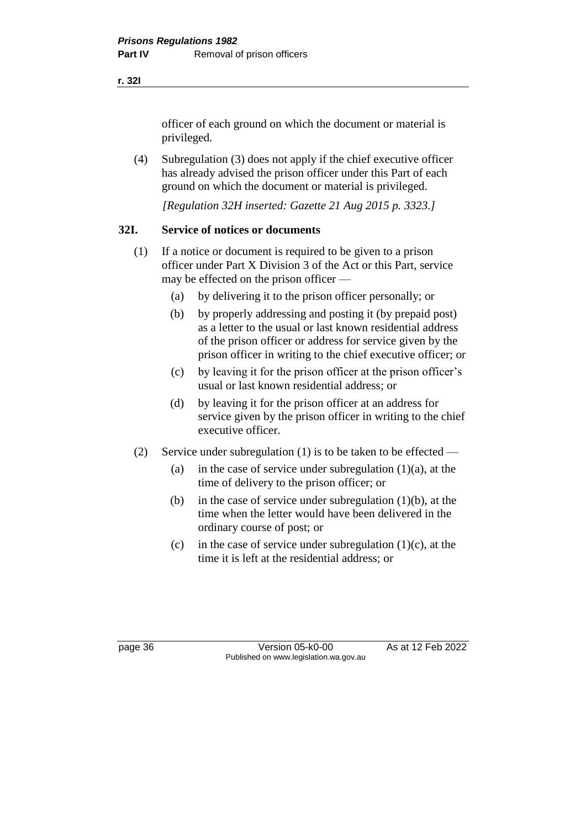officer of each ground on which the document or material is privileged.

(4) Subregulation (3) does not apply if the chief executive officer has already advised the prison officer under this Part of each ground on which the document or material is privileged.

*[Regulation 32H inserted: Gazette 21 Aug 2015 p. 3323.]* 

### **32I. Service of notices or documents**

- (1) If a notice or document is required to be given to a prison officer under Part X Division 3 of the Act or this Part, service may be effected on the prison officer —
	- (a) by delivering it to the prison officer personally; or
	- (b) by properly addressing and posting it (by prepaid post) as a letter to the usual or last known residential address of the prison officer or address for service given by the prison officer in writing to the chief executive officer; or
	- (c) by leaving it for the prison officer at the prison officer's usual or last known residential address; or
	- (d) by leaving it for the prison officer at an address for service given by the prison officer in writing to the chief executive officer.
- (2) Service under subregulation (1) is to be taken to be effected
	- (a) in the case of service under subregulation  $(1)(a)$ , at the time of delivery to the prison officer; or
	- (b) in the case of service under subregulation  $(1)(b)$ , at the time when the letter would have been delivered in the ordinary course of post; or
	- (c) in the case of service under subregulation  $(1)(c)$ , at the time it is left at the residential address; or

page 36 Version 05-k0-00 As at 12 Feb 2022 Published on www.legislation.wa.gov.au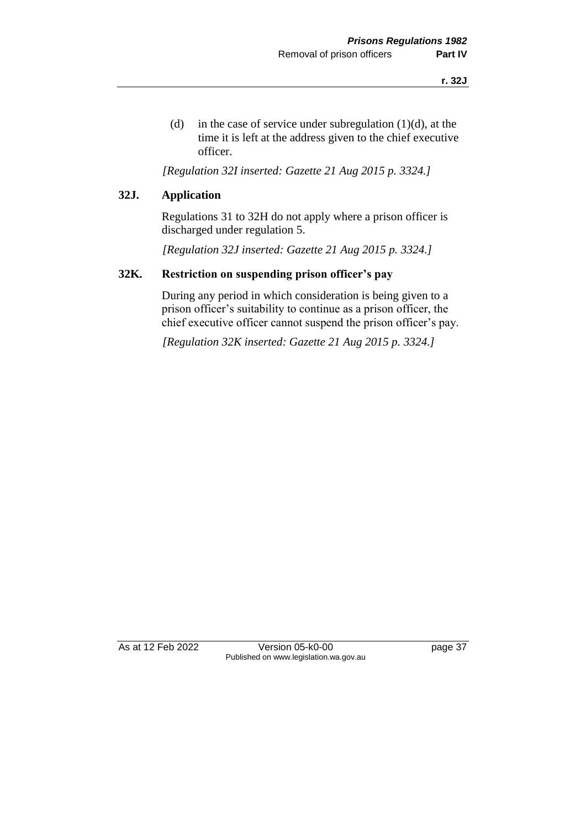(d) in the case of service under subregulation  $(1)(d)$ , at the time it is left at the address given to the chief executive officer.

*[Regulation 32I inserted: Gazette 21 Aug 2015 p. 3324.]* 

#### **32J. Application**

Regulations 31 to 32H do not apply where a prison officer is discharged under regulation 5.

*[Regulation 32J inserted: Gazette 21 Aug 2015 p. 3324.]* 

#### **32K. Restriction on suspending prison officer's pay**

During any period in which consideration is being given to a prison officer's suitability to continue as a prison officer, the chief executive officer cannot suspend the prison officer's pay.

*[Regulation 32K inserted: Gazette 21 Aug 2015 p. 3324.]* 

As at 12 Feb 2022 Version 05-k0-00 page 37 Published on www.legislation.wa.gov.au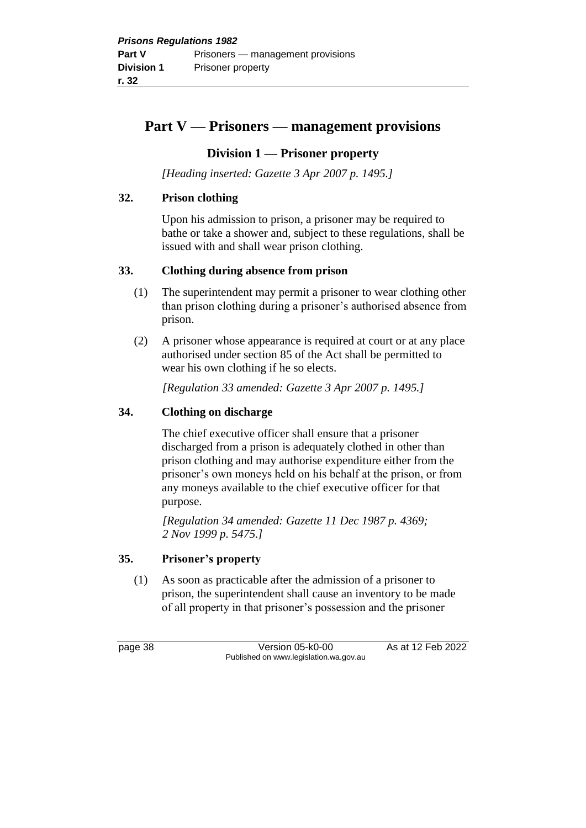# **Part V — Prisoners — management provisions**

## **Division 1 — Prisoner property**

*[Heading inserted: Gazette 3 Apr 2007 p. 1495.]*

## **32. Prison clothing**

Upon his admission to prison, a prisoner may be required to bathe or take a shower and, subject to these regulations, shall be issued with and shall wear prison clothing.

### **33. Clothing during absence from prison**

- (1) The superintendent may permit a prisoner to wear clothing other than prison clothing during a prisoner's authorised absence from prison.
- (2) A prisoner whose appearance is required at court or at any place authorised under section 85 of the Act shall be permitted to wear his own clothing if he so elects.

*[Regulation 33 amended: Gazette 3 Apr 2007 p. 1495.]*

## **34. Clothing on discharge**

The chief executive officer shall ensure that a prisoner discharged from a prison is adequately clothed in other than prison clothing and may authorise expenditure either from the prisoner's own moneys held on his behalf at the prison, or from any moneys available to the chief executive officer for that purpose.

*[Regulation 34 amended: Gazette 11 Dec 1987 p. 4369; 2 Nov 1999 p. 5475.]* 

### **35. Prisoner's property**

(1) As soon as practicable after the admission of a prisoner to prison, the superintendent shall cause an inventory to be made of all property in that prisoner's possession and the prisoner

page 38 Version 05-k0-00 As at 12 Feb 2022 Published on www.legislation.wa.gov.au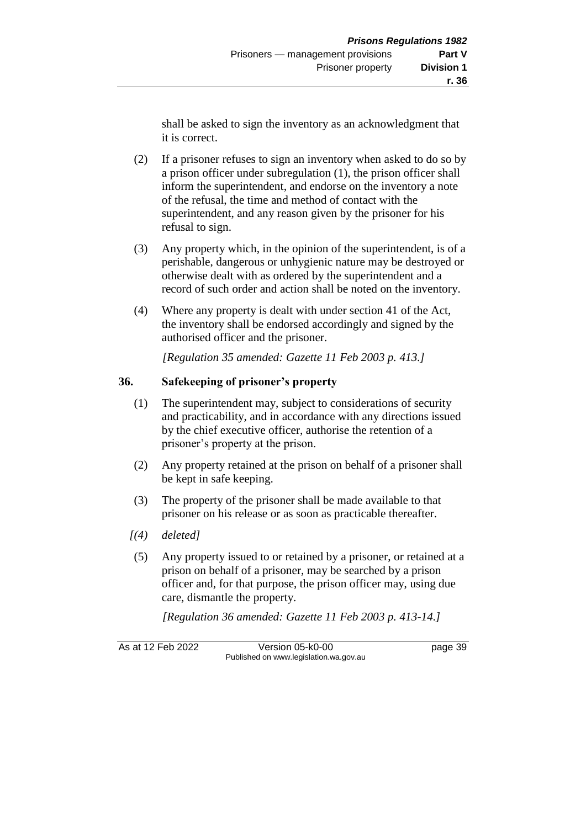- (2) If a prisoner refuses to sign an inventory when asked to do so by a prison officer under subregulation (1), the prison officer shall inform the superintendent, and endorse on the inventory a note of the refusal, the time and method of contact with the superintendent, and any reason given by the prisoner for his refusal to sign.
- (3) Any property which, in the opinion of the superintendent, is of a perishable, dangerous or unhygienic nature may be destroyed or otherwise dealt with as ordered by the superintendent and a record of such order and action shall be noted on the inventory.
- (4) Where any property is dealt with under section 41 of the Act, the inventory shall be endorsed accordingly and signed by the authorised officer and the prisoner.

*[Regulation 35 amended: Gazette 11 Feb 2003 p. 413.]*

# **36. Safekeeping of prisoner's property**

- (1) The superintendent may, subject to considerations of security and practicability, and in accordance with any directions issued by the chief executive officer, authorise the retention of a prisoner's property at the prison.
- (2) Any property retained at the prison on behalf of a prisoner shall be kept in safe keeping.
- (3) The property of the prisoner shall be made available to that prisoner on his release or as soon as practicable thereafter.
- *[(4) deleted]*
- (5) Any property issued to or retained by a prisoner, or retained at a prison on behalf of a prisoner, may be searched by a prison officer and, for that purpose, the prison officer may, using due care, dismantle the property.

*[Regulation 36 amended: Gazette 11 Feb 2003 p. 413-14.]*

As at 12 Feb 2022 Version 05-k0-00 page 39 Published on www.legislation.wa.gov.au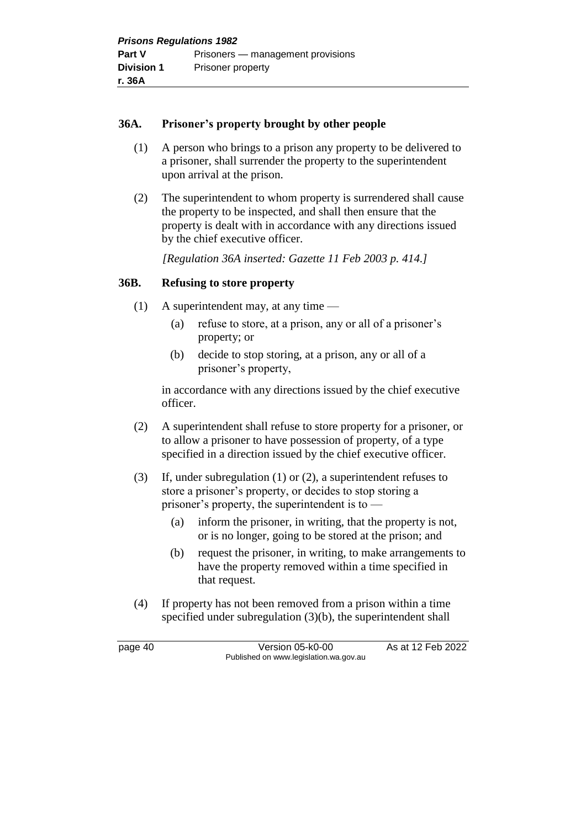### **36A. Prisoner's property brought by other people**

- (1) A person who brings to a prison any property to be delivered to a prisoner, shall surrender the property to the superintendent upon arrival at the prison.
- (2) The superintendent to whom property is surrendered shall cause the property to be inspected, and shall then ensure that the property is dealt with in accordance with any directions issued by the chief executive officer.

*[Regulation 36A inserted: Gazette 11 Feb 2003 p. 414.]*

#### **36B. Refusing to store property**

- (1) A superintendent may, at any time
	- (a) refuse to store, at a prison, any or all of a prisoner's property; or
	- (b) decide to stop storing, at a prison, any or all of a prisoner's property,

in accordance with any directions issued by the chief executive officer.

- (2) A superintendent shall refuse to store property for a prisoner, or to allow a prisoner to have possession of property, of a type specified in a direction issued by the chief executive officer.
- (3) If, under subregulation (1) or (2), a superintendent refuses to store a prisoner's property, or decides to stop storing a prisoner's property, the superintendent is to —
	- (a) inform the prisoner, in writing, that the property is not, or is no longer, going to be stored at the prison; and
	- (b) request the prisoner, in writing, to make arrangements to have the property removed within a time specified in that request.
- (4) If property has not been removed from a prison within a time specified under subregulation (3)(b), the superintendent shall

page 40 Version 05-k0-00 As at 12 Feb 2022 Published on www.legislation.wa.gov.au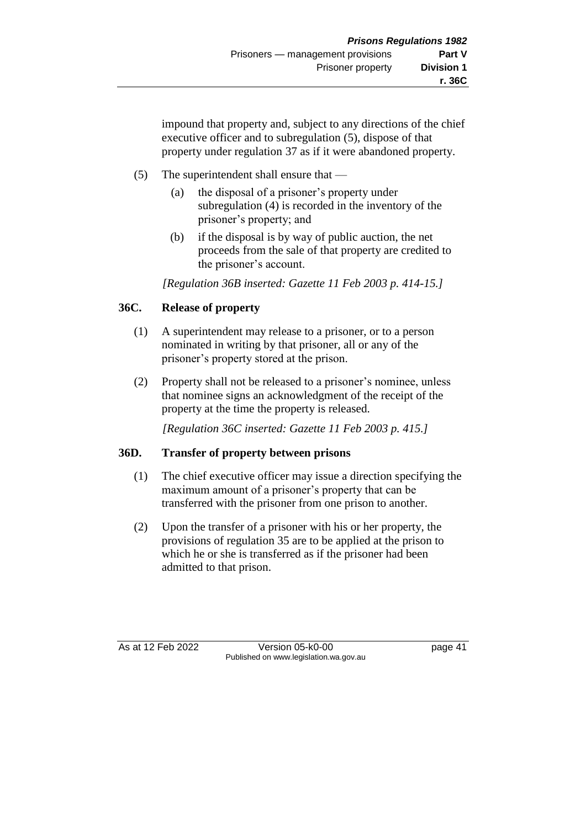impound that property and, subject to any directions of the chief executive officer and to subregulation (5), dispose of that property under regulation 37 as if it were abandoned property.

## (5) The superintendent shall ensure that —

- (a) the disposal of a prisoner's property under subregulation (4) is recorded in the inventory of the prisoner's property; and
- (b) if the disposal is by way of public auction, the net proceeds from the sale of that property are credited to the prisoner's account.

*[Regulation 36B inserted: Gazette 11 Feb 2003 p. 414-15.]*

### **36C. Release of property**

- (1) A superintendent may release to a prisoner, or to a person nominated in writing by that prisoner, all or any of the prisoner's property stored at the prison.
- (2) Property shall not be released to a prisoner's nominee, unless that nominee signs an acknowledgment of the receipt of the property at the time the property is released.

*[Regulation 36C inserted: Gazette 11 Feb 2003 p. 415.]*

### **36D. Transfer of property between prisons**

- (1) The chief executive officer may issue a direction specifying the maximum amount of a prisoner's property that can be transferred with the prisoner from one prison to another.
- (2) Upon the transfer of a prisoner with his or her property, the provisions of regulation 35 are to be applied at the prison to which he or she is transferred as if the prisoner had been admitted to that prison.

As at 12 Feb 2022 Version 05-k0-00 page 41 Published on www.legislation.wa.gov.au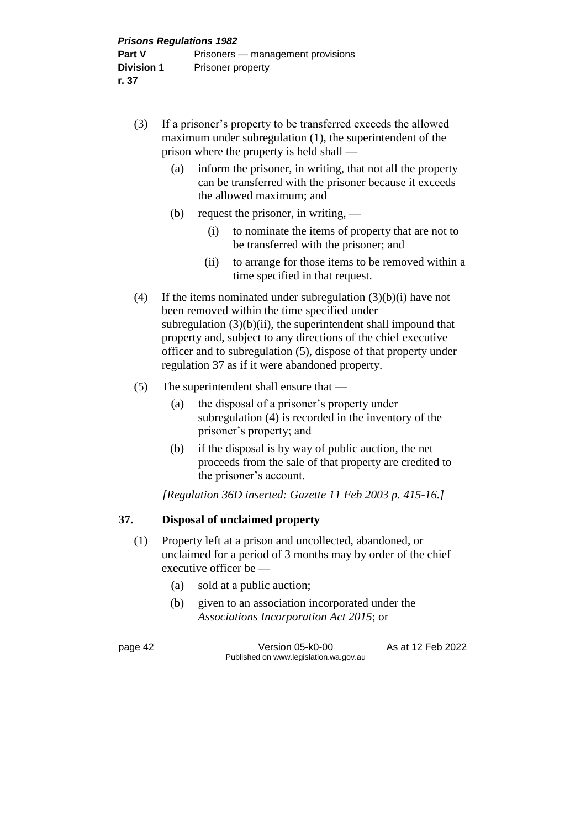- (3) If a prisoner's property to be transferred exceeds the allowed maximum under subregulation (1), the superintendent of the prison where the property is held shall —
	- (a) inform the prisoner, in writing, that not all the property can be transferred with the prisoner because it exceeds the allowed maximum; and
	- (b) request the prisoner, in writing,
		- (i) to nominate the items of property that are not to be transferred with the prisoner; and
		- (ii) to arrange for those items to be removed within a time specified in that request.
- (4) If the items nominated under subregulation  $(3)(b)(i)$  have not been removed within the time specified under subregulation  $(3)(b)(ii)$ , the superintendent shall impound that property and, subject to any directions of the chief executive officer and to subregulation (5), dispose of that property under regulation 37 as if it were abandoned property.
- (5) The superintendent shall ensure that
	- (a) the disposal of a prisoner's property under subregulation (4) is recorded in the inventory of the prisoner's property; and
	- (b) if the disposal is by way of public auction, the net proceeds from the sale of that property are credited to the prisoner's account.

*[Regulation 36D inserted: Gazette 11 Feb 2003 p. 415-16.]*

### **37. Disposal of unclaimed property**

- (1) Property left at a prison and uncollected, abandoned, or unclaimed for a period of 3 months may by order of the chief executive officer be —
	- (a) sold at a public auction;
	- (b) given to an association incorporated under the *Associations Incorporation Act 2015*; or

page 42 Version 05-k0-00 As at 12 Feb 2022 Published on www.legislation.wa.gov.au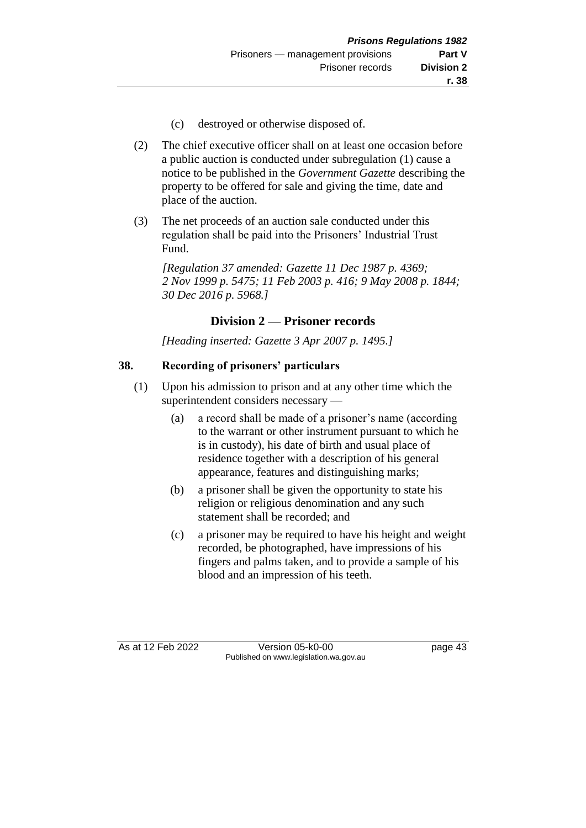- (c) destroyed or otherwise disposed of.
- (2) The chief executive officer shall on at least one occasion before a public auction is conducted under subregulation (1) cause a notice to be published in the *Government Gazette* describing the property to be offered for sale and giving the time, date and place of the auction.
- (3) The net proceeds of an auction sale conducted under this regulation shall be paid into the Prisoners' Industrial Trust Fund.

*[Regulation 37 amended: Gazette 11 Dec 1987 p. 4369; 2 Nov 1999 p. 5475; 11 Feb 2003 p. 416; 9 May 2008 p. 1844; 30 Dec 2016 p. 5968.]* 

# **Division 2 — Prisoner records**

*[Heading inserted: Gazette 3 Apr 2007 p. 1495.]*

# **38. Recording of prisoners' particulars**

- (1) Upon his admission to prison and at any other time which the superintendent considers necessary —
	- (a) a record shall be made of a prisoner's name (according to the warrant or other instrument pursuant to which he is in custody), his date of birth and usual place of residence together with a description of his general appearance, features and distinguishing marks;
	- (b) a prisoner shall be given the opportunity to state his religion or religious denomination and any such statement shall be recorded; and
	- (c) a prisoner may be required to have his height and weight recorded, be photographed, have impressions of his fingers and palms taken, and to provide a sample of his blood and an impression of his teeth.

As at 12 Feb 2022 Version 05-k0-00 page 43 Published on www.legislation.wa.gov.au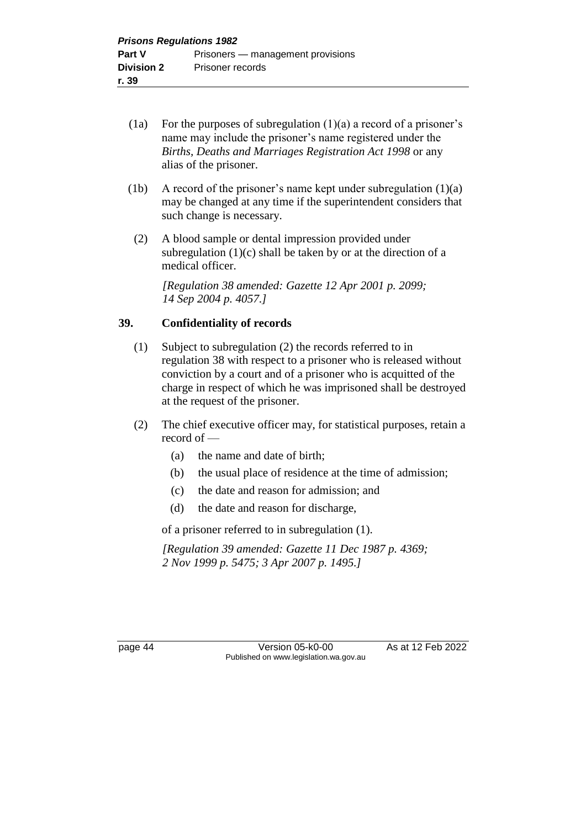- (1a) For the purposes of subregulation  $(1)(a)$  a record of a prisoner's name may include the prisoner's name registered under the *Births, Deaths and Marriages Registration Act 1998* or any alias of the prisoner.
- (1b) A record of the prisoner's name kept under subregulation (1)(a) may be changed at any time if the superintendent considers that such change is necessary.
- (2) A blood sample or dental impression provided under subregulation  $(1)(c)$  shall be taken by or at the direction of a medical officer.

*[Regulation 38 amended: Gazette 12 Apr 2001 p. 2099; 14 Sep 2004 p. 4057.]*

### **39. Confidentiality of records**

- (1) Subject to subregulation (2) the records referred to in regulation 38 with respect to a prisoner who is released without conviction by a court and of a prisoner who is acquitted of the charge in respect of which he was imprisoned shall be destroyed at the request of the prisoner.
- (2) The chief executive officer may, for statistical purposes, retain a record of —
	- (a) the name and date of birth;
	- (b) the usual place of residence at the time of admission;
	- (c) the date and reason for admission; and
	- (d) the date and reason for discharge,

of a prisoner referred to in subregulation (1).

*[Regulation 39 amended: Gazette 11 Dec 1987 p. 4369; 2 Nov 1999 p. 5475; 3 Apr 2007 p. 1495.]* 

page 44 Version 05-k0-00 As at 12 Feb 2022 Published on www.legislation.wa.gov.au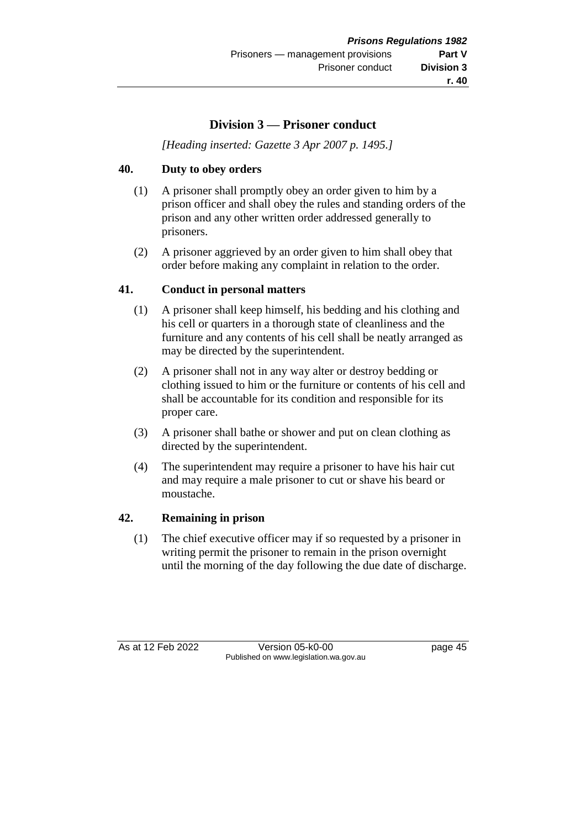# **Division 3 — Prisoner conduct**

*[Heading inserted: Gazette 3 Apr 2007 p. 1495.]*

## **40. Duty to obey orders**

- (1) A prisoner shall promptly obey an order given to him by a prison officer and shall obey the rules and standing orders of the prison and any other written order addressed generally to prisoners.
- (2) A prisoner aggrieved by an order given to him shall obey that order before making any complaint in relation to the order.

### **41. Conduct in personal matters**

- (1) A prisoner shall keep himself, his bedding and his clothing and his cell or quarters in a thorough state of cleanliness and the furniture and any contents of his cell shall be neatly arranged as may be directed by the superintendent.
- (2) A prisoner shall not in any way alter or destroy bedding or clothing issued to him or the furniture or contents of his cell and shall be accountable for its condition and responsible for its proper care.
- (3) A prisoner shall bathe or shower and put on clean clothing as directed by the superintendent.
- (4) The superintendent may require a prisoner to have his hair cut and may require a male prisoner to cut or shave his beard or moustache.

### **42. Remaining in prison**

(1) The chief executive officer may if so requested by a prisoner in writing permit the prisoner to remain in the prison overnight until the morning of the day following the due date of discharge.

As at 12 Feb 2022 Version 05-k0-00 page 45 Published on www.legislation.wa.gov.au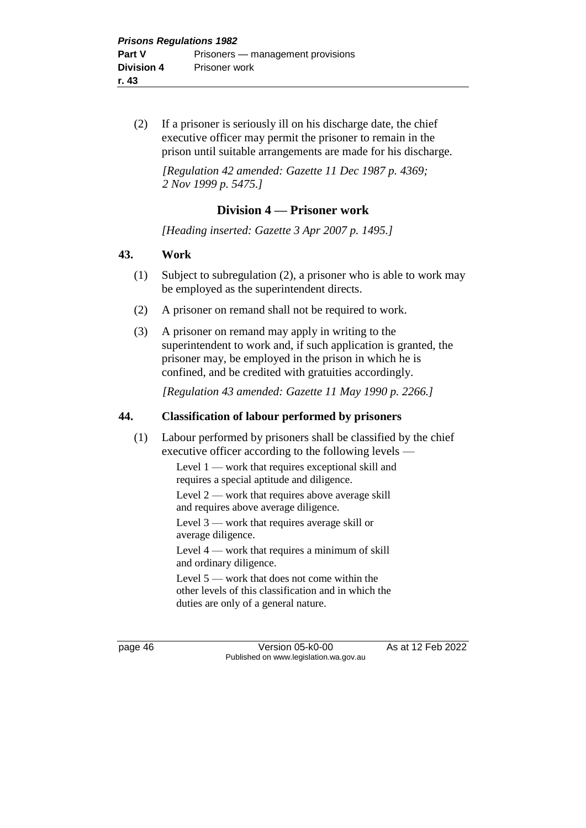(2) If a prisoner is seriously ill on his discharge date, the chief executive officer may permit the prisoner to remain in the prison until suitable arrangements are made for his discharge.

*[Regulation 42 amended: Gazette 11 Dec 1987 p. 4369; 2 Nov 1999 p. 5475.]* 

## **Division 4 — Prisoner work**

*[Heading inserted: Gazette 3 Apr 2007 p. 1495.]*

#### **43. Work**

- (1) Subject to subregulation (2), a prisoner who is able to work may be employed as the superintendent directs.
- (2) A prisoner on remand shall not be required to work.
- (3) A prisoner on remand may apply in writing to the superintendent to work and, if such application is granted, the prisoner may, be employed in the prison in which he is confined, and be credited with gratuities accordingly.

*[Regulation 43 amended: Gazette 11 May 1990 p. 2266.]* 

### **44. Classification of labour performed by prisoners**

(1) Labour performed by prisoners shall be classified by the chief executive officer according to the following levels —

> Level 1 — work that requires exceptional skill and requires a special aptitude and diligence.

Level 2 — work that requires above average skill and requires above average diligence.

Level 3 — work that requires average skill or average diligence.

Level 4 — work that requires a minimum of skill and ordinary diligence.

Level 5 — work that does not come within the other levels of this classification and in which the duties are only of a general nature.

page 46 **Version 05-k0-00** As at 12 Feb 2022 Published on www.legislation.wa.gov.au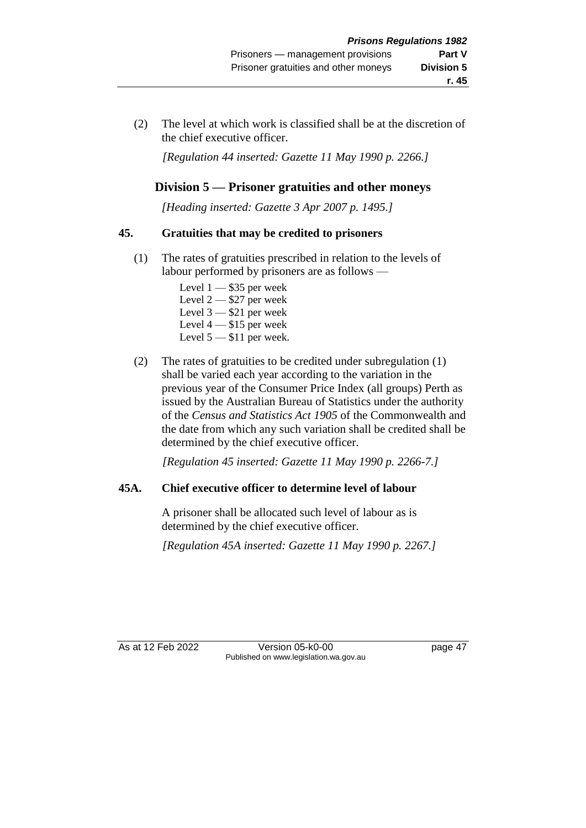(2) The level at which work is classified shall be at the discretion of the chief executive officer.

*[Regulation 44 inserted: Gazette 11 May 1990 p. 2266.]* 

# **Division 5 — Prisoner gratuities and other moneys**

*[Heading inserted: Gazette 3 Apr 2007 p. 1495.]*

### **45. Gratuities that may be credited to prisoners**

- (1) The rates of gratuities prescribed in relation to the levels of labour performed by prisoners are as follows —
	- Level  $1 $35$  per week Level  $2 - $27$  per week Level  $3 - $21$  per week Level 4 — \$15 per week Level  $5 - $11$  per week.
- (2) The rates of gratuities to be credited under subregulation (1) shall be varied each year according to the variation in the previous year of the Consumer Price Index (all groups) Perth as issued by the Australian Bureau of Statistics under the authority of the *Census and Statistics Act 1905* of the Commonwealth and the date from which any such variation shall be credited shall be determined by the chief executive officer.

*[Regulation 45 inserted: Gazette 11 May 1990 p. 2266-7.]* 

# **45A. Chief executive officer to determine level of labour**

A prisoner shall be allocated such level of labour as is determined by the chief executive officer.

*[Regulation 45A inserted: Gazette 11 May 1990 p. 2267.]* 

As at 12 Feb 2022 Version 05-k0-00 page 47 Published on www.legislation.wa.gov.au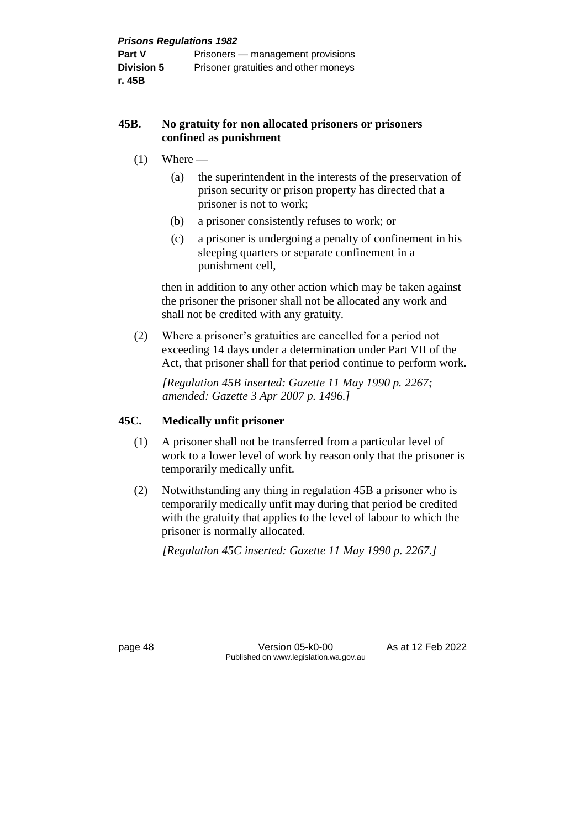### **45B. No gratuity for non allocated prisoners or prisoners confined as punishment**

- $(1)$  Where
	- (a) the superintendent in the interests of the preservation of prison security or prison property has directed that a prisoner is not to work;
	- (b) a prisoner consistently refuses to work; or
	- (c) a prisoner is undergoing a penalty of confinement in his sleeping quarters or separate confinement in a punishment cell,

then in addition to any other action which may be taken against the prisoner the prisoner shall not be allocated any work and shall not be credited with any gratuity.

(2) Where a prisoner's gratuities are cancelled for a period not exceeding 14 days under a determination under Part VII of the Act, that prisoner shall for that period continue to perform work.

*[Regulation 45B inserted: Gazette 11 May 1990 p. 2267; amended: Gazette 3 Apr 2007 p. 1496.]* 

## **45C. Medically unfit prisoner**

- (1) A prisoner shall not be transferred from a particular level of work to a lower level of work by reason only that the prisoner is temporarily medically unfit.
- (2) Notwithstanding any thing in regulation 45B a prisoner who is temporarily medically unfit may during that period be credited with the gratuity that applies to the level of labour to which the prisoner is normally allocated.

*[Regulation 45C inserted: Gazette 11 May 1990 p. 2267.]* 

page 48 Version 05-k0-00 As at 12 Feb 2022 Published on www.legislation.wa.gov.au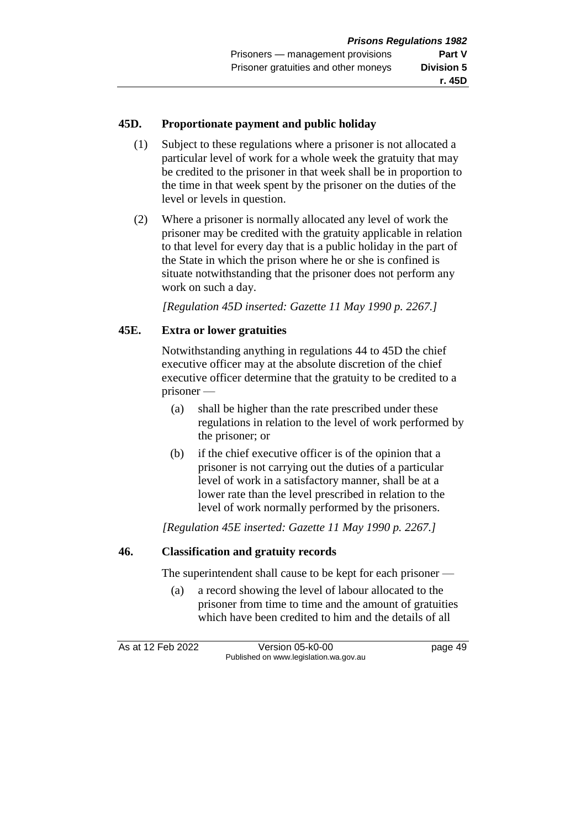## **45D. Proportionate payment and public holiday**

- (1) Subject to these regulations where a prisoner is not allocated a particular level of work for a whole week the gratuity that may be credited to the prisoner in that week shall be in proportion to the time in that week spent by the prisoner on the duties of the level or levels in question.
- (2) Where a prisoner is normally allocated any level of work the prisoner may be credited with the gratuity applicable in relation to that level for every day that is a public holiday in the part of the State in which the prison where he or she is confined is situate notwithstanding that the prisoner does not perform any work on such a day.

*[Regulation 45D inserted: Gazette 11 May 1990 p. 2267.]* 

## **45E. Extra or lower gratuities**

Notwithstanding anything in regulations 44 to 45D the chief executive officer may at the absolute discretion of the chief executive officer determine that the gratuity to be credited to a prisoner —

- (a) shall be higher than the rate prescribed under these regulations in relation to the level of work performed by the prisoner; or
- (b) if the chief executive officer is of the opinion that a prisoner is not carrying out the duties of a particular level of work in a satisfactory manner, shall be at a lower rate than the level prescribed in relation to the level of work normally performed by the prisoners.

*[Regulation 45E inserted: Gazette 11 May 1990 p. 2267.]* 

### **46. Classification and gratuity records**

The superintendent shall cause to be kept for each prisoner —

(a) a record showing the level of labour allocated to the prisoner from time to time and the amount of gratuities which have been credited to him and the details of all

As at 12 Feb 2022 Version 05-k0-00 page 49 Published on www.legislation.wa.gov.au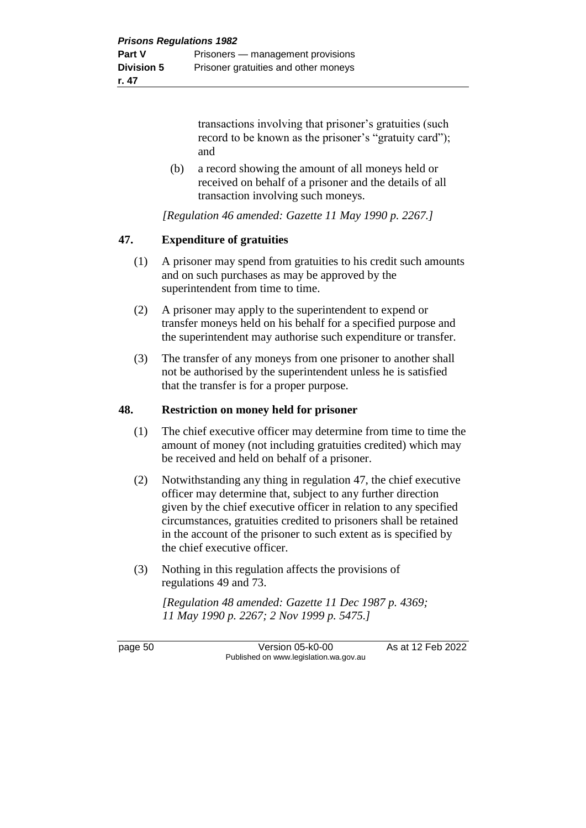transactions involving that prisoner's gratuities (such record to be known as the prisoner's "gratuity card"); and

(b) a record showing the amount of all moneys held or received on behalf of a prisoner and the details of all transaction involving such moneys.

*[Regulation 46 amended: Gazette 11 May 1990 p. 2267.]* 

### **47. Expenditure of gratuities**

- (1) A prisoner may spend from gratuities to his credit such amounts and on such purchases as may be approved by the superintendent from time to time.
- (2) A prisoner may apply to the superintendent to expend or transfer moneys held on his behalf for a specified purpose and the superintendent may authorise such expenditure or transfer.
- (3) The transfer of any moneys from one prisoner to another shall not be authorised by the superintendent unless he is satisfied that the transfer is for a proper purpose.

#### **48. Restriction on money held for prisoner**

- (1) The chief executive officer may determine from time to time the amount of money (not including gratuities credited) which may be received and held on behalf of a prisoner.
- (2) Notwithstanding any thing in regulation 47, the chief executive officer may determine that, subject to any further direction given by the chief executive officer in relation to any specified circumstances, gratuities credited to prisoners shall be retained in the account of the prisoner to such extent as is specified by the chief executive officer.
- (3) Nothing in this regulation affects the provisions of regulations 49 and 73.

*[Regulation 48 amended: Gazette 11 Dec 1987 p. 4369; 11 May 1990 p. 2267; 2 Nov 1999 p. 5475.]* 

page 50 Version 05-k0-00 As at 12 Feb 2022 Published on www.legislation.wa.gov.au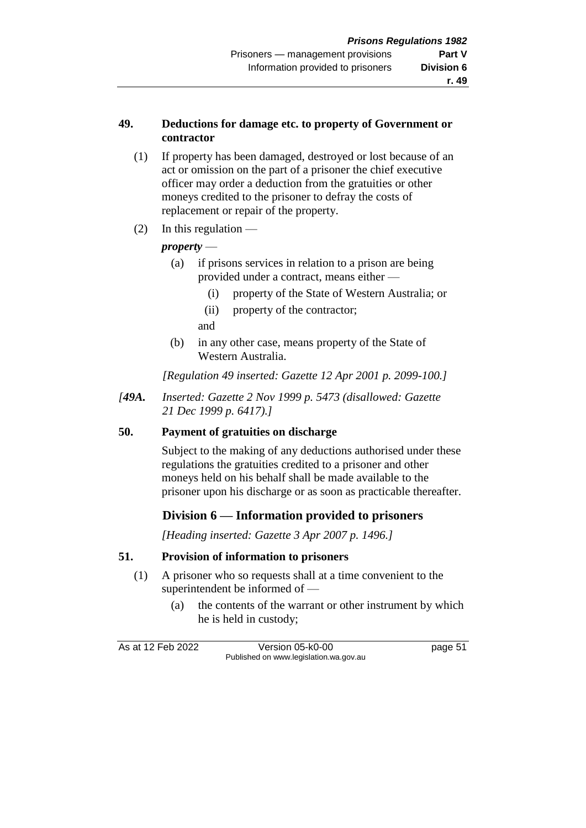#### **49. Deductions for damage etc. to property of Government or contractor**

- (1) If property has been damaged, destroyed or lost because of an act or omission on the part of a prisoner the chief executive officer may order a deduction from the gratuities or other moneys credited to the prisoner to defray the costs of replacement or repair of the property.
- $(2)$  In this regulation —

## *property* —

- (a) if prisons services in relation to a prison are being provided under a contract, means either —
	- (i) property of the State of Western Australia; or
	- (ii) property of the contractor;
	- and
- (b) in any other case, means property of the State of Western Australia.

*[Regulation 49 inserted: Gazette 12 Apr 2001 p. 2099-100.]*

*[49A. Inserted: Gazette 2 Nov 1999 p. 5473 (disallowed: Gazette 21 Dec 1999 p. 6417).]*

### **50. Payment of gratuities on discharge**

Subject to the making of any deductions authorised under these regulations the gratuities credited to a prisoner and other moneys held on his behalf shall be made available to the prisoner upon his discharge or as soon as practicable thereafter.

# **Division 6 — Information provided to prisoners**

*[Heading inserted: Gazette 3 Apr 2007 p. 1496.]*

### **51. Provision of information to prisoners**

- (1) A prisoner who so requests shall at a time convenient to the superintendent be informed of —
	- (a) the contents of the warrant or other instrument by which he is held in custody;

As at 12 Feb 2022 Version 05-k0-00 page 51 Published on www.legislation.wa.gov.au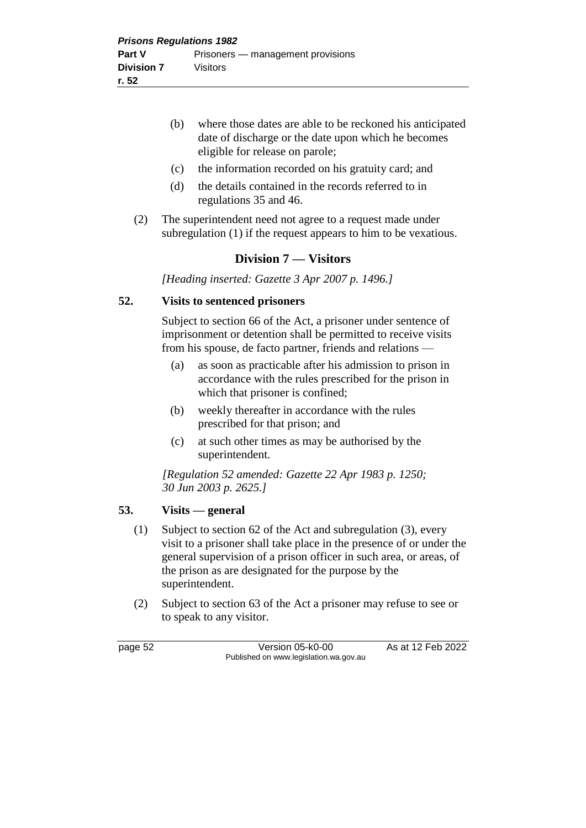- (b) where those dates are able to be reckoned his anticipated date of discharge or the date upon which he becomes eligible for release on parole;
- (c) the information recorded on his gratuity card; and
- (d) the details contained in the records referred to in regulations 35 and 46.
- (2) The superintendent need not agree to a request made under subregulation (1) if the request appears to him to be vexatious.

## **Division 7 — Visitors**

*[Heading inserted: Gazette 3 Apr 2007 p. 1496.]*

#### **52. Visits to sentenced prisoners**

Subject to section 66 of the Act, a prisoner under sentence of imprisonment or detention shall be permitted to receive visits from his spouse, de facto partner, friends and relations —

- (a) as soon as practicable after his admission to prison in accordance with the rules prescribed for the prison in which that prisoner is confined;
- (b) weekly thereafter in accordance with the rules prescribed for that prison; and
- (c) at such other times as may be authorised by the superintendent.

*[Regulation 52 amended: Gazette 22 Apr 1983 p. 1250; 30 Jun 2003 p. 2625.]* 

### **53. Visits — general**

- (1) Subject to section 62 of the Act and subregulation (3), every visit to a prisoner shall take place in the presence of or under the general supervision of a prison officer in such area, or areas, of the prison as are designated for the purpose by the superintendent.
- (2) Subject to section 63 of the Act a prisoner may refuse to see or to speak to any visitor.

page 52 Version 05-k0-00 As at 12 Feb 2022 Published on www.legislation.wa.gov.au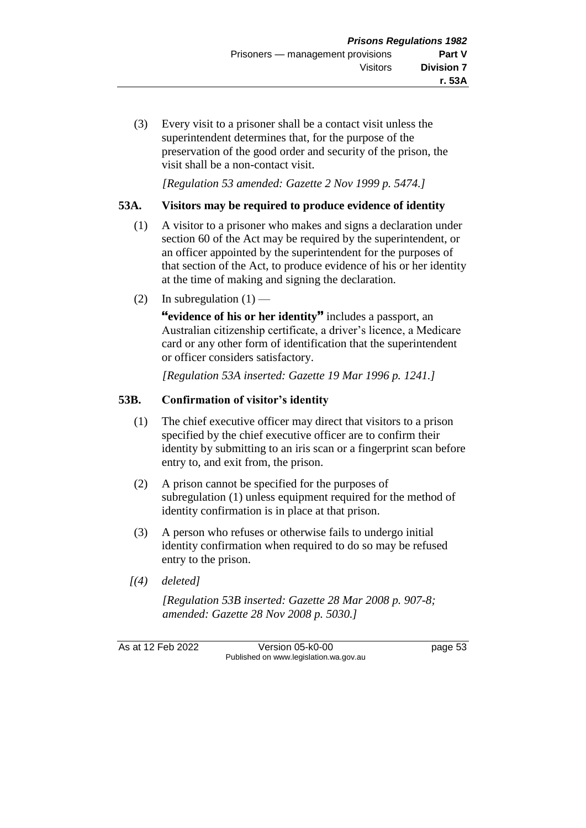(3) Every visit to a prisoner shall be a contact visit unless the superintendent determines that, for the purpose of the preservation of the good order and security of the prison, the visit shall be a non-contact visit.

*[Regulation 53 amended: Gazette 2 Nov 1999 p. 5474.]*

## **53A. Visitors may be required to produce evidence of identity**

- (1) A visitor to a prisoner who makes and signs a declaration under section 60 of the Act may be required by the superintendent, or an officer appointed by the superintendent for the purposes of that section of the Act, to produce evidence of his or her identity at the time of making and signing the declaration.
- (2) In subregulation  $(1)$  —

**"evidence of his or her identity"** includes a passport, an Australian citizenship certificate, a driver's licence, a Medicare card or any other form of identification that the superintendent or officer considers satisfactory.

*[Regulation 53A inserted: Gazette 19 Mar 1996 p. 1241.]* 

# **53B. Confirmation of visitor's identity**

- (1) The chief executive officer may direct that visitors to a prison specified by the chief executive officer are to confirm their identity by submitting to an iris scan or a fingerprint scan before entry to, and exit from, the prison.
- (2) A prison cannot be specified for the purposes of subregulation (1) unless equipment required for the method of identity confirmation is in place at that prison.
- (3) A person who refuses or otherwise fails to undergo initial identity confirmation when required to do so may be refused entry to the prison.
- *[(4) deleted]*

*[Regulation 53B inserted: Gazette 28 Mar 2008 p. 907-8; amended: Gazette 28 Nov 2008 p. 5030.]*

As at 12 Feb 2022 Version 05-k0-00 page 53 Published on www.legislation.wa.gov.au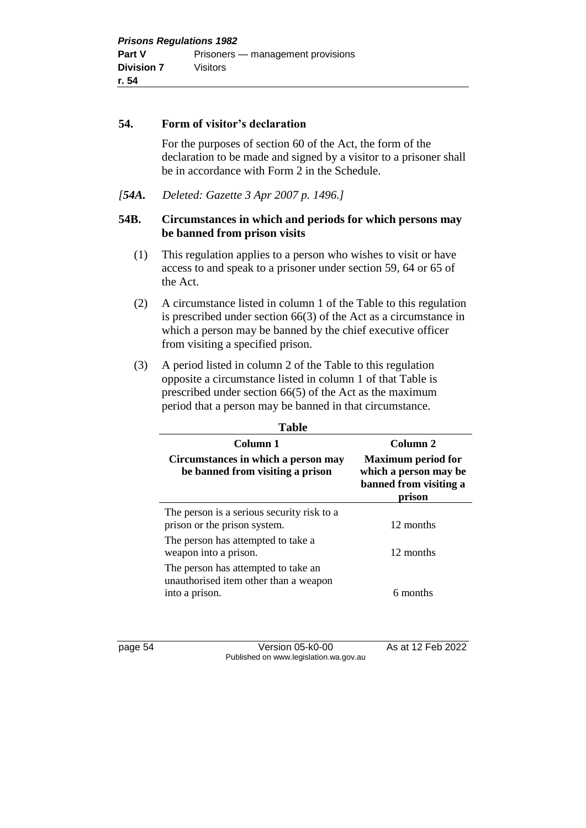#### **54. Form of visitor's declaration**

For the purposes of section 60 of the Act, the form of the declaration to be made and signed by a visitor to a prisoner shall be in accordance with Form 2 in the Schedule.

*[54A. Deleted: Gazette 3 Apr 2007 p. 1496.]*

#### **54B. Circumstances in which and periods for which persons may be banned from prison visits**

- (1) This regulation applies to a person who wishes to visit or have access to and speak to a prisoner under section 59, 64 or 65 of the Act.
- (2) A circumstance listed in column 1 of the Table to this regulation is prescribed under section 66(3) of the Act as a circumstance in which a person may be banned by the chief executive officer from visiting a specified prison.
- (3) A period listed in column 2 of the Table to this regulation opposite a circumstance listed in column 1 of that Table is prescribed under section 66(5) of the Act as the maximum period that a person may be banned in that circumstance.

| <b>Table</b>                                                                                   |                                                                                        |
|------------------------------------------------------------------------------------------------|----------------------------------------------------------------------------------------|
| Column 1                                                                                       | Column <sub>2</sub>                                                                    |
| Circumstances in which a person may<br>be banned from visiting a prison                        | <b>Maximum period for</b><br>which a person may be<br>banned from visiting a<br>prison |
| The person is a serious security risk to a<br>prison or the prison system.                     | 12 months                                                                              |
| The person has attempted to take a<br>weapon into a prison.                                    | 12 months                                                                              |
| The person has attempted to take an<br>unauthorised item other than a weapon<br>into a prison. | 6 months                                                                               |

page 54 Version 05-k0-00 As at 12 Feb 2022 Published on www.legislation.wa.gov.au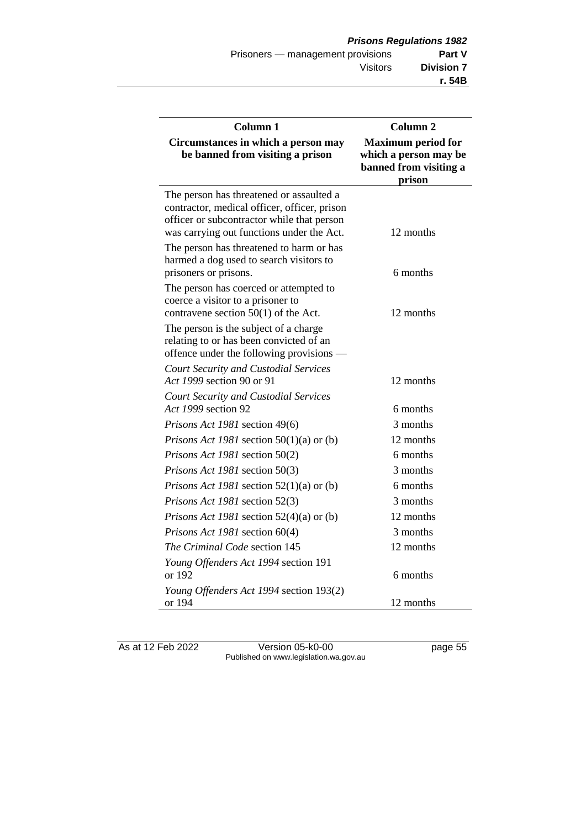| Column 1                                                                                                                                                                            | Column 2                                                                               |
|-------------------------------------------------------------------------------------------------------------------------------------------------------------------------------------|----------------------------------------------------------------------------------------|
| Circumstances in which a person may<br>be banned from visiting a prison                                                                                                             | <b>Maximum period for</b><br>which a person may be<br>banned from visiting a<br>prison |
| The person has threatened or assaulted a<br>contractor, medical officer, officer, prison<br>officer or subcontractor while that person<br>was carrying out functions under the Act. | 12 months                                                                              |
| The person has threatened to harm or has<br>harmed a dog used to search visitors to<br>prisoners or prisons.                                                                        | 6 months                                                                               |
| The person has coerced or attempted to<br>coerce a visitor to a prisoner to<br>contravene section $50(1)$ of the Act.                                                               | 12 months                                                                              |
| The person is the subject of a charge<br>relating to or has been convicted of an<br>offence under the following provisions —                                                        |                                                                                        |
| <b>Court Security and Custodial Services</b><br>Act 1999 section 90 or 91                                                                                                           | 12 months                                                                              |
| <b>Court Security and Custodial Services</b><br>Act 1999 section 92                                                                                                                 | 6 months                                                                               |
| Prisons Act 1981 section 49(6)                                                                                                                                                      | 3 months                                                                               |
| <i>Prisons Act 1981</i> section $50(1)(a)$ or (b)                                                                                                                                   | 12 months                                                                              |
| Prisons Act 1981 section 50(2)                                                                                                                                                      | 6 months                                                                               |
| Prisons Act 1981 section 50(3)                                                                                                                                                      | 3 months                                                                               |
| <i>Prisons Act 1981</i> section $52(1)(a)$ or (b)                                                                                                                                   | 6 months                                                                               |
| Prisons Act 1981 section 52(3)                                                                                                                                                      | 3 months                                                                               |
| <i>Prisons Act 1981</i> section $52(4)(a)$ or (b)                                                                                                                                   | 12 months                                                                              |
| Prisons Act 1981 section 60(4)                                                                                                                                                      | 3 months                                                                               |
| The Criminal Code section 145                                                                                                                                                       | 12 months                                                                              |
| Young Offenders Act 1994 section 191<br>or 192                                                                                                                                      | 6 months                                                                               |
| Young Offenders Act 1994 section 193(2)<br>or 194                                                                                                                                   | 12 months                                                                              |

As at 12 Feb 2022 Version 05-k0-00 page 55 Published on www.legislation.wa.gov.au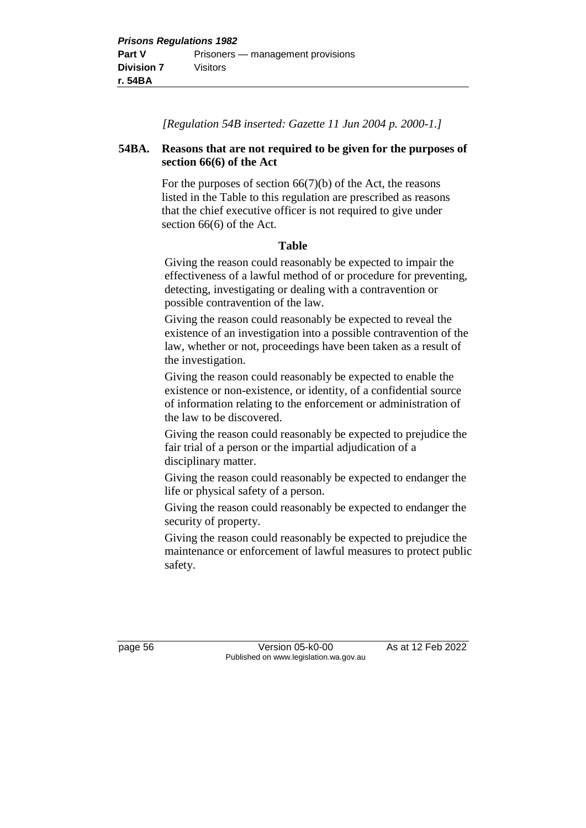*[Regulation 54B inserted: Gazette 11 Jun 2004 p. 2000-1.]*

### **54BA. Reasons that are not required to be given for the purposes of section 66(6) of the Act**

For the purposes of section  $66(7)(b)$  of the Act, the reasons listed in the Table to this regulation are prescribed as reasons that the chief executive officer is not required to give under section 66(6) of the Act.

### **Table**

Giving the reason could reasonably be expected to impair the effectiveness of a lawful method of or procedure for preventing, detecting, investigating or dealing with a contravention or possible contravention of the law.

Giving the reason could reasonably be expected to reveal the existence of an investigation into a possible contravention of the law, whether or not, proceedings have been taken as a result of the investigation.

Giving the reason could reasonably be expected to enable the existence or non-existence, or identity, of a confidential source of information relating to the enforcement or administration of the law to be discovered.

Giving the reason could reasonably be expected to prejudice the fair trial of a person or the impartial adjudication of a disciplinary matter.

Giving the reason could reasonably be expected to endanger the life or physical safety of a person.

Giving the reason could reasonably be expected to endanger the security of property.

Giving the reason could reasonably be expected to prejudice the maintenance or enforcement of lawful measures to protect public safety.

page 56 Version 05-k0-00 As at 12 Feb 2022 Published on www.legislation.wa.gov.au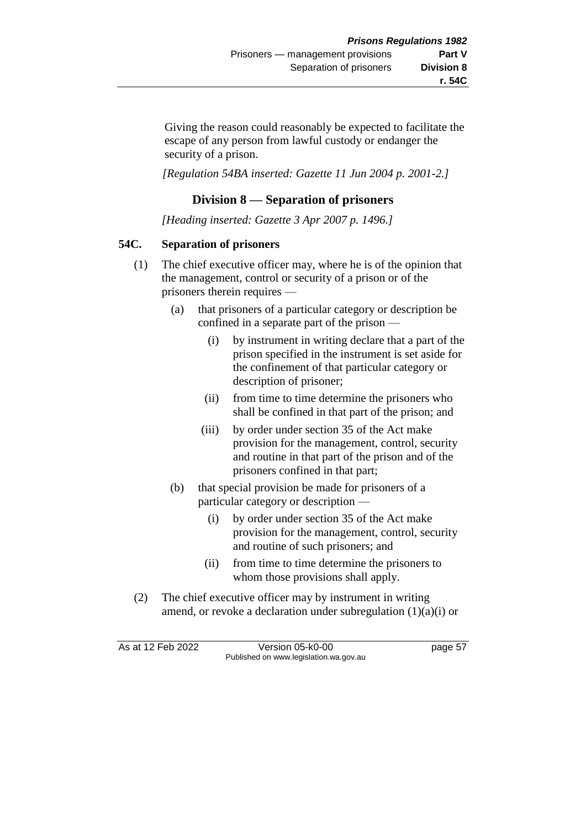Giving the reason could reasonably be expected to facilitate the escape of any person from lawful custody or endanger the security of a prison.

*[Regulation 54BA inserted: Gazette 11 Jun 2004 p. 2001-2.]*

# **Division 8 — Separation of prisoners**

*[Heading inserted: Gazette 3 Apr 2007 p. 1496.]*

## **54C. Separation of prisoners**

- (1) The chief executive officer may, where he is of the opinion that the management, control or security of a prison or of the prisoners therein requires —
	- (a) that prisoners of a particular category or description be confined in a separate part of the prison —
		- (i) by instrument in writing declare that a part of the prison specified in the instrument is set aside for the confinement of that particular category or description of prisoner;
		- (ii) from time to time determine the prisoners who shall be confined in that part of the prison; and
		- (iii) by order under section 35 of the Act make provision for the management, control, security and routine in that part of the prison and of the prisoners confined in that part;
	- (b) that special provision be made for prisoners of a particular category or description —
		- (i) by order under section 35 of the Act make provision for the management, control, security and routine of such prisoners; and
		- (ii) from time to time determine the prisoners to whom those provisions shall apply.
- (2) The chief executive officer may by instrument in writing amend, or revoke a declaration under subregulation  $(1)(a)(i)$  or

As at 12 Feb 2022 Version 05-k0-00 page 57 Published on www.legislation.wa.gov.au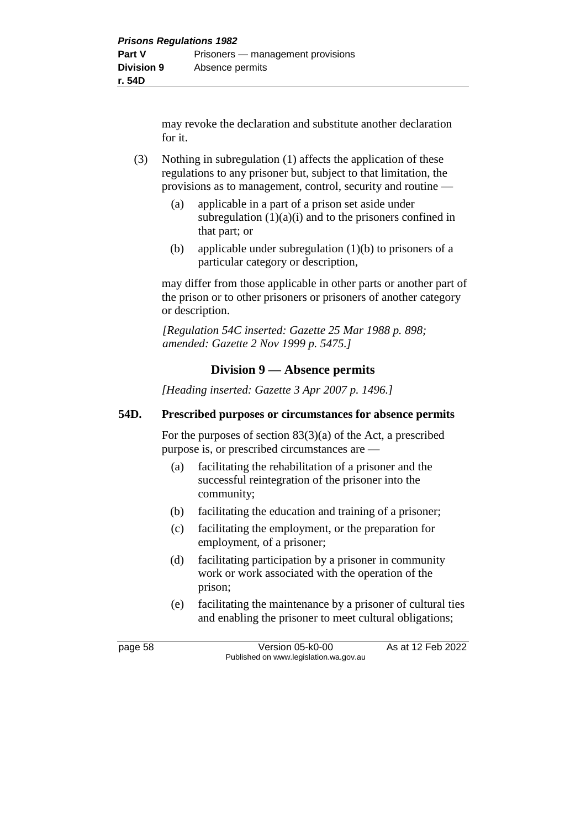may revoke the declaration and substitute another declaration for it.

- (3) Nothing in subregulation (1) affects the application of these regulations to any prisoner but, subject to that limitation, the provisions as to management, control, security and routine —
	- (a) applicable in a part of a prison set aside under subregulation  $(1)(a)(i)$  and to the prisoners confined in that part; or
	- (b) applicable under subregulation (1)(b) to prisoners of a particular category or description,

may differ from those applicable in other parts or another part of the prison or to other prisoners or prisoners of another category or description.

*[Regulation 54C inserted: Gazette 25 Mar 1988 p. 898; amended: Gazette 2 Nov 1999 p. 5475.]* 

# **Division 9 — Absence permits**

*[Heading inserted: Gazette 3 Apr 2007 p. 1496.]*

#### **54D. Prescribed purposes or circumstances for absence permits**

For the purposes of section 83(3)(a) of the Act, a prescribed purpose is, or prescribed circumstances are —

- (a) facilitating the rehabilitation of a prisoner and the successful reintegration of the prisoner into the community;
- (b) facilitating the education and training of a prisoner;
- (c) facilitating the employment, or the preparation for employment, of a prisoner;
- (d) facilitating participation by a prisoner in community work or work associated with the operation of the prison;
- (e) facilitating the maintenance by a prisoner of cultural ties and enabling the prisoner to meet cultural obligations;

page 58 Version 05-k0-00 As at 12 Feb 2022 Published on www.legislation.wa.gov.au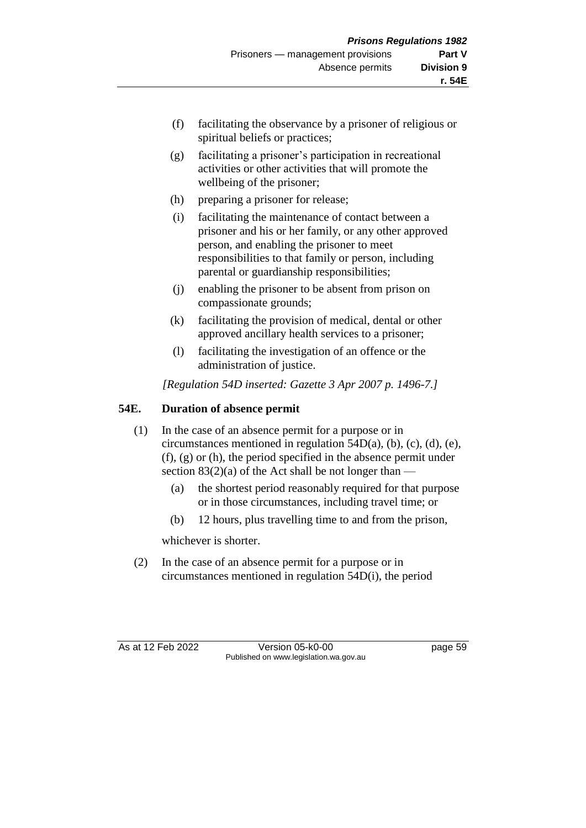- (f) facilitating the observance by a prisoner of religious or spiritual beliefs or practices;
- (g) facilitating a prisoner's participation in recreational activities or other activities that will promote the wellbeing of the prisoner;
- (h) preparing a prisoner for release;
- (i) facilitating the maintenance of contact between a prisoner and his or her family, or any other approved person, and enabling the prisoner to meet responsibilities to that family or person, including parental or guardianship responsibilities;
- (j) enabling the prisoner to be absent from prison on compassionate grounds;
- (k) facilitating the provision of medical, dental or other approved ancillary health services to a prisoner;
- (l) facilitating the investigation of an offence or the administration of justice.

*[Regulation 54D inserted: Gazette 3 Apr 2007 p. 1496-7.]*

# **54E. Duration of absence permit**

- (1) In the case of an absence permit for a purpose or in circumstances mentioned in regulation 54D(a), (b), (c), (d), (e), (f), (g) or (h), the period specified in the absence permit under section  $83(2)(a)$  of the Act shall be not longer than —
	- (a) the shortest period reasonably required for that purpose or in those circumstances, including travel time; or
	- (b) 12 hours, plus travelling time to and from the prison,

whichever is shorter.

(2) In the case of an absence permit for a purpose or in circumstances mentioned in regulation 54D(i), the period

As at 12 Feb 2022 Version 05-k0-00 page 59 Published on www.legislation.wa.gov.au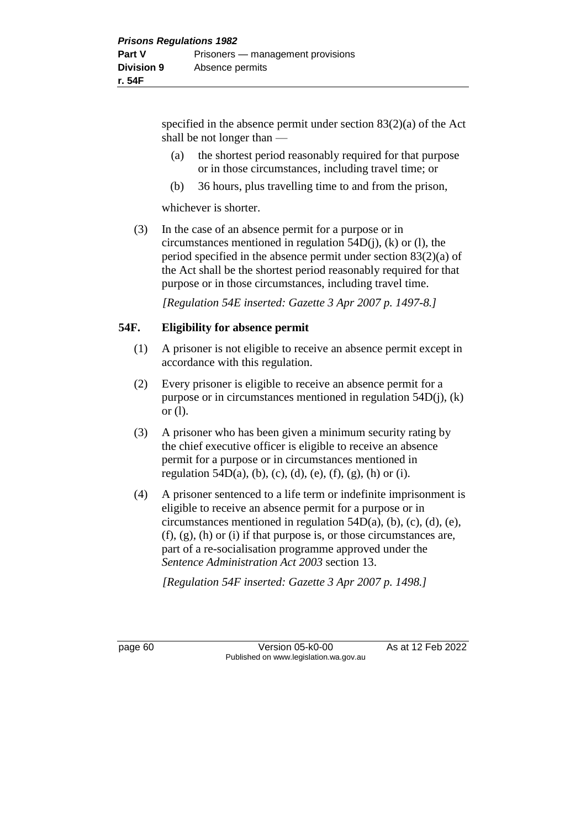specified in the absence permit under section 83(2)(a) of the Act shall be not longer than —

- (a) the shortest period reasonably required for that purpose or in those circumstances, including travel time; or
- (b) 36 hours, plus travelling time to and from the prison,

whichever is shorter.

(3) In the case of an absence permit for a purpose or in circumstances mentioned in regulation  $54D(i)$ , (k) or (l), the period specified in the absence permit under section 83(2)(a) of the Act shall be the shortest period reasonably required for that purpose or in those circumstances, including travel time.

*[Regulation 54E inserted: Gazette 3 Apr 2007 p. 1497-8.]*

### **54F. Eligibility for absence permit**

- (1) A prisoner is not eligible to receive an absence permit except in accordance with this regulation.
- (2) Every prisoner is eligible to receive an absence permit for a purpose or in circumstances mentioned in regulation 54D(j), (k) or (l).
- (3) A prisoner who has been given a minimum security rating by the chief executive officer is eligible to receive an absence permit for a purpose or in circumstances mentioned in regulation 54D(a), (b), (c), (d), (e), (f), (g), (h) or (i).
- (4) A prisoner sentenced to a life term or indefinite imprisonment is eligible to receive an absence permit for a purpose or in circumstances mentioned in regulation  $54D(a)$ , (b), (c), (d), (e),  $(f)$ ,  $(g)$ ,  $(h)$  or  $(i)$  if that purpose is, or those circumstances are, part of a re-socialisation programme approved under the *Sentence Administration Act 2003* section 13.

*[Regulation 54F inserted: Gazette 3 Apr 2007 p. 1498.]*

page 60 Version 05-k0-00 As at 12 Feb 2022 Published on www.legislation.wa.gov.au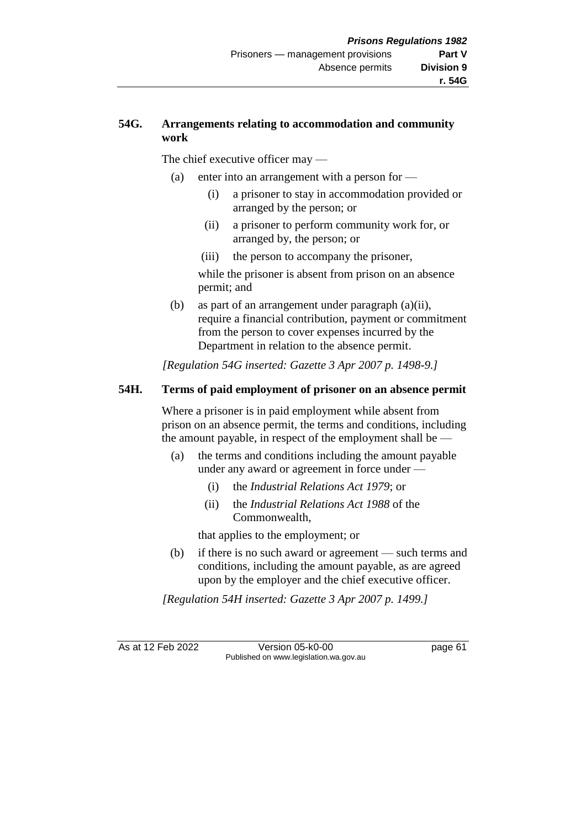## **54G. Arrangements relating to accommodation and community work**

The chief executive officer may —

- (a) enter into an arrangement with a person for  $-$ 
	- (i) a prisoner to stay in accommodation provided or arranged by the person; or
	- (ii) a prisoner to perform community work for, or arranged by, the person; or
	- (iii) the person to accompany the prisoner,

while the prisoner is absent from prison on an absence permit; and

(b) as part of an arrangement under paragraph (a)(ii), require a financial contribution, payment or commitment from the person to cover expenses incurred by the Department in relation to the absence permit.

*[Regulation 54G inserted: Gazette 3 Apr 2007 p. 1498-9.]*

### **54H. Terms of paid employment of prisoner on an absence permit**

Where a prisoner is in paid employment while absent from prison on an absence permit, the terms and conditions, including the amount payable, in respect of the employment shall be —

- (a) the terms and conditions including the amount payable under any award or agreement in force under —
	- (i) the *Industrial Relations Act 1979*; or
	- (ii) the *Industrial Relations Act 1988* of the Commonwealth,

that applies to the employment; or

(b) if there is no such award or agreement — such terms and conditions, including the amount payable, as are agreed upon by the employer and the chief executive officer.

*[Regulation 54H inserted: Gazette 3 Apr 2007 p. 1499.]*

As at 12 Feb 2022 Version 05-k0-00 page 61 Published on www.legislation.wa.gov.au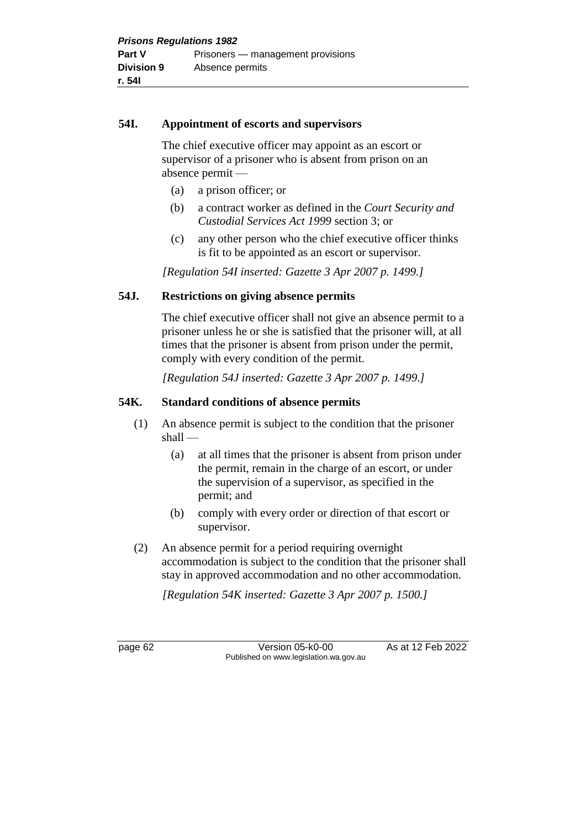### **54I. Appointment of escorts and supervisors**

The chief executive officer may appoint as an escort or supervisor of a prisoner who is absent from prison on an absence permit —

- (a) a prison officer; or
- (b) a contract worker as defined in the *Court Security and Custodial Services Act 1999* section 3; or
- (c) any other person who the chief executive officer thinks is fit to be appointed as an escort or supervisor.

*[Regulation 54I inserted: Gazette 3 Apr 2007 p. 1499.]*

# **54J. Restrictions on giving absence permits**

The chief executive officer shall not give an absence permit to a prisoner unless he or she is satisfied that the prisoner will, at all times that the prisoner is absent from prison under the permit, comply with every condition of the permit.

*[Regulation 54J inserted: Gazette 3 Apr 2007 p. 1499.]*

# **54K. Standard conditions of absence permits**

- (1) An absence permit is subject to the condition that the prisoner shall —
	- (a) at all times that the prisoner is absent from prison under the permit, remain in the charge of an escort, or under the supervision of a supervisor, as specified in the permit; and
	- (b) comply with every order or direction of that escort or supervisor.
- (2) An absence permit for a period requiring overnight accommodation is subject to the condition that the prisoner shall stay in approved accommodation and no other accommodation.

*[Regulation 54K inserted: Gazette 3 Apr 2007 p. 1500.]*

page 62 Version 05-k0-00 As at 12 Feb 2022 Published on www.legislation.wa.gov.au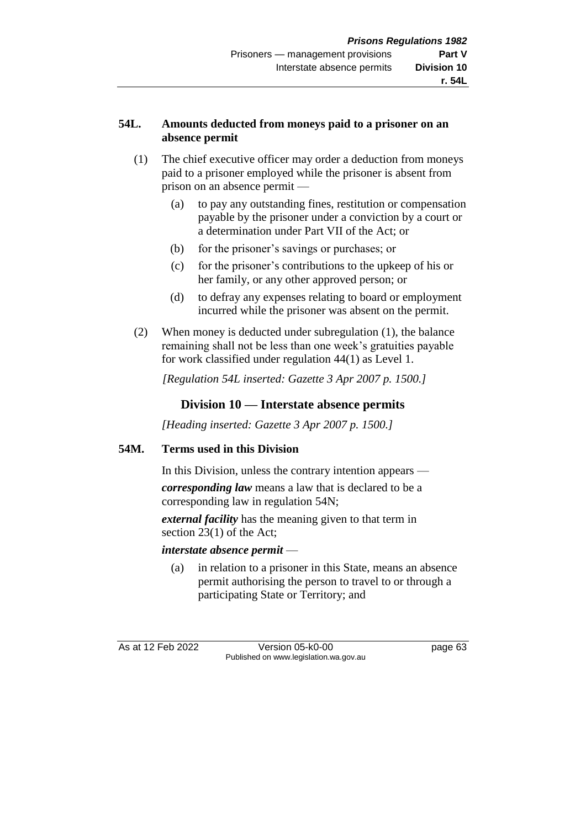## **54L. Amounts deducted from moneys paid to a prisoner on an absence permit**

- (1) The chief executive officer may order a deduction from moneys paid to a prisoner employed while the prisoner is absent from prison on an absence permit —
	- (a) to pay any outstanding fines, restitution or compensation payable by the prisoner under a conviction by a court or a determination under Part VII of the Act; or
	- (b) for the prisoner's savings or purchases; or
	- (c) for the prisoner's contributions to the upkeep of his or her family, or any other approved person; or
	- (d) to defray any expenses relating to board or employment incurred while the prisoner was absent on the permit.
- (2) When money is deducted under subregulation (1), the balance remaining shall not be less than one week's gratuities payable for work classified under regulation 44(1) as Level 1.

*[Regulation 54L inserted: Gazette 3 Apr 2007 p. 1500.]*

## **Division 10 — Interstate absence permits**

*[Heading inserted: Gazette 3 Apr 2007 p. 1500.]*

#### **54M. Terms used in this Division**

In this Division, unless the contrary intention appears —

*corresponding law* means a law that is declared to be a corresponding law in regulation 54N;

*external facility* has the meaning given to that term in section 23(1) of the Act;

#### *interstate absence permit* —

(a) in relation to a prisoner in this State, means an absence permit authorising the person to travel to or through a participating State or Territory; and

As at 12 Feb 2022 Version 05-k0-00 page 63 Published on www.legislation.wa.gov.au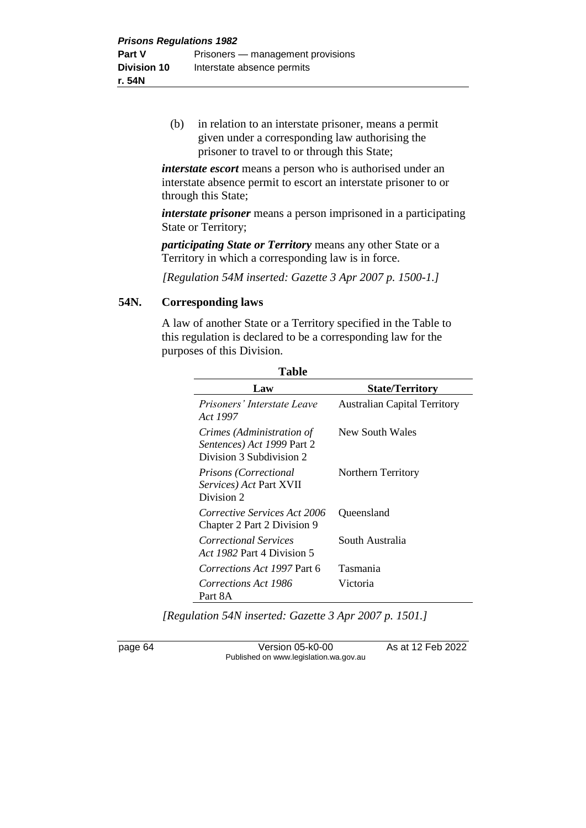(b) in relation to an interstate prisoner, means a permit given under a corresponding law authorising the prisoner to travel to or through this State;

*interstate escort* means a person who is authorised under an interstate absence permit to escort an interstate prisoner to or through this State;

*interstate prisoner* means a person imprisoned in a participating State or Territory;

*participating State or Territory* means any other State or a Territory in which a corresponding law is in force.

*[Regulation 54M inserted: Gazette 3 Apr 2007 p. 1500-1.]*

#### **54N. Corresponding laws**

A law of another State or a Territory specified in the Table to this regulation is declared to be a corresponding law for the purposes of this Division.

| Table                                                                               |                                     |  |
|-------------------------------------------------------------------------------------|-------------------------------------|--|
| Law                                                                                 | <b>State/Territory</b>              |  |
| Prisoners' Interstate Leave<br>Act 1997                                             | <b>Australian Capital Territory</b> |  |
| Crimes (Administration of<br>Sentences) Act 1999 Part 2<br>Division 3 Subdivision 2 | New South Wales                     |  |
| Prisons (Correctional<br>Services) Act Part XVII<br>Division 2                      | Northern Territory                  |  |
| Corrective Services Act 2006<br>Chapter 2 Part 2 Division 9                         | Queensland                          |  |
| Correctional Services<br>Act 1982 Part 4 Division 5                                 | South Australia                     |  |
| Corrections Act 1997 Part 6                                                         | Tasmania                            |  |
| Corrections Act 1986<br>Part 8A                                                     | Victoria                            |  |

*[Regulation 54N inserted: Gazette 3 Apr 2007 p. 1501.]*

page 64 Version 05-k0-00 As at 12 Feb 2022 Published on www.legislation.wa.gov.au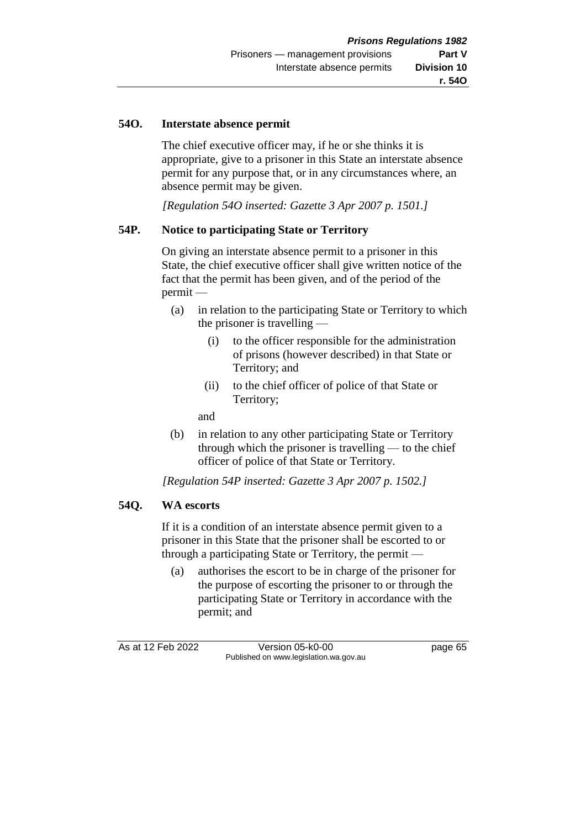#### **54O. Interstate absence permit**

The chief executive officer may, if he or she thinks it is appropriate, give to a prisoner in this State an interstate absence permit for any purpose that, or in any circumstances where, an absence permit may be given.

*[Regulation 54O inserted: Gazette 3 Apr 2007 p. 1501.]*

#### **54P. Notice to participating State or Territory**

On giving an interstate absence permit to a prisoner in this State, the chief executive officer shall give written notice of the fact that the permit has been given, and of the period of the permit —

- (a) in relation to the participating State or Territory to which the prisoner is travelling —
	- (i) to the officer responsible for the administration of prisons (however described) in that State or Territory; and
	- (ii) to the chief officer of police of that State or Territory;

and

(b) in relation to any other participating State or Territory through which the prisoner is travelling — to the chief officer of police of that State or Territory.

*[Regulation 54P inserted: Gazette 3 Apr 2007 p. 1502.]*

#### **54Q. WA escorts**

If it is a condition of an interstate absence permit given to a prisoner in this State that the prisoner shall be escorted to or through a participating State or Territory, the permit —

(a) authorises the escort to be in charge of the prisoner for the purpose of escorting the prisoner to or through the participating State or Territory in accordance with the permit; and

As at 12 Feb 2022 Version 05-k0-00 page 65 Published on www.legislation.wa.gov.au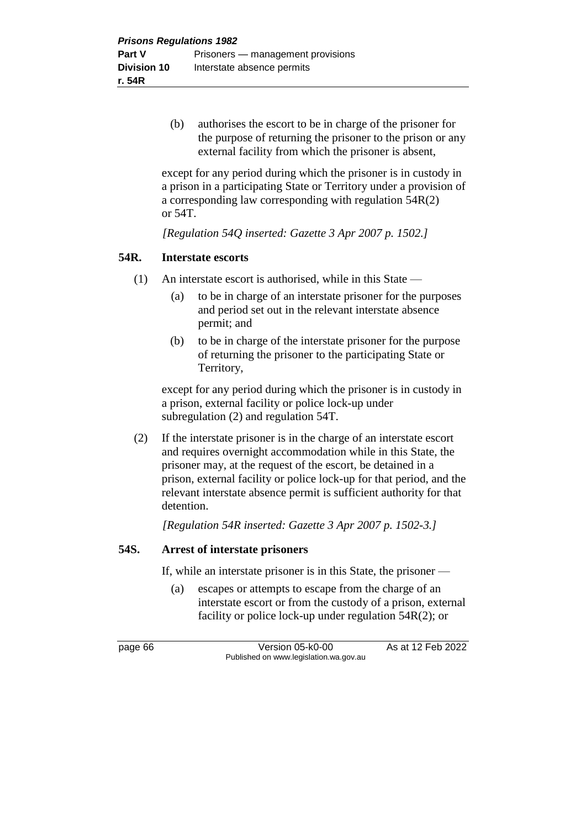(b) authorises the escort to be in charge of the prisoner for the purpose of returning the prisoner to the prison or any external facility from which the prisoner is absent,

except for any period during which the prisoner is in custody in a prison in a participating State or Territory under a provision of a corresponding law corresponding with regulation 54R(2) or 54T.

*[Regulation 54Q inserted: Gazette 3 Apr 2007 p. 1502.]*

#### **54R. Interstate escorts**

- (1) An interstate escort is authorised, while in this State
	- (a) to be in charge of an interstate prisoner for the purposes and period set out in the relevant interstate absence permit; and
	- (b) to be in charge of the interstate prisoner for the purpose of returning the prisoner to the participating State or Territory,

except for any period during which the prisoner is in custody in a prison, external facility or police lock-up under subregulation (2) and regulation 54T.

(2) If the interstate prisoner is in the charge of an interstate escort and requires overnight accommodation while in this State, the prisoner may, at the request of the escort, be detained in a prison, external facility or police lock-up for that period, and the relevant interstate absence permit is sufficient authority for that detention.

*[Regulation 54R inserted: Gazette 3 Apr 2007 p. 1502-3.]*

#### **54S. Arrest of interstate prisoners**

If, while an interstate prisoner is in this State, the prisoner —

(a) escapes or attempts to escape from the charge of an interstate escort or from the custody of a prison, external facility or police lock-up under regulation 54R(2); or

page 66 **Version 05-k0-00** As at 12 Feb 2022 Published on www.legislation.wa.gov.au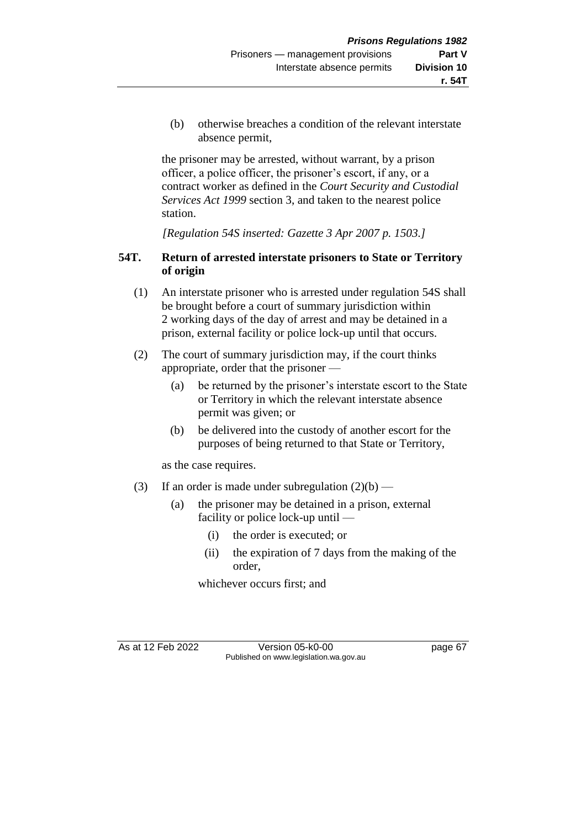(b) otherwise breaches a condition of the relevant interstate absence permit,

the prisoner may be arrested, without warrant, by a prison officer, a police officer, the prisoner's escort, if any, or a contract worker as defined in the *Court Security and Custodial Services Act 1999* section 3, and taken to the nearest police station.

*[Regulation 54S inserted: Gazette 3 Apr 2007 p. 1503.]*

### **54T. Return of arrested interstate prisoners to State or Territory of origin**

- (1) An interstate prisoner who is arrested under regulation 54S shall be brought before a court of summary jurisdiction within 2 working days of the day of arrest and may be detained in a prison, external facility or police lock-up until that occurs.
- (2) The court of summary jurisdiction may, if the court thinks appropriate, order that the prisoner —
	- (a) be returned by the prisoner's interstate escort to the State or Territory in which the relevant interstate absence permit was given; or
	- (b) be delivered into the custody of another escort for the purposes of being returned to that State or Territory,

as the case requires.

- (3) If an order is made under subregulation  $(2)(b)$ 
	- (a) the prisoner may be detained in a prison, external facility or police lock-up until —
		- (i) the order is executed; or
		- (ii) the expiration of 7 days from the making of the order,

whichever occurs first; and

As at 12 Feb 2022 Version 05-k0-00 page 67 Published on www.legislation.wa.gov.au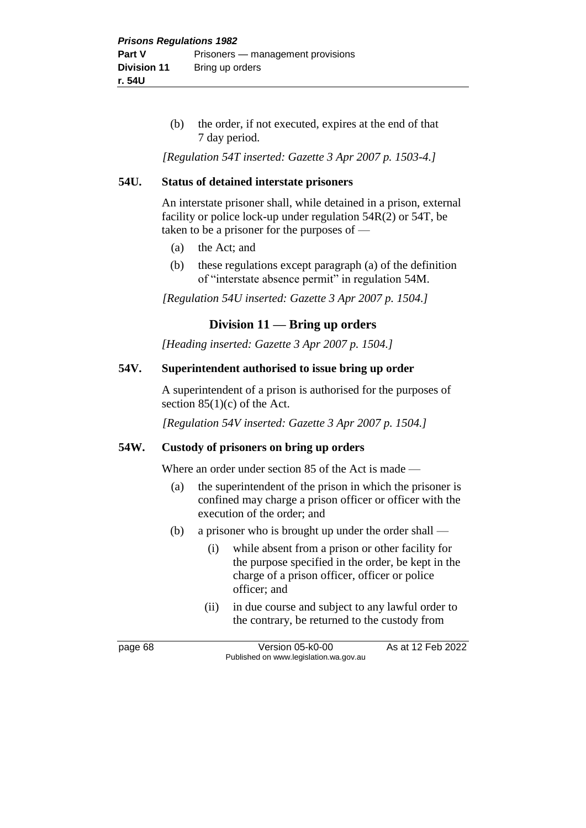(b) the order, if not executed, expires at the end of that 7 day period.

*[Regulation 54T inserted: Gazette 3 Apr 2007 p. 1503-4.]*

#### **54U. Status of detained interstate prisoners**

An interstate prisoner shall, while detained in a prison, external facility or police lock-up under regulation 54R(2) or 54T, be taken to be a prisoner for the purposes of —

- (a) the Act; and
- (b) these regulations except paragraph (a) of the definition of "interstate absence permit" in regulation 54M.

*[Regulation 54U inserted: Gazette 3 Apr 2007 p. 1504.]*

#### **Division 11 — Bring up orders**

*[Heading inserted: Gazette 3 Apr 2007 p. 1504.]*

#### **54V. Superintendent authorised to issue bring up order**

A superintendent of a prison is authorised for the purposes of section  $85(1)(c)$  of the Act.

*[Regulation 54V inserted: Gazette 3 Apr 2007 p. 1504.]*

#### **54W. Custody of prisoners on bring up orders**

Where an order under section 85 of the Act is made —

- (a) the superintendent of the prison in which the prisoner is confined may charge a prison officer or officer with the execution of the order; and
- (b) a prisoner who is brought up under the order shall
	- (i) while absent from a prison or other facility for the purpose specified in the order, be kept in the charge of a prison officer, officer or police officer; and
	- (ii) in due course and subject to any lawful order to the contrary, be returned to the custody from

page 68 Version 05-k0-00 As at 12 Feb 2022 Published on www.legislation.wa.gov.au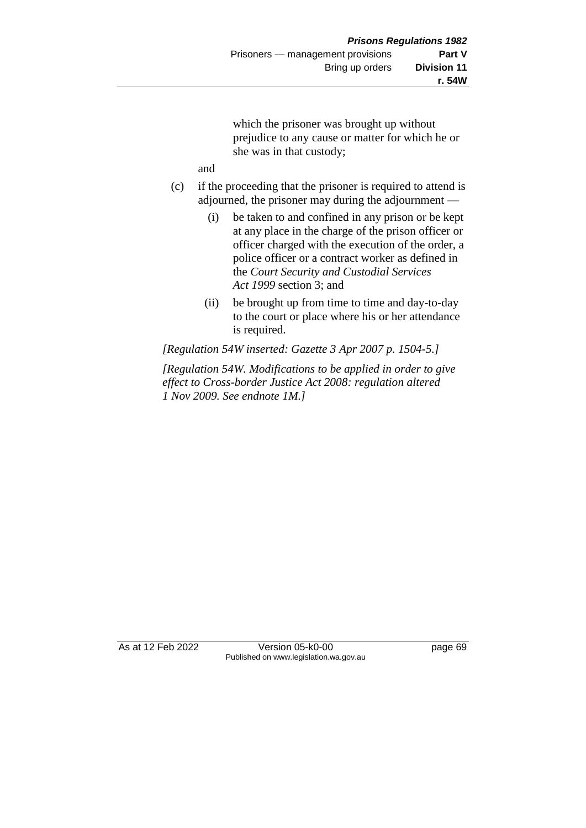which the prisoner was brought up without prejudice to any cause or matter for which he or she was in that custody;

and

- (c) if the proceeding that the prisoner is required to attend is adjourned, the prisoner may during the adjournment —
	- (i) be taken to and confined in any prison or be kept at any place in the charge of the prison officer or officer charged with the execution of the order, a police officer or a contract worker as defined in the *Court Security and Custodial Services Act 1999* section 3; and
	- (ii) be brought up from time to time and day-to-day to the court or place where his or her attendance is required.

*[Regulation 54W inserted: Gazette 3 Apr 2007 p. 1504-5.]*

*[Regulation 54W. Modifications to be applied in order to give effect to Cross-border Justice Act 2008: regulation altered 1 Nov 2009. See endnote 1M.]*

As at 12 Feb 2022 Version 05-k0-00 page 69 Published on www.legislation.wa.gov.au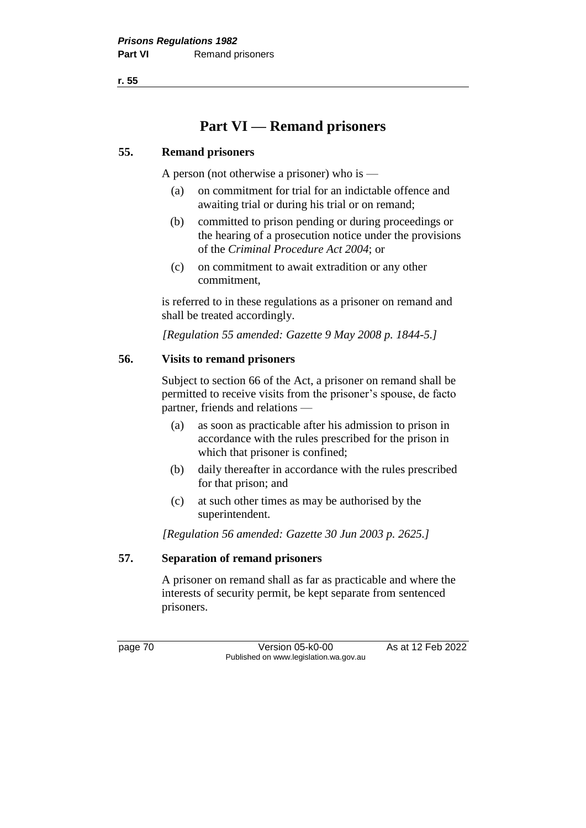**r. 55**

# **Part VI — Remand prisoners**

#### **55. Remand prisoners**

A person (not otherwise a prisoner) who is —

- (a) on commitment for trial for an indictable offence and awaiting trial or during his trial or on remand;
- (b) committed to prison pending or during proceedings or the hearing of a prosecution notice under the provisions of the *Criminal Procedure Act 2004*; or
- (c) on commitment to await extradition or any other commitment,

is referred to in these regulations as a prisoner on remand and shall be treated accordingly.

*[Regulation 55 amended: Gazette 9 May 2008 p. 1844-5.]*

#### **56. Visits to remand prisoners**

Subject to section 66 of the Act, a prisoner on remand shall be permitted to receive visits from the prisoner's spouse, de facto partner, friends and relations —

- (a) as soon as practicable after his admission to prison in accordance with the rules prescribed for the prison in which that prisoner is confined;
- (b) daily thereafter in accordance with the rules prescribed for that prison; and
- (c) at such other times as may be authorised by the superintendent.

*[Regulation 56 amended: Gazette 30 Jun 2003 p. 2625.]*

#### **57. Separation of remand prisoners**

A prisoner on remand shall as far as practicable and where the interests of security permit, be kept separate from sentenced prisoners.

page 70 Version 05-k0-00 As at 12 Feb 2022 Published on www.legislation.wa.gov.au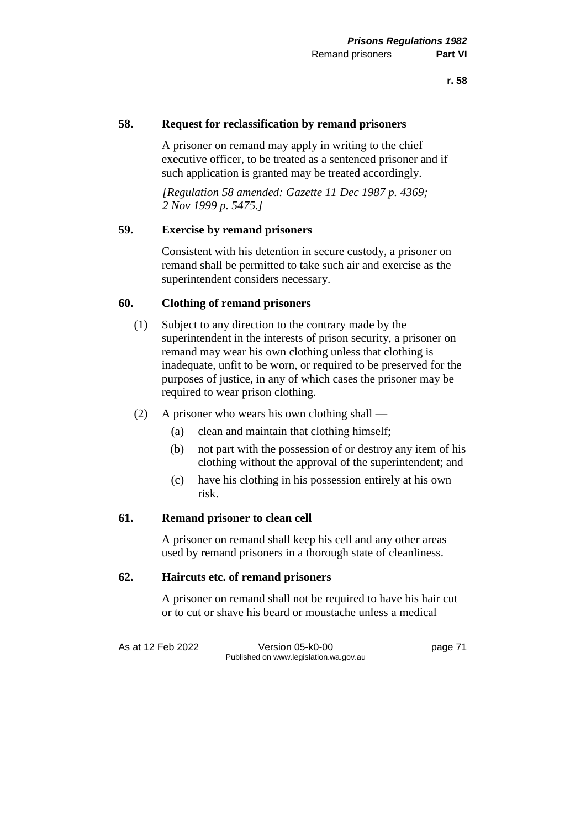#### **58. Request for reclassification by remand prisoners**

A prisoner on remand may apply in writing to the chief executive officer, to be treated as a sentenced prisoner and if such application is granted may be treated accordingly.

*[Regulation 58 amended: Gazette 11 Dec 1987 p. 4369; 2 Nov 1999 p. 5475.]* 

#### **59. Exercise by remand prisoners**

Consistent with his detention in secure custody, a prisoner on remand shall be permitted to take such air and exercise as the superintendent considers necessary.

#### **60. Clothing of remand prisoners**

- (1) Subject to any direction to the contrary made by the superintendent in the interests of prison security, a prisoner on remand may wear his own clothing unless that clothing is inadequate, unfit to be worn, or required to be preserved for the purposes of justice, in any of which cases the prisoner may be required to wear prison clothing.
- (2) A prisoner who wears his own clothing shall
	- (a) clean and maintain that clothing himself;
	- (b) not part with the possession of or destroy any item of his clothing without the approval of the superintendent; and
	- (c) have his clothing in his possession entirely at his own risk.

#### **61. Remand prisoner to clean cell**

A prisoner on remand shall keep his cell and any other areas used by remand prisoners in a thorough state of cleanliness.

#### **62. Haircuts etc. of remand prisoners**

A prisoner on remand shall not be required to have his hair cut or to cut or shave his beard or moustache unless a medical

As at 12 Feb 2022 Version 05-k0-00 page 71

Published on www.legislation.wa.gov.au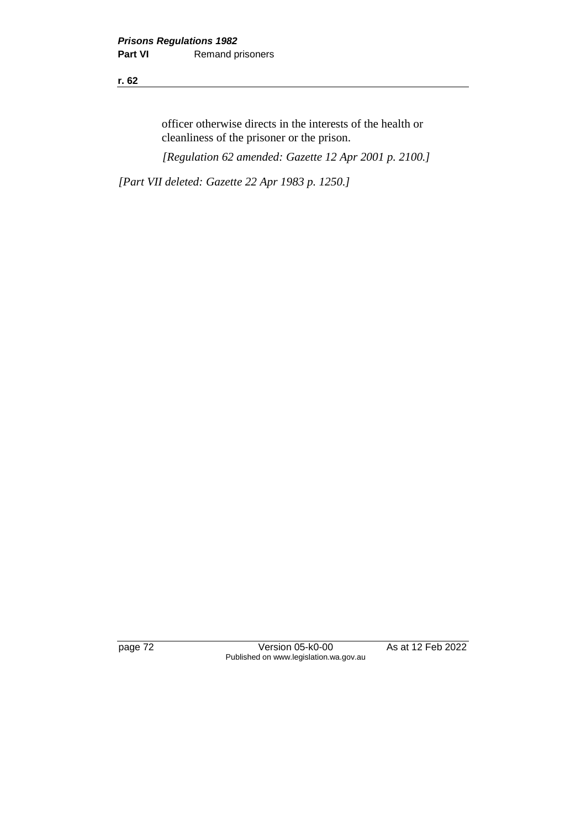**r. 62**

officer otherwise directs in the interests of the health or cleanliness of the prisoner or the prison.

*[Regulation 62 amended: Gazette 12 Apr 2001 p. 2100.]*

*[Part VII deleted: Gazette 22 Apr 1983 p. 1250.]*

page 72 Version 05-k0-00 As at 12 Feb 2022 Published on www.legislation.wa.gov.au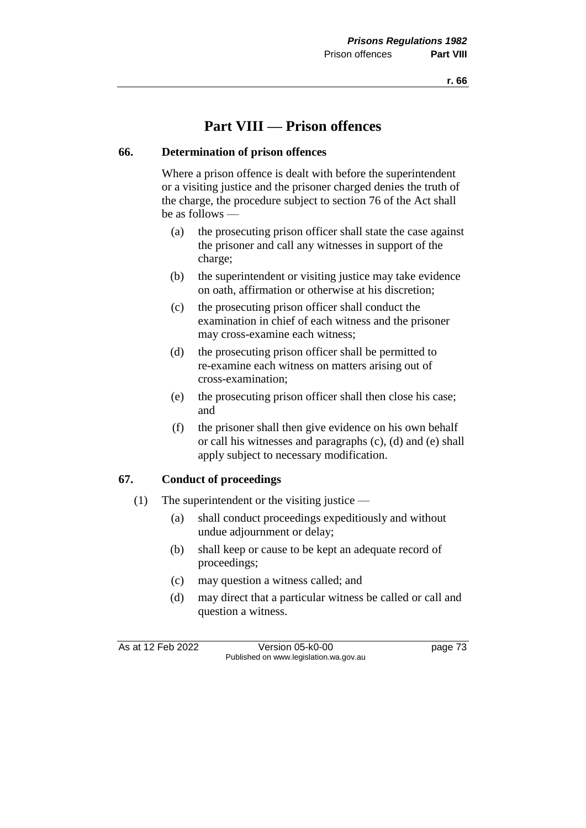## **Part VIII — Prison offences**

#### **66. Determination of prison offences**

Where a prison offence is dealt with before the superintendent or a visiting justice and the prisoner charged denies the truth of the charge, the procedure subject to section 76 of the Act shall be as follows —

- (a) the prosecuting prison officer shall state the case against the prisoner and call any witnesses in support of the charge;
- (b) the superintendent or visiting justice may take evidence on oath, affirmation or otherwise at his discretion;
- (c) the prosecuting prison officer shall conduct the examination in chief of each witness and the prisoner may cross-examine each witness;
- (d) the prosecuting prison officer shall be permitted to re-examine each witness on matters arising out of cross-examination;
- (e) the prosecuting prison officer shall then close his case; and
- (f) the prisoner shall then give evidence on his own behalf or call his witnesses and paragraphs (c), (d) and (e) shall apply subject to necessary modification.

#### **67. Conduct of proceedings**

- (1) The superintendent or the visiting justice
	- (a) shall conduct proceedings expeditiously and without undue adjournment or delay;
	- (b) shall keep or cause to be kept an adequate record of proceedings;
	- (c) may question a witness called; and
	- (d) may direct that a particular witness be called or call and question a witness.

As at 12 Feb 2022 Version 05-k0-00 page 73 Published on www.legislation.wa.gov.au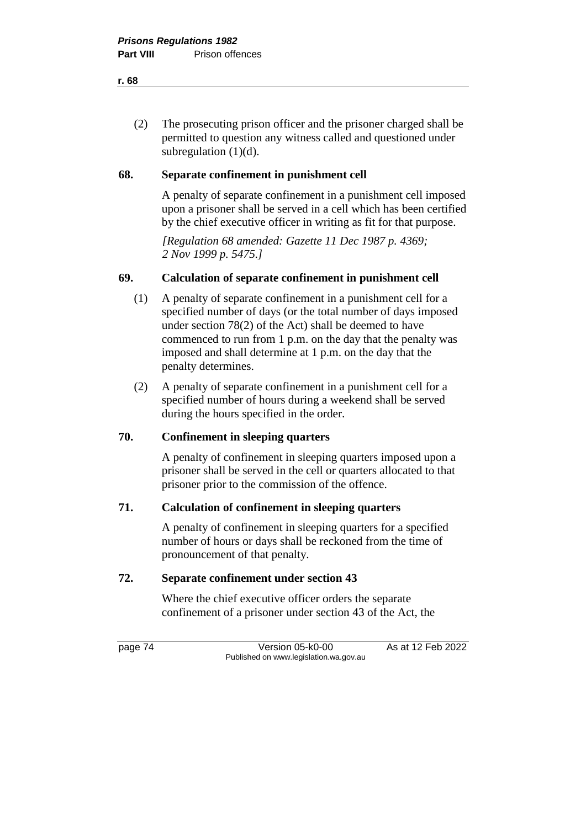(2) The prosecuting prison officer and the prisoner charged shall be permitted to question any witness called and questioned under subregulation (1)(d).

#### **68. Separate confinement in punishment cell**

A penalty of separate confinement in a punishment cell imposed upon a prisoner shall be served in a cell which has been certified by the chief executive officer in writing as fit for that purpose.

*[Regulation 68 amended: Gazette 11 Dec 1987 p. 4369; 2 Nov 1999 p. 5475.]* 

#### **69. Calculation of separate confinement in punishment cell**

- (1) A penalty of separate confinement in a punishment cell for a specified number of days (or the total number of days imposed under section 78(2) of the Act) shall be deemed to have commenced to run from 1 p.m. on the day that the penalty was imposed and shall determine at 1 p.m. on the day that the penalty determines.
- (2) A penalty of separate confinement in a punishment cell for a specified number of hours during a weekend shall be served during the hours specified in the order.

#### **70. Confinement in sleeping quarters**

A penalty of confinement in sleeping quarters imposed upon a prisoner shall be served in the cell or quarters allocated to that prisoner prior to the commission of the offence.

#### **71. Calculation of confinement in sleeping quarters**

A penalty of confinement in sleeping quarters for a specified number of hours or days shall be reckoned from the time of pronouncement of that penalty.

#### **72. Separate confinement under section 43**

Where the chief executive officer orders the separate confinement of a prisoner under section 43 of the Act, the

page 74 Version 05-k0-00 As at 12 Feb 2022 Published on www.legislation.wa.gov.au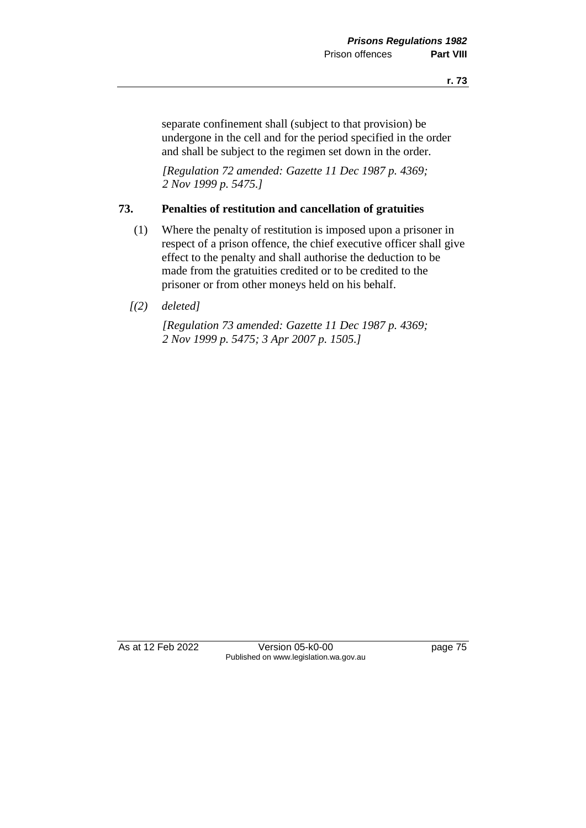separate confinement shall (subject to that provision) be undergone in the cell and for the period specified in the order and shall be subject to the regimen set down in the order.

*[Regulation 72 amended: Gazette 11 Dec 1987 p. 4369; 2 Nov 1999 p. 5475.]* 

#### **73. Penalties of restitution and cancellation of gratuities**

- (1) Where the penalty of restitution is imposed upon a prisoner in respect of a prison offence, the chief executive officer shall give effect to the penalty and shall authorise the deduction to be made from the gratuities credited or to be credited to the prisoner or from other moneys held on his behalf.
- *[(2) deleted]*

*[Regulation 73 amended: Gazette 11 Dec 1987 p. 4369; 2 Nov 1999 p. 5475; 3 Apr 2007 p. 1505.]* 

As at 12 Feb 2022 Version 05-k0-00 page 75 Published on www.legislation.wa.gov.au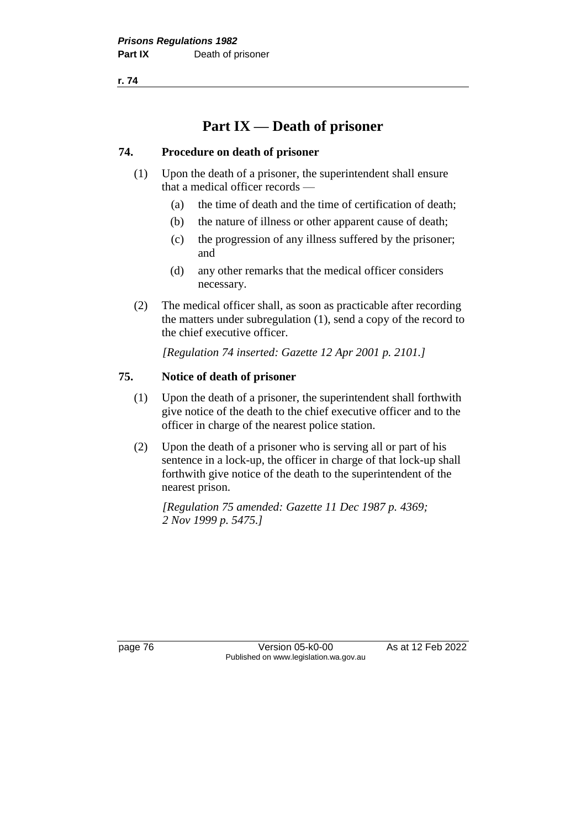**r. 74**

# **Part IX — Death of prisoner**

#### **74. Procedure on death of prisoner**

- (1) Upon the death of a prisoner, the superintendent shall ensure that a medical officer records —
	- (a) the time of death and the time of certification of death;
	- (b) the nature of illness or other apparent cause of death;
	- (c) the progression of any illness suffered by the prisoner; and
	- (d) any other remarks that the medical officer considers necessary.
- (2) The medical officer shall, as soon as practicable after recording the matters under subregulation (1), send a copy of the record to the chief executive officer.

*[Regulation 74 inserted: Gazette 12 Apr 2001 p. 2101.]*

## **75. Notice of death of prisoner**

- (1) Upon the death of a prisoner, the superintendent shall forthwith give notice of the death to the chief executive officer and to the officer in charge of the nearest police station.
- (2) Upon the death of a prisoner who is serving all or part of his sentence in a lock-up, the officer in charge of that lock-up shall forthwith give notice of the death to the superintendent of the nearest prison.

*[Regulation 75 amended: Gazette 11 Dec 1987 p. 4369; 2 Nov 1999 p. 5475.]* 

page 76 Version 05-k0-00 As at 12 Feb 2022 Published on www.legislation.wa.gov.au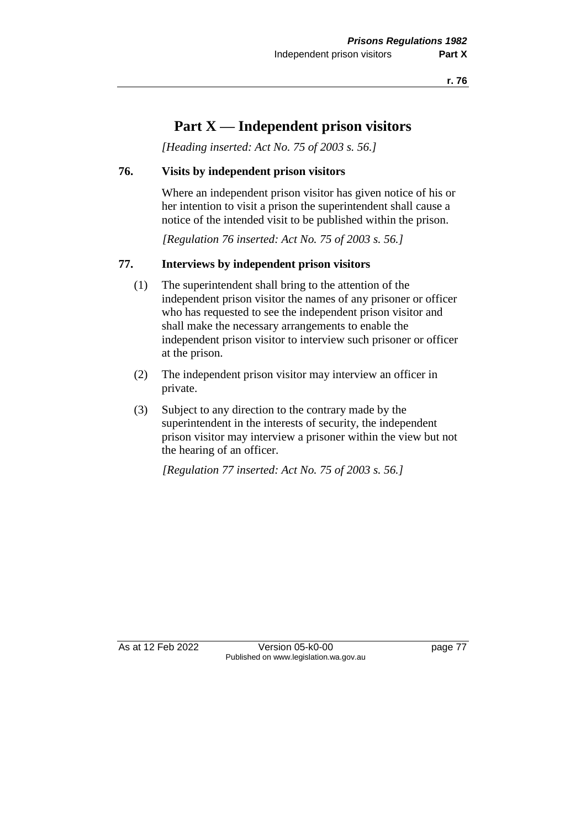# **Part X — Independent prison visitors**

*[Heading inserted: Act No. 75 of 2003 s. 56.]*

#### **76. Visits by independent prison visitors**

Where an independent prison visitor has given notice of his or her intention to visit a prison the superintendent shall cause a notice of the intended visit to be published within the prison.

*[Regulation 76 inserted: Act No. 75 of 2003 s. 56.]*

#### **77. Interviews by independent prison visitors**

- (1) The superintendent shall bring to the attention of the independent prison visitor the names of any prisoner or officer who has requested to see the independent prison visitor and shall make the necessary arrangements to enable the independent prison visitor to interview such prisoner or officer at the prison.
- (2) The independent prison visitor may interview an officer in private.
- (3) Subject to any direction to the contrary made by the superintendent in the interests of security, the independent prison visitor may interview a prisoner within the view but not the hearing of an officer.

*[Regulation 77 inserted: Act No. 75 of 2003 s. 56.]*

As at 12 Feb 2022 Version 05-k0-00 page 77 Published on www.legislation.wa.gov.au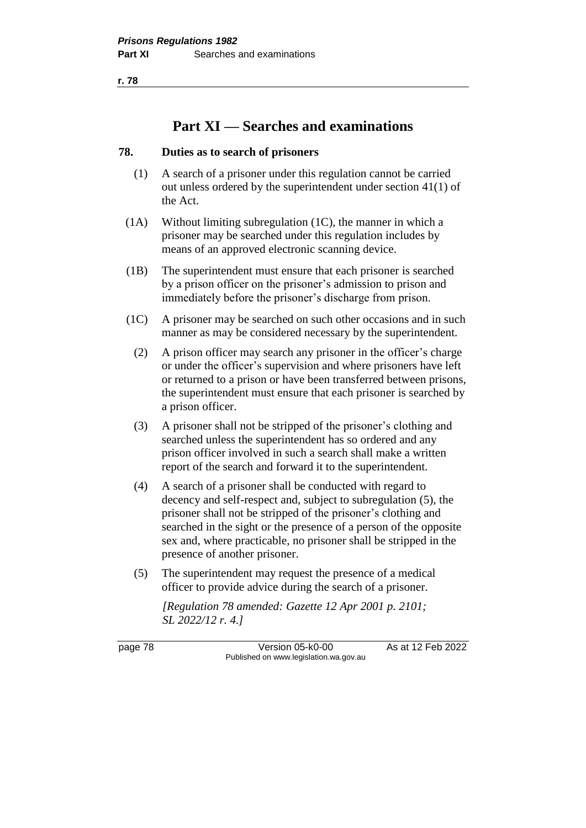**r. 78**

## **Part XI — Searches and examinations**

#### **78. Duties as to search of prisoners**

- (1) A search of a prisoner under this regulation cannot be carried out unless ordered by the superintendent under section 41(1) of the Act.
- (1A) Without limiting subregulation (1C), the manner in which a prisoner may be searched under this regulation includes by means of an approved electronic scanning device.
- (1B) The superintendent must ensure that each prisoner is searched by a prison officer on the prisoner's admission to prison and immediately before the prisoner's discharge from prison.
- (1C) A prisoner may be searched on such other occasions and in such manner as may be considered necessary by the superintendent.
	- (2) A prison officer may search any prisoner in the officer's charge or under the officer's supervision and where prisoners have left or returned to a prison or have been transferred between prisons, the superintendent must ensure that each prisoner is searched by a prison officer.
	- (3) A prisoner shall not be stripped of the prisoner's clothing and searched unless the superintendent has so ordered and any prison officer involved in such a search shall make a written report of the search and forward it to the superintendent.
	- (4) A search of a prisoner shall be conducted with regard to decency and self-respect and, subject to subregulation (5), the prisoner shall not be stripped of the prisoner's clothing and searched in the sight or the presence of a person of the opposite sex and, where practicable, no prisoner shall be stripped in the presence of another prisoner.
	- (5) The superintendent may request the presence of a medical officer to provide advice during the search of a prisoner.

*[Regulation 78 amended: Gazette 12 Apr 2001 p. 2101; SL 2022/12 r. 4.]*

page 78 **Version 05-k0-00** As at 12 Feb 2022 Published on www.legislation.wa.gov.au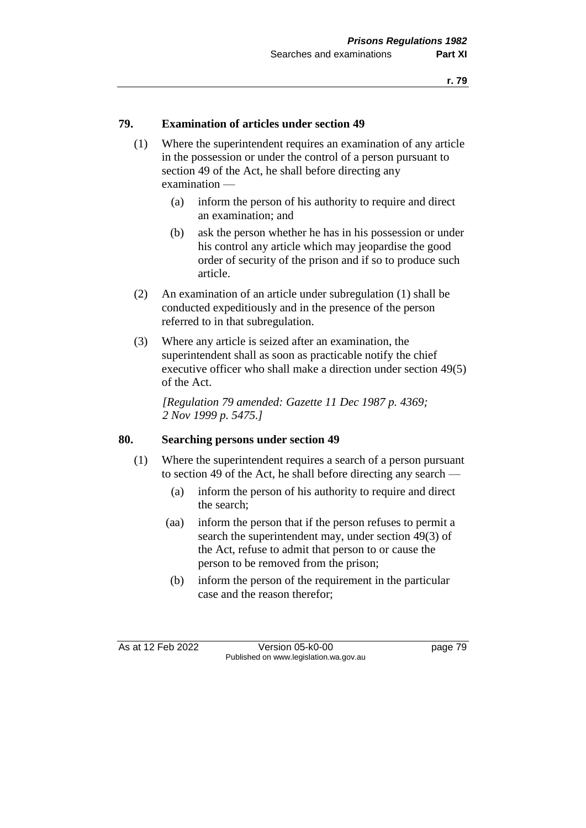#### **79. Examination of articles under section 49**

- (1) Where the superintendent requires an examination of any article in the possession or under the control of a person pursuant to section 49 of the Act, he shall before directing any examination —
	- (a) inform the person of his authority to require and direct an examination; and
	- (b) ask the person whether he has in his possession or under his control any article which may jeopardise the good order of security of the prison and if so to produce such article.
- (2) An examination of an article under subregulation (1) shall be conducted expeditiously and in the presence of the person referred to in that subregulation.
- (3) Where any article is seized after an examination, the superintendent shall as soon as practicable notify the chief executive officer who shall make a direction under section 49(5) of the Act.

*[Regulation 79 amended: Gazette 11 Dec 1987 p. 4369; 2 Nov 1999 p. 5475.]* 

#### **80. Searching persons under section 49**

- (1) Where the superintendent requires a search of a person pursuant to section 49 of the Act, he shall before directing any search —
	- (a) inform the person of his authority to require and direct the search;
	- (aa) inform the person that if the person refuses to permit a search the superintendent may, under section 49(3) of the Act, refuse to admit that person to or cause the person to be removed from the prison;
	- (b) inform the person of the requirement in the particular case and the reason therefor;

As at 12 Feb 2022 Version 05-k0-00 page 79 Published on www.legislation.wa.gov.au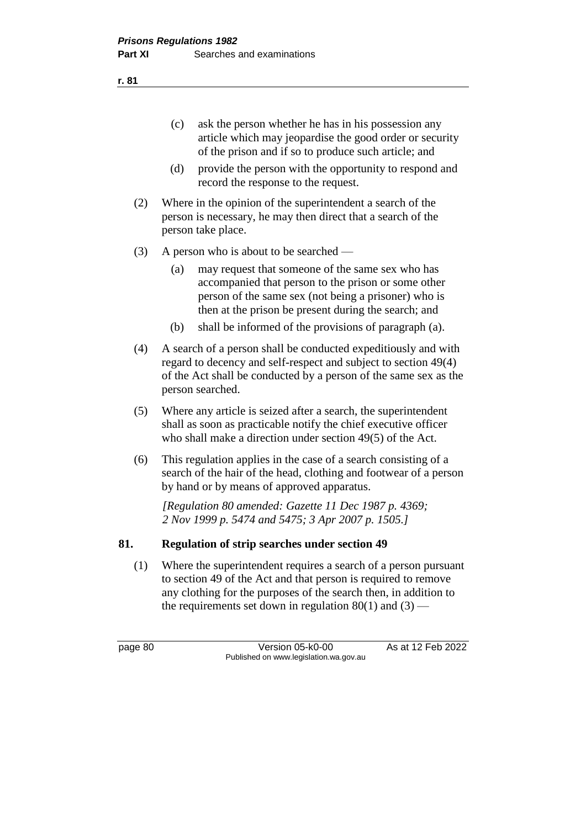- (c) ask the person whether he has in his possession any article which may jeopardise the good order or security of the prison and if so to produce such article; and
- (d) provide the person with the opportunity to respond and record the response to the request.
- (2) Where in the opinion of the superintendent a search of the person is necessary, he may then direct that a search of the person take place.
- (3) A person who is about to be searched
	- (a) may request that someone of the same sex who has accompanied that person to the prison or some other person of the same sex (not being a prisoner) who is then at the prison be present during the search; and
	- (b) shall be informed of the provisions of paragraph (a).
- (4) A search of a person shall be conducted expeditiously and with regard to decency and self-respect and subject to section 49(4) of the Act shall be conducted by a person of the same sex as the person searched.
- (5) Where any article is seized after a search, the superintendent shall as soon as practicable notify the chief executive officer who shall make a direction under section 49(5) of the Act.
- (6) This regulation applies in the case of a search consisting of a search of the hair of the head, clothing and footwear of a person by hand or by means of approved apparatus.

*[Regulation 80 amended: Gazette 11 Dec 1987 p. 4369; 2 Nov 1999 p. 5474 and 5475; 3 Apr 2007 p. 1505.]* 

#### **81. Regulation of strip searches under section 49**

(1) Where the superintendent requires a search of a person pursuant to section 49 of the Act and that person is required to remove any clothing for the purposes of the search then, in addition to the requirements set down in regulation  $80(1)$  and  $(3)$  —

page 80 Version 05-k0-00 As at 12 Feb 2022 Published on www.legislation.wa.gov.au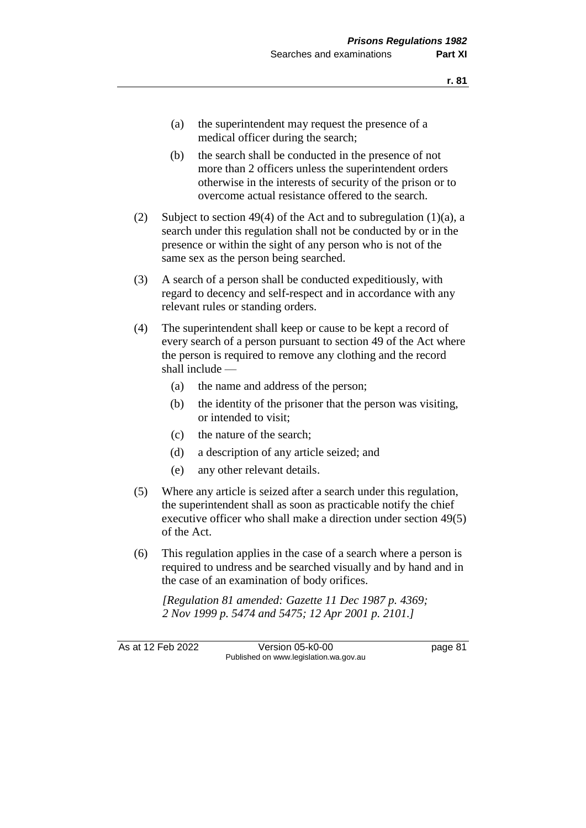- (a) the superintendent may request the presence of a medical officer during the search;
- (b) the search shall be conducted in the presence of not more than 2 officers unless the superintendent orders otherwise in the interests of security of the prison or to overcome actual resistance offered to the search.
- (2) Subject to section 49(4) of the Act and to subregulation (1)(a), a search under this regulation shall not be conducted by or in the presence or within the sight of any person who is not of the same sex as the person being searched.
- (3) A search of a person shall be conducted expeditiously, with regard to decency and self-respect and in accordance with any relevant rules or standing orders.
- (4) The superintendent shall keep or cause to be kept a record of every search of a person pursuant to section 49 of the Act where the person is required to remove any clothing and the record shall include —
	- (a) the name and address of the person;
	- (b) the identity of the prisoner that the person was visiting, or intended to visit;
	- (c) the nature of the search;
	- (d) a description of any article seized; and
	- (e) any other relevant details.
- (5) Where any article is seized after a search under this regulation, the superintendent shall as soon as practicable notify the chief executive officer who shall make a direction under section 49(5) of the Act.
- (6) This regulation applies in the case of a search where a person is required to undress and be searched visually and by hand and in the case of an examination of body orifices.

*[Regulation 81 amended: Gazette 11 Dec 1987 p. 4369; 2 Nov 1999 p. 5474 and 5475; 12 Apr 2001 p. 2101.]*

As at 12 Feb 2022 Version 05-k0-00 Page 81 Published on www.legislation.wa.gov.au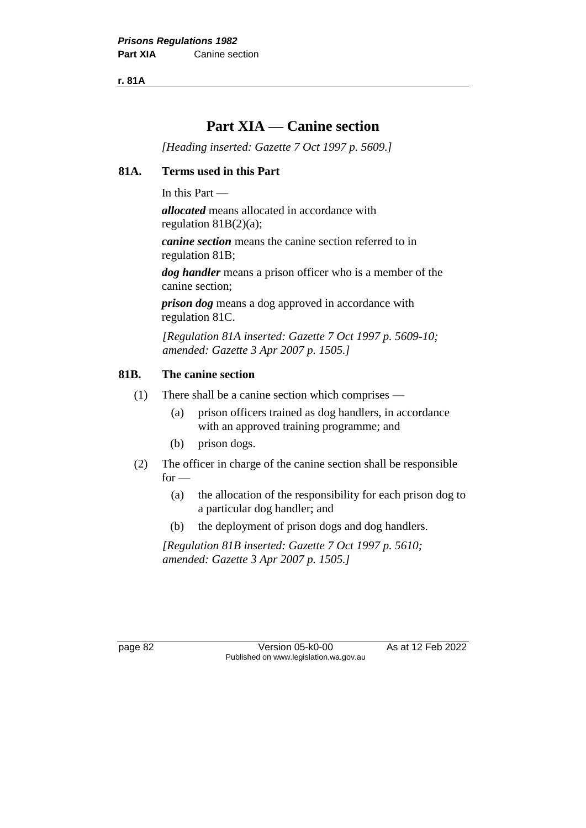**r. 81A**

# **Part XIA — Canine section**

*[Heading inserted: Gazette 7 Oct 1997 p. 5609.]*

#### **81A. Terms used in this Part**

In this Part —

*allocated* means allocated in accordance with regulation 81B(2)(a);

*canine section* means the canine section referred to in regulation 81B;

*dog handler* means a prison officer who is a member of the canine section;

*prison dog* means a dog approved in accordance with regulation 81C.

*[Regulation 81A inserted: Gazette 7 Oct 1997 p. 5609-10; amended: Gazette 3 Apr 2007 p. 1505.]* 

#### **81B. The canine section**

- (1) There shall be a canine section which comprises
	- (a) prison officers trained as dog handlers, in accordance with an approved training programme; and
	- (b) prison dogs.
- (2) The officer in charge of the canine section shall be responsible  $for -$ 
	- (a) the allocation of the responsibility for each prison dog to a particular dog handler; and
	- (b) the deployment of prison dogs and dog handlers.

*[Regulation 81B inserted: Gazette 7 Oct 1997 p. 5610; amended: Gazette 3 Apr 2007 p. 1505.]*

page 82 Version 05-k0-00 As at 12 Feb 2022 Published on www.legislation.wa.gov.au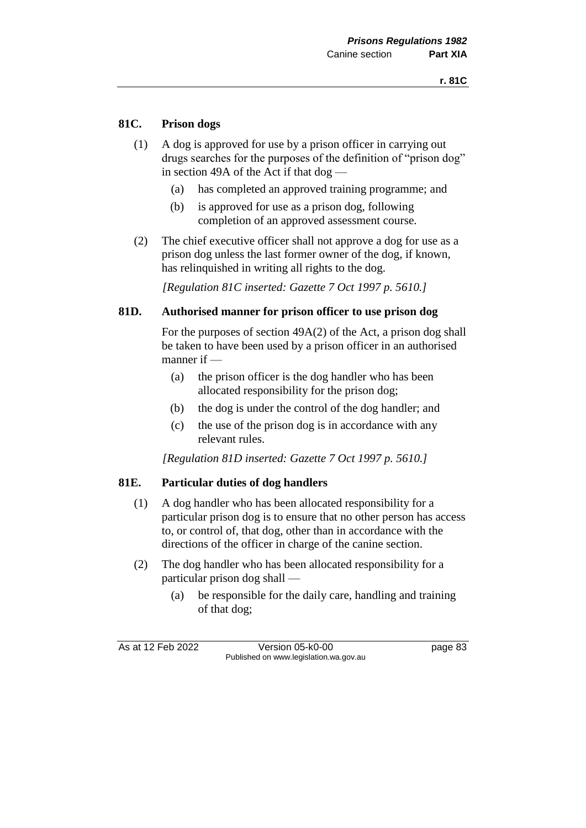### **81C. Prison dogs**

- (1) A dog is approved for use by a prison officer in carrying out drugs searches for the purposes of the definition of "prison dog" in section 49A of the Act if that dog —
	- (a) has completed an approved training programme; and
	- (b) is approved for use as a prison dog, following completion of an approved assessment course.
- (2) The chief executive officer shall not approve a dog for use as a prison dog unless the last former owner of the dog, if known, has relinquished in writing all rights to the dog.

*[Regulation 81C inserted: Gazette 7 Oct 1997 p. 5610.]* 

#### **81D. Authorised manner for prison officer to use prison dog**

For the purposes of section 49A(2) of the Act, a prison dog shall be taken to have been used by a prison officer in an authorised manner if —

- (a) the prison officer is the dog handler who has been allocated responsibility for the prison dog;
- (b) the dog is under the control of the dog handler; and
- (c) the use of the prison dog is in accordance with any relevant rules.

*[Regulation 81D inserted: Gazette 7 Oct 1997 p. 5610.]* 

#### **81E. Particular duties of dog handlers**

- (1) A dog handler who has been allocated responsibility for a particular prison dog is to ensure that no other person has access to, or control of, that dog, other than in accordance with the directions of the officer in charge of the canine section.
- (2) The dog handler who has been allocated responsibility for a particular prison dog shall —
	- (a) be responsible for the daily care, handling and training of that dog;

As at 12 Feb 2022 Version 05-k0-00 page 83 Published on www.legislation.wa.gov.au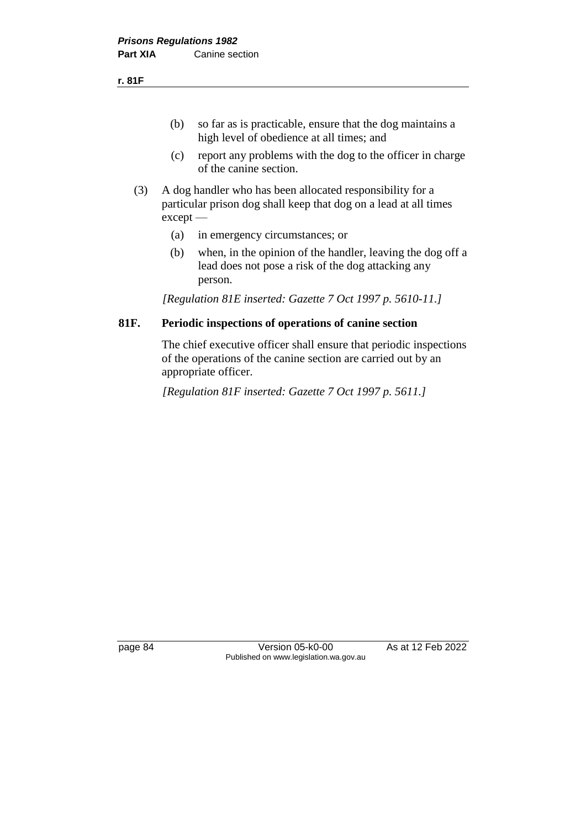(b) so far as is practicable, ensure that the dog maintains a high level of obedience at all times; and

- (c) report any problems with the dog to the officer in charge of the canine section.
- (3) A dog handler who has been allocated responsibility for a particular prison dog shall keep that dog on a lead at all times except —
	- (a) in emergency circumstances; or
	- (b) when, in the opinion of the handler, leaving the dog off a lead does not pose a risk of the dog attacking any person.

*[Regulation 81E inserted: Gazette 7 Oct 1997 p. 5610-11.]* 

#### **81F. Periodic inspections of operations of canine section**

The chief executive officer shall ensure that periodic inspections of the operations of the canine section are carried out by an appropriate officer.

*[Regulation 81F inserted: Gazette 7 Oct 1997 p. 5611.]* 

page 84 Version 05-k0-00 As at 12 Feb 2022 Published on www.legislation.wa.gov.au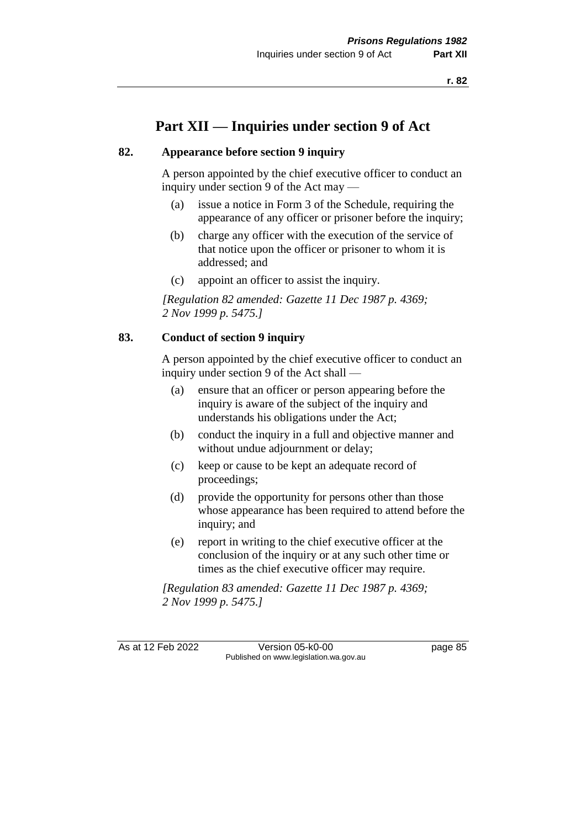# **Part XII — Inquiries under section 9 of Act**

#### **82. Appearance before section 9 inquiry**

A person appointed by the chief executive officer to conduct an inquiry under section 9 of the Act may —

- (a) issue a notice in Form 3 of the Schedule, requiring the appearance of any officer or prisoner before the inquiry;
- (b) charge any officer with the execution of the service of that notice upon the officer or prisoner to whom it is addressed; and
- (c) appoint an officer to assist the inquiry.

*[Regulation 82 amended: Gazette 11 Dec 1987 p. 4369; 2 Nov 1999 p. 5475.]* 

#### **83. Conduct of section 9 inquiry**

A person appointed by the chief executive officer to conduct an inquiry under section 9 of the Act shall —

- (a) ensure that an officer or person appearing before the inquiry is aware of the subject of the inquiry and understands his obligations under the Act;
- (b) conduct the inquiry in a full and objective manner and without undue adjournment or delay;
- (c) keep or cause to be kept an adequate record of proceedings;
- (d) provide the opportunity for persons other than those whose appearance has been required to attend before the inquiry; and
- (e) report in writing to the chief executive officer at the conclusion of the inquiry or at any such other time or times as the chief executive officer may require.

*[Regulation 83 amended: Gazette 11 Dec 1987 p. 4369; 2 Nov 1999 p. 5475.]* 

As at 12 Feb 2022 Version 05-k0-00 Page 85 Published on www.legislation.wa.gov.au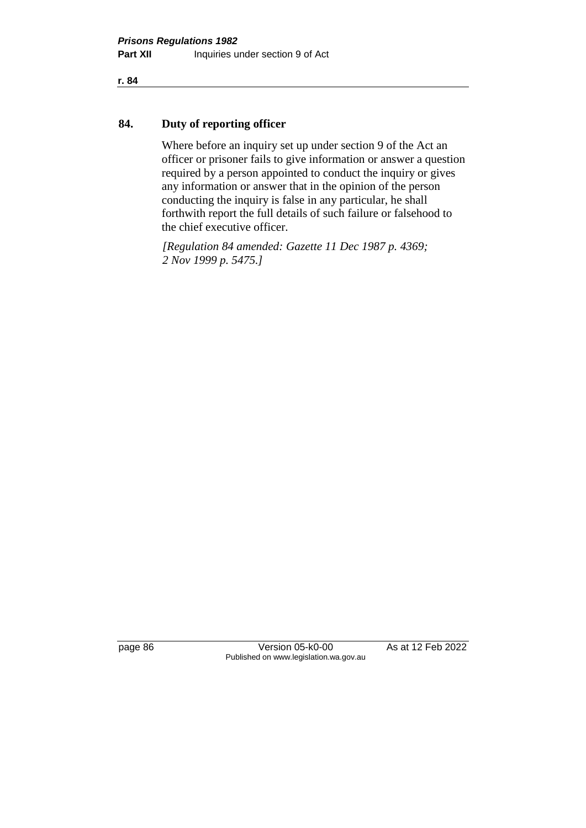#### **84. Duty of reporting officer**

Where before an inquiry set up under section 9 of the Act an officer or prisoner fails to give information or answer a question required by a person appointed to conduct the inquiry or gives any information or answer that in the opinion of the person conducting the inquiry is false in any particular, he shall forthwith report the full details of such failure or falsehood to the chief executive officer.

*[Regulation 84 amended: Gazette 11 Dec 1987 p. 4369; 2 Nov 1999 p. 5475.]* 

page 86 Version 05-k0-00 As at 12 Feb 2022 Published on www.legislation.wa.gov.au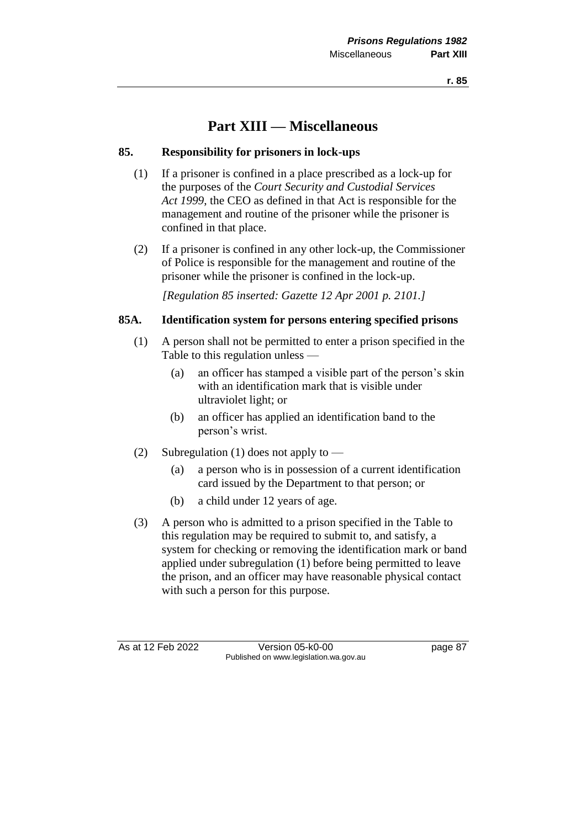# **Part XIII — Miscellaneous**

#### **85. Responsibility for prisoners in lock-ups**

- (1) If a prisoner is confined in a place prescribed as a lock-up for the purposes of the *Court Security and Custodial Services Act 1999*, the CEO as defined in that Act is responsible for the management and routine of the prisoner while the prisoner is confined in that place.
- (2) If a prisoner is confined in any other lock-up, the Commissioner of Police is responsible for the management and routine of the prisoner while the prisoner is confined in the lock-up.

*[Regulation 85 inserted: Gazette 12 Apr 2001 p. 2101.]*

#### **85A. Identification system for persons entering specified prisons**

- (1) A person shall not be permitted to enter a prison specified in the Table to this regulation unless —
	- (a) an officer has stamped a visible part of the person's skin with an identification mark that is visible under ultraviolet light; or
	- (b) an officer has applied an identification band to the person's wrist.
- (2) Subregulation (1) does not apply to  $-$ 
	- (a) a person who is in possession of a current identification card issued by the Department to that person; or
	- (b) a child under 12 years of age.
- (3) A person who is admitted to a prison specified in the Table to this regulation may be required to submit to, and satisfy, a system for checking or removing the identification mark or band applied under subregulation (1) before being permitted to leave the prison, and an officer may have reasonable physical contact with such a person for this purpose.

As at 12 Feb 2022 Version 05-k0-00 page 87 Published on www.legislation.wa.gov.au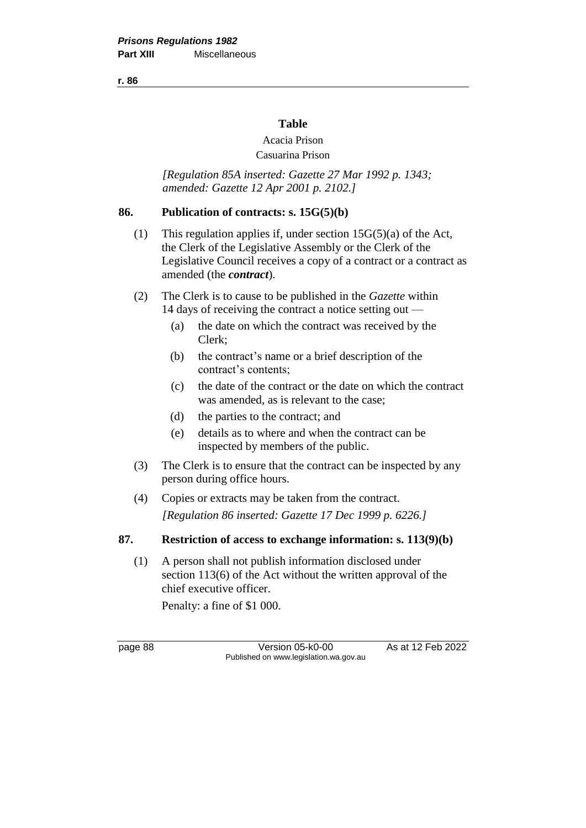**r. 86**

#### **Table**

## Acacia Prison

### Casuarina Prison

*[Regulation 85A inserted: Gazette 27 Mar 1992 p. 1343; amended: Gazette 12 Apr 2001 p. 2102.]* 

#### **86. Publication of contracts: s. 15G(5)(b)**

- (1) This regulation applies if, under section  $15G(5)(a)$  of the Act, the Clerk of the Legislative Assembly or the Clerk of the Legislative Council receives a copy of a contract or a contract as amended (the *contract*).
- (2) The Clerk is to cause to be published in the *Gazette* within 14 days of receiving the contract a notice setting out —
	- (a) the date on which the contract was received by the Clerk;
	- (b) the contract's name or a brief description of the contract's contents;
	- (c) the date of the contract or the date on which the contract was amended, as is relevant to the case;
	- (d) the parties to the contract; and
	- (e) details as to where and when the contract can be inspected by members of the public.
- (3) The Clerk is to ensure that the contract can be inspected by any person during office hours.
- (4) Copies or extracts may be taken from the contract. *[Regulation 86 inserted: Gazette 17 Dec 1999 p. 6226.]*

#### **87. Restriction of access to exchange information: s. 113(9)(b)**

(1) A person shall not publish information disclosed under section 113(6) of the Act without the written approval of the chief executive officer.

Penalty: a fine of \$1 000.

page 88 Version 05-k0-00 As at 12 Feb 2022 Published on www.legislation.wa.gov.au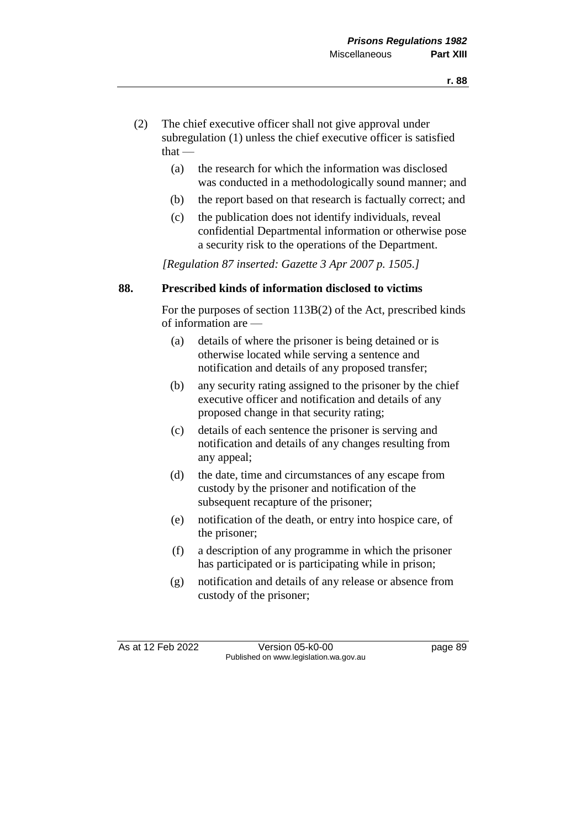- (2) The chief executive officer shall not give approval under subregulation (1) unless the chief executive officer is satisfied  $that -$ 
	- (a) the research for which the information was disclosed was conducted in a methodologically sound manner; and
	- (b) the report based on that research is factually correct; and
	- (c) the publication does not identify individuals, reveal confidential Departmental information or otherwise pose a security risk to the operations of the Department.

*[Regulation 87 inserted: Gazette 3 Apr 2007 p. 1505.]*

#### **88. Prescribed kinds of information disclosed to victims**

For the purposes of section 113B(2) of the Act, prescribed kinds of information are —

- (a) details of where the prisoner is being detained or is otherwise located while serving a sentence and notification and details of any proposed transfer;
- (b) any security rating assigned to the prisoner by the chief executive officer and notification and details of any proposed change in that security rating;
- (c) details of each sentence the prisoner is serving and notification and details of any changes resulting from any appeal;
- (d) the date, time and circumstances of any escape from custody by the prisoner and notification of the subsequent recapture of the prisoner;
- (e) notification of the death, or entry into hospice care, of the prisoner;
- (f) a description of any programme in which the prisoner has participated or is participating while in prison;
- (g) notification and details of any release or absence from custody of the prisoner;

As at 12 Feb 2022 Version 05-k0-00 page 89 Published on www.legislation.wa.gov.au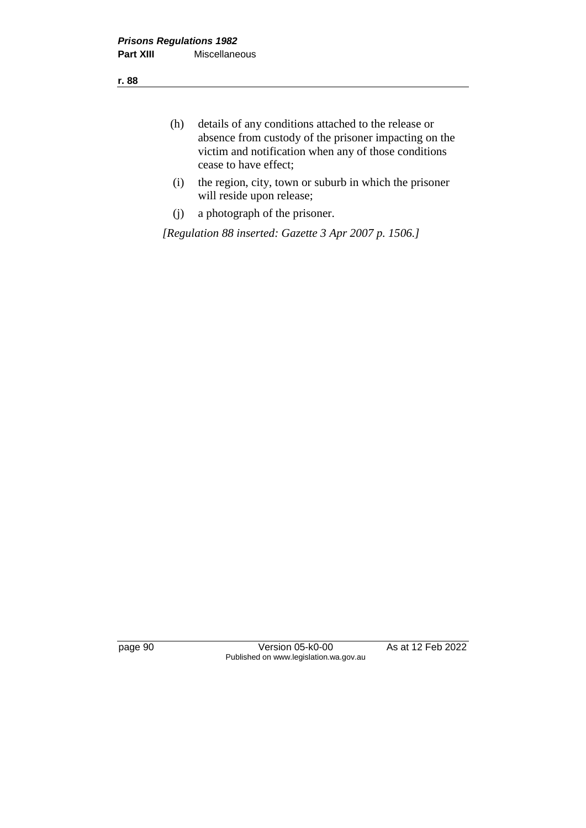- (h) details of any conditions attached to the release or absence from custody of the prisoner impacting on the victim and notification when any of those conditions cease to have effect;
- (i) the region, city, town or suburb in which the prisoner will reside upon release;
- (j) a photograph of the prisoner.

*[Regulation 88 inserted: Gazette 3 Apr 2007 p. 1506.]*

page 90 Version 05-k0-00 As at 12 Feb 2022 Published on www.legislation.wa.gov.au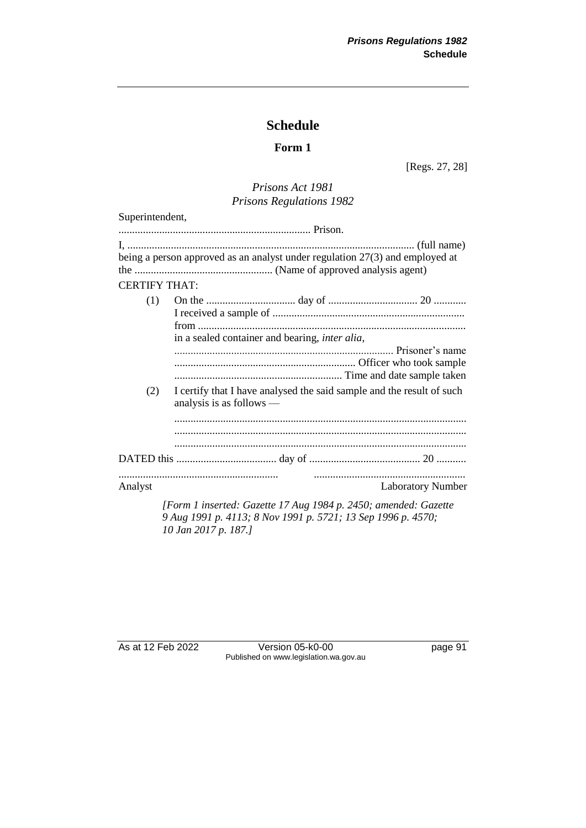## **Schedule**

#### **Form 1**

[Regs. 27, 28]

#### *Prisons Act 1981 Prisons Regulations 1982*

| Superintendent,      |                                                                                                     |                          |
|----------------------|-----------------------------------------------------------------------------------------------------|--------------------------|
|                      |                                                                                                     |                          |
| <b>CERTIFY THAT:</b> | being a person approved as an analyst under regulation 27(3) and employed at                        |                          |
| (1)                  | in a sealed container and bearing, inter alia,                                                      |                          |
| (2)                  | I certify that I have analysed the said sample and the result of such<br>analysis is as follows $-$ |                          |
|                      |                                                                                                     |                          |
| Analyst              |                                                                                                     | <b>Laboratory Number</b> |
|                      | [Form 1 inserted: Gazette 17 Aug 1984 p. 2450; amended: Gazette                                     |                          |

*9 Aug 1991 p. 4113; 8 Nov 1991 p. 5721; 13 Sep 1996 p. 4570; 10 Jan 2017 p. 187.]*

As at 12 Feb 2022 Version 05-k0-00 page 91 Published on www.legislation.wa.gov.au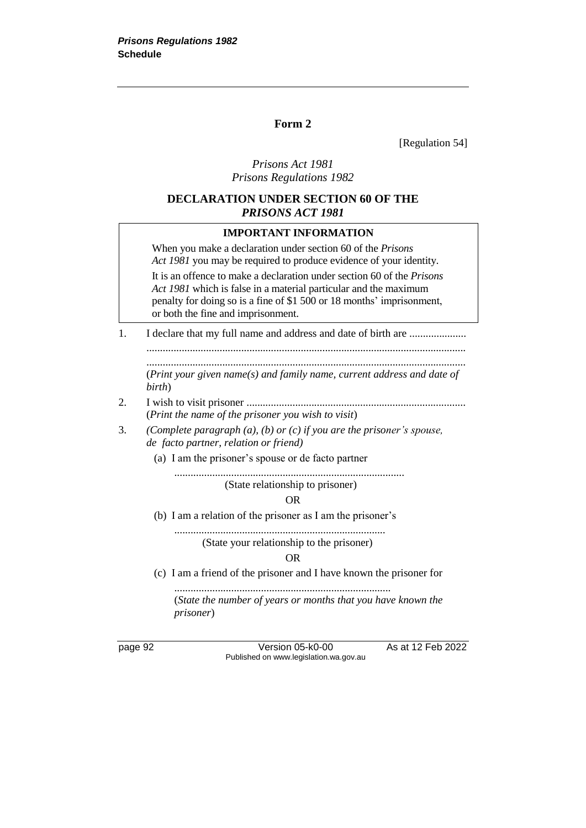#### **Form 2**

[Regulation 54]

#### *Prisons Act 1981 Prisons Regulations 1982*

#### **DECLARATION UNDER SECTION 60 OF THE**  *PRISONS ACT 1981*

#### **IMPORTANT INFORMATION**

When you make a declaration under section 60 of the *Prisons Act 1981* you may be required to produce evidence of your identity. It is an offence to make a declaration under section 60 of the *Prisons Act 1981* which is false in a material particular and the maximum penalty for doing so is a fine of \$1 500 or 18 months' imprisonment, or both the fine and imprisonment.

1. I declare that my full name and address and date of birth are ...................... ......................................................................................................................

...................................................................................................................... (*Print your given name(s) and family name, current address and date of birth*)

- 2. I wish to visit prisoner ................................................................................. (*Print the name of the prisoner you wish to visit*)
- 3. *(Complete paragraph (a), (b) or (c) if you are the prisoner's spouse, de facto partner, relation or friend)*
	- (a) I am the prisoner's spouse or de facto partner

.....................................................................................

(State relationship to prisoner)

#### OR

(b) I am a relation of the prisoner as I am the prisoner's

.............................................................................. (State your relationship to the prisoner)

OR

(c) I am a friend of the prisoner and I have known the prisoner for

................................................................................ (*State the number of years or months that you have known the prisoner*)

page 92 **Version 05-k0-00** As at 12 Feb 2022 Published on www.legislation.wa.gov.au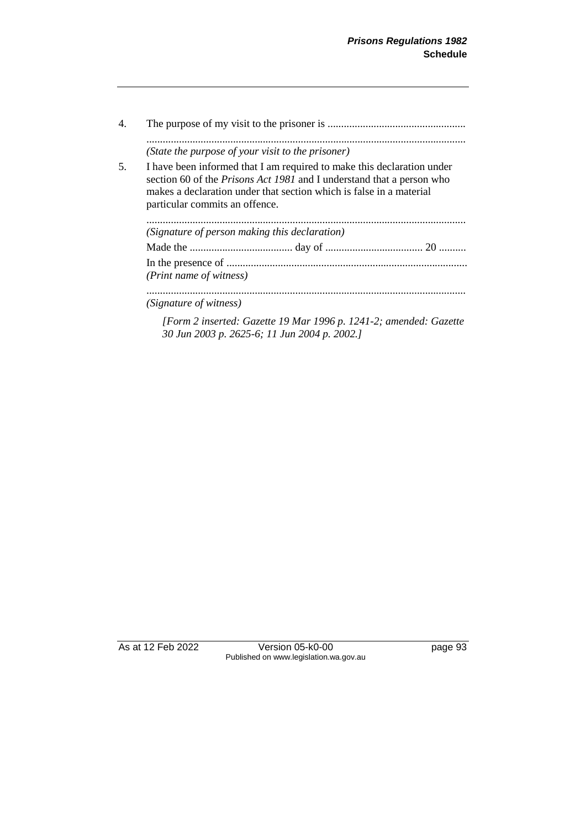| 4. |                                                                                                                                                                                                                                                                 |
|----|-----------------------------------------------------------------------------------------------------------------------------------------------------------------------------------------------------------------------------------------------------------------|
|    | (State the purpose of your visit to the prisoner)                                                                                                                                                                                                               |
| 5. | I have been informed that I am required to make this declaration under<br>section 60 of the <i>Prisons Act 1981</i> and I understand that a person who<br>makes a declaration under that section which is false in a material<br>particular commits an offence. |
|    | (Signature of person making this declaration)                                                                                                                                                                                                                   |
|    |                                                                                                                                                                                                                                                                 |
|    |                                                                                                                                                                                                                                                                 |
|    | (Print name of witness)                                                                                                                                                                                                                                         |
|    | (Signature of witness)                                                                                                                                                                                                                                          |
|    | [Form 2 inserted: Gazette 19 Mar 1996 p. 1241-2; amended: Gazette                                                                                                                                                                                               |

*30 Jun 2003 p. 2625-6; 11 Jun 2004 p. 2002.]*

As at 12 Feb 2022 Version 05-k0-00 page 93 Published on www.legislation.wa.gov.au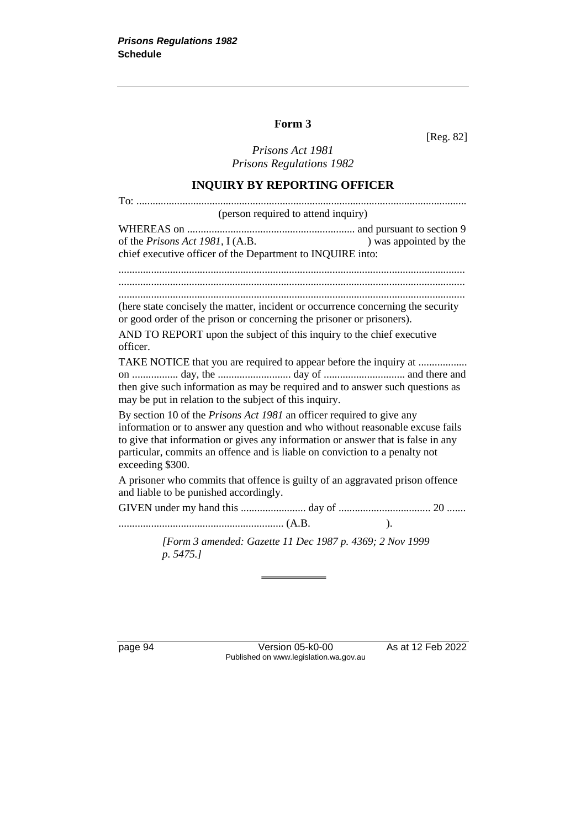## **Form 3**

[Reg. 82]

*Prisons Act 1981 Prisons Regulations 1982*

## **INQUIRY BY REPORTING OFFICER**

| (person required to attend inquiry)                                                                                                                                                                                                                                                                                                                  |  |  |
|------------------------------------------------------------------------------------------------------------------------------------------------------------------------------------------------------------------------------------------------------------------------------------------------------------------------------------------------------|--|--|
| of the <i>Prisons Act 1981</i> , I (A.B.<br>) was appointed by the<br>chief executive officer of the Department to INQUIRE into:                                                                                                                                                                                                                     |  |  |
|                                                                                                                                                                                                                                                                                                                                                      |  |  |
|                                                                                                                                                                                                                                                                                                                                                      |  |  |
| (here state concisely the matter, incident or occurrence concerning the security<br>or good order of the prison or concerning the prisoner or prisoners).                                                                                                                                                                                            |  |  |
| AND TO REPORT upon the subject of this inquiry to the chief executive<br>officer.                                                                                                                                                                                                                                                                    |  |  |
| TAKE NOTICE that you are required to appear before the inquiry at<br>then give such information as may be required and to answer such questions as<br>may be put in relation to the subject of this inquiry.                                                                                                                                         |  |  |
| By section 10 of the <i>Prisons Act 1981</i> an officer required to give any<br>information or to answer any question and who without reasonable excuse fails<br>to give that information or gives any information or answer that is false in any<br>particular, commits an offence and is liable on conviction to a penalty not<br>exceeding \$300. |  |  |
| A prisoner who commits that offence is guilty of an aggravated prison offence<br>and liable to be punished accordingly.                                                                                                                                                                                                                              |  |  |
|                                                                                                                                                                                                                                                                                                                                                      |  |  |
| $\cdot$                                                                                                                                                                                                                                                                                                                                              |  |  |
| [Form 3 amended: Gazette 11 Dec 1987 p. 4369; 2 Nov 1999<br>p. 5475.]                                                                                                                                                                                                                                                                                |  |  |

page 94 Version 05-k0-00 As at 12 Feb 2022 Published on www.legislation.wa.gov.au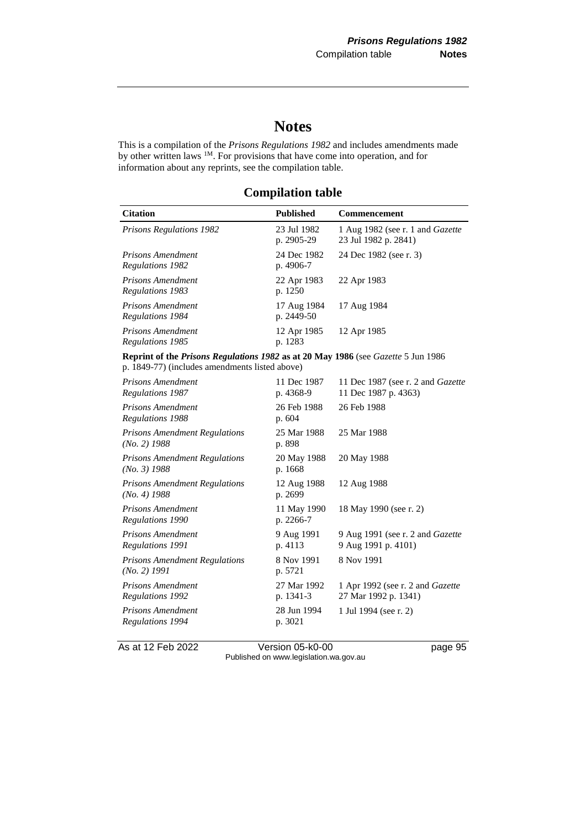# **Notes**

This is a compilation of the *Prisons Regulations 1982* and includes amendments made by other written laws <sup>1M</sup>. For provisions that have come into operation, and for information about any reprints, see the compilation table.

**Compilation table**

| <b>Citation</b>                                                                                                                     | <b>Published</b>          | Commencement                                                    |  |
|-------------------------------------------------------------------------------------------------------------------------------------|---------------------------|-----------------------------------------------------------------|--|
| <b>Prisons Regulations 1982</b>                                                                                                     | 23 Jul 1982<br>p. 2905-29 | 1 Aug 1982 (see r. 1 and Gazette<br>23 Jul 1982 p. 2841)        |  |
| Prisons Amendment<br>Regulations 1982                                                                                               | 24 Dec 1982<br>p. 4906-7  | 24 Dec 1982 (see r. 3)                                          |  |
| <b>Prisons Amendment</b><br><b>Regulations 1983</b>                                                                                 | 22 Apr 1983<br>p. 1250    | 22 Apr 1983                                                     |  |
| <b>Prisons Amendment</b><br><b>Regulations 1984</b>                                                                                 | 17 Aug 1984<br>p. 2449-50 | 17 Aug 1984                                                     |  |
| Prisons Amendment<br>Regulations 1985                                                                                               | 12 Apr 1985<br>p. 1283    | 12 Apr 1985                                                     |  |
| Reprint of the Prisons Regulations 1982 as at 20 May 1986 (see Gazette 5 Jun 1986<br>p. 1849-77) (includes amendments listed above) |                           |                                                                 |  |
| <b>Prisons Amendment</b><br>Regulations 1987                                                                                        | 11 Dec 1987<br>p. 4368-9  | 11 Dec 1987 (see r. 2 and Gazette<br>11 Dec 1987 p. 4363)       |  |
| <b>Prisons Amendment</b><br><b>Regulations 1988</b>                                                                                 | 26 Feb 1988<br>p. 604     | 26 Feb 1988                                                     |  |
| <b>Prisons Amendment Regulations</b><br>$(No. 2)$ 1988                                                                              | 25 Mar 1988<br>p. 898     | 25 Mar 1988                                                     |  |
| <b>Prisons Amendment Regulations</b><br>$(No. 3)$ 1988                                                                              | 20 May 1988<br>p. 1668    | 20 May 1988                                                     |  |
| <b>Prisons Amendment Regulations</b><br>$(No. 4)$ 1988                                                                              | 12 Aug 1988<br>p. 2699    | 12 Aug 1988                                                     |  |
| Prisons Amendment<br>Regulations 1990                                                                                               | 11 May 1990<br>p. 2266-7  | 18 May 1990 (see r. 2)                                          |  |
| <b>Prisons Amendment</b><br>Regulations 1991                                                                                        | 9 Aug 1991<br>p. 4113     | 9 Aug 1991 (see r. 2 and Gazette<br>9 Aug 1991 p. 4101)         |  |
| <b>Prisons Amendment Regulations</b><br>(No. 2) 1991                                                                                | 8 Nov 1991<br>p. 5721     | 8 Nov 1991                                                      |  |
| Prisons Amendment<br><b>Regulations 1992</b>                                                                                        | 27 Mar 1992<br>p. 1341-3  | 1 Apr 1992 (see r. 2 and <i>Gazette</i><br>27 Mar 1992 p. 1341) |  |
| <b>Prisons Amendment</b><br>Regulations 1994                                                                                        | 28 Jun 1994<br>p. 3021    | 1 Jul 1994 (see r. 2)                                           |  |

As at 12 Feb 2022 Version 05-k0-00 Page 95 Published on www.legislation.wa.gov.au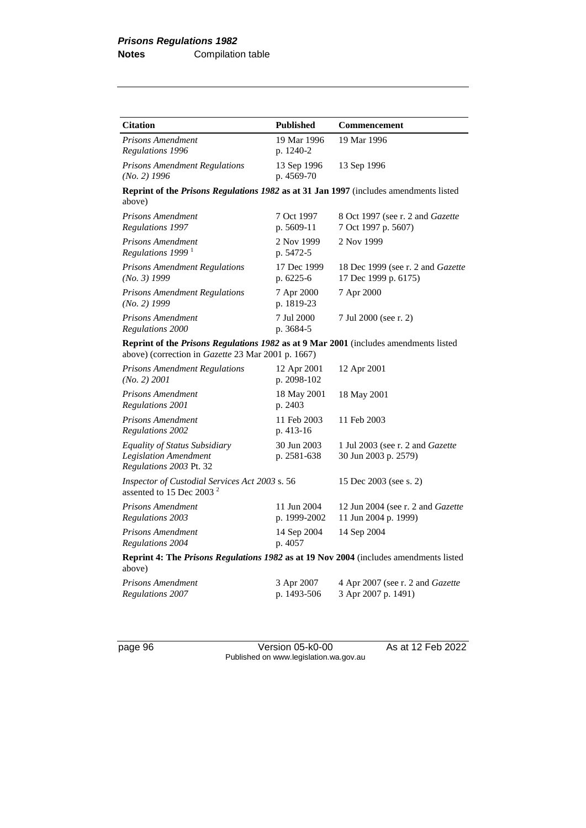| <b>Citation</b>                                                                                                                            | <b>Published</b>            | Commencement                                                     |  |
|--------------------------------------------------------------------------------------------------------------------------------------------|-----------------------------|------------------------------------------------------------------|--|
| Prisons Amendment<br>Regulations 1996                                                                                                      | 19 Mar 1996<br>p. 1240-2    | 19 Mar 1996                                                      |  |
| <b>Prisons Amendment Regulations</b><br>$(No. 2)$ 1996                                                                                     | 13 Sep 1996<br>p. 4569-70   | 13 Sep 1996                                                      |  |
| Reprint of the Prisons Regulations 1982 as at 31 Jan 1997 (includes amendments listed<br>above)                                            |                             |                                                                  |  |
| <b>Prisons Amendment</b><br>Regulations 1997                                                                                               | 7 Oct 1997<br>p. 5609-11    | 8 Oct 1997 (see r. 2 and <i>Gazette</i><br>7 Oct 1997 p. 5607)   |  |
| <b>Prisons Amendment</b><br>Regulations 1999 <sup>1</sup>                                                                                  | 2 Nov 1999<br>p. 5472-5     | 2 Nov 1999                                                       |  |
| <b>Prisons Amendment Regulations</b><br>$(No. 3)$ 1999                                                                                     | 17 Dec 1999<br>p. 6225-6    | 18 Dec 1999 (see r. 2 and Gazette<br>17 Dec 1999 p. 6175)        |  |
| <b>Prisons Amendment Regulations</b><br>$(No. 2)$ 1999                                                                                     | 7 Apr 2000<br>p. 1819-23    | 7 Apr 2000                                                       |  |
| <b>Prisons Amendment</b><br>Regulations 2000                                                                                               | 7 Jul 2000<br>p. 3684-5     | 7 Jul 2000 (see r. 2)                                            |  |
| Reprint of the Prisons Regulations 1982 as at 9 Mar 2001 (includes amendments listed<br>above) (correction in Gazette 23 Mar 2001 p. 1667) |                             |                                                                  |  |
| <b>Prisons Amendment Regulations</b><br>(No. 2) 2001                                                                                       | 12 Apr 2001<br>p. 2098-102  | 12 Apr 2001                                                      |  |
| <b>Prisons Amendment</b><br>Regulations 2001                                                                                               | 18 May 2001<br>p. 2403      | 18 May 2001                                                      |  |
| <b>Prisons Amendment</b><br>Regulations 2002                                                                                               | 11 Feb 2003<br>p. 413-16    | 11 Feb 2003                                                      |  |
| <b>Equality of Status Subsidiary</b><br><b>Legislation Amendment</b><br>Regulations 2003 Pt. 32                                            | 30 Jun 2003<br>p. 2581-638  | 1 Jul 2003 (see r. 2 and Gazette<br>30 Jun 2003 p. 2579)         |  |
| Inspector of Custodial Services Act 2003 s. 56<br>assented to 15 Dec 2003 <sup>2</sup>                                                     |                             | 15 Dec 2003 (see s. 2)                                           |  |
| Prisons Amendment<br><b>Regulations 2003</b>                                                                                               | 11 Jun 2004<br>p. 1999-2002 | 12 Jun 2004 (see r. 2 and <i>Gazette</i><br>11 Jun 2004 p. 1999) |  |
| <b>Prisons Amendment</b><br><b>Regulations 2004</b>                                                                                        | 14 Sep 2004<br>p. 4057      | 14 Sep 2004                                                      |  |
| Reprint 4: The Prisons Regulations 1982 as at 19 Nov 2004 (includes amendments listed<br>above)                                            |                             |                                                                  |  |
| Prisons Amendment<br>Regulations 2007                                                                                                      | 3 Apr 2007<br>p. 1493-506   | 4 Apr 2007 (see r. 2 and Gazette<br>3 Apr 2007 p. 1491)          |  |

page 96 Version 05-k0-00 As at 12 Feb 2022 Published on www.legislation.wa.gov.au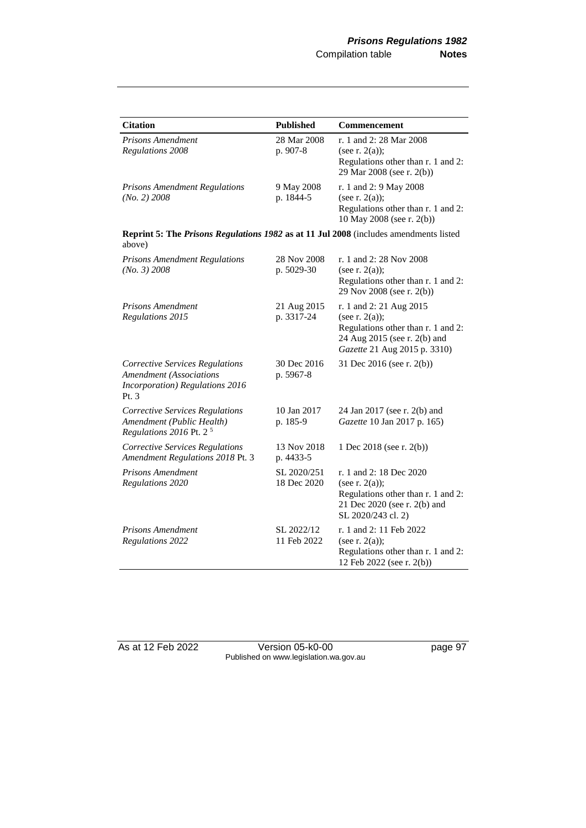| <b>Citation</b>                                                                                                        | <b>Published</b>           | Commencement                                                                                                                                       |  |
|------------------------------------------------------------------------------------------------------------------------|----------------------------|----------------------------------------------------------------------------------------------------------------------------------------------------|--|
| Prisons Amendment<br><b>Regulations 2008</b>                                                                           | 28 Mar 2008<br>p. 907-8    | r. 1 and 2: 28 Mar 2008<br>(see r. $2(a)$ );<br>Regulations other than r. 1 and 2:<br>29 Mar 2008 (see r. 2(b))                                    |  |
| <b>Prisons Amendment Regulations</b><br>(No. 2) 2008                                                                   | 9 May 2008<br>p. 1844-5    | r. 1 and 2: 9 May 2008<br>(see r. $2(a)$ );<br>Regulations other than r. 1 and 2:<br>10 May 2008 (see r. 2(b))                                     |  |
| Reprint 5: The Prisons Regulations 1982 as at 11 Jul 2008 (includes amendments listed<br>above)                        |                            |                                                                                                                                                    |  |
| <b>Prisons Amendment Regulations</b><br>(No. 3) 2008                                                                   | 28 Nov 2008<br>p. 5029-30  | r. 1 and 2: 28 Nov 2008<br>(see r. $2(a)$ );<br>Regulations other than r. 1 and 2:<br>29 Nov 2008 (see r. 2(b))                                    |  |
| Prisons Amendment<br>Regulations 2015                                                                                  | 21 Aug 2015<br>p. 3317-24  | r. 1 and 2: 21 Aug 2015<br>(see r. $2(a)$ );<br>Regulations other than r. 1 and 2:<br>24 Aug 2015 (see r. 2(b) and<br>Gazette 21 Aug 2015 p. 3310) |  |
| <b>Corrective Services Regulations</b><br><b>Amendment</b> (Associations<br>Incorporation) Regulations 2016<br>Pt. $3$ | 30 Dec 2016<br>p. 5967-8   | 31 Dec 2016 (see r. 2(b))                                                                                                                          |  |
| <b>Corrective Services Regulations</b><br>Amendment (Public Health)<br>Regulations 2016 Pt. $2^5$                      | 10 Jan 2017<br>p. 185-9    | 24 Jan 2017 (see r. 2(b) and<br>Gazette 10 Jan 2017 p. 165)                                                                                        |  |
| Corrective Services Regulations<br>Amendment Regulations 2018 Pt. 3                                                    | 13 Nov 2018<br>p. 4433-5   | 1 Dec 2018 (see r. 2(b))                                                                                                                           |  |
| <b>Prisons Amendment</b><br>Regulations 2020                                                                           | SL 2020/251<br>18 Dec 2020 | r. 1 and 2: 18 Dec 2020<br>(see r. $2(a)$ );<br>Regulations other than r. 1 and 2:<br>21 Dec 2020 (see r. 2(b) and<br>SL 2020/243 cl. 2)           |  |
| Prisons Amendment<br><b>Regulations 2022</b>                                                                           | SL 2022/12<br>11 Feb 2022  | r. 1 and 2: 11 Feb 2022<br>(see r. $2(a)$ );<br>Regulations other than r. 1 and 2:<br>12 Feb 2022 (see r. 2(b))                                    |  |

As at 12 Feb 2022 Version 05-k0-00 page 97 Published on www.legislation.wa.gov.au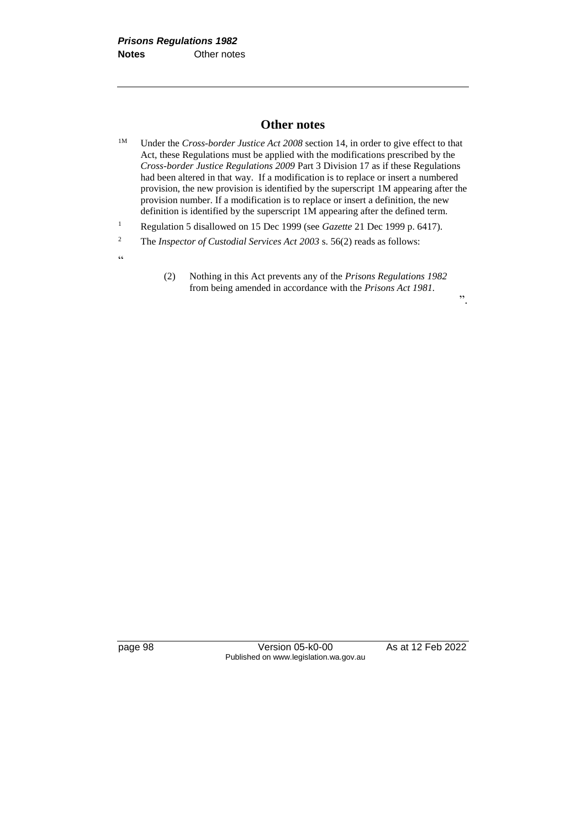#### **Other notes**

- <sup>1M</sup> Under the *Cross-border Justice Act 2008* section 14, in order to give effect to that Act, these Regulations must be applied with the modifications prescribed by the *Cross-border Justice Regulations 2009* Part 3 Division 17 as if these Regulations had been altered in that way. If a modification is to replace or insert a numbered provision, the new provision is identified by the superscript 1M appearing after the provision number. If a modification is to replace or insert a definition, the new definition is identified by the superscript 1M appearing after the defined term.
- <sup>1</sup> Regulation 5 disallowed on 15 Dec 1999 (see *Gazette* 21 Dec 1999 p. 6417).
- <sup>2</sup> The *Inspector of Custodial Services Act 2003* s. 56(2) reads as follows:
	- (2) Nothing in this Act prevents any of the *Prisons Regulations 1982* from being amended in accordance with the *Prisons Act 1981.*

".

 $\zeta\,\zeta$ 

page 98 Version 05-k0-00 As at 12 Feb 2022 Published on www.legislation.wa.gov.au